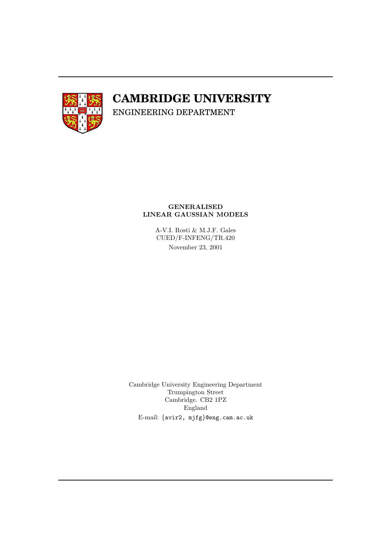

# **CAMBRIDGE UNIVERSITY**

ENGINEERING DEPARTMENT

#### GENERALISED LINEAR GAUSSIAN MODELS

A-V.I. Rosti & M.J.F. Gales CUED/F-INFENG/TR.420 November 23, 2001

Cambridge University Engineering Department Trumpington Street Cambridge. CB2 1PZ England E-mail: {avir2, mjfg}@eng.cam.ac.uk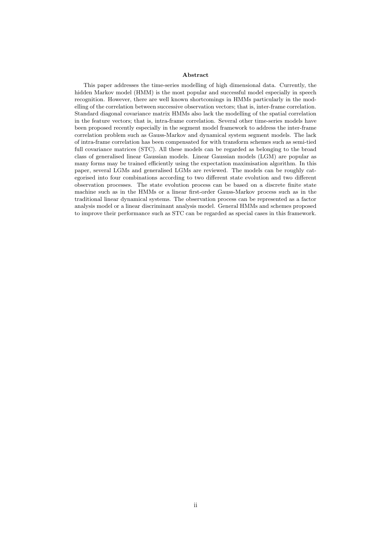#### Abstract

This paper addresses the time-series modelling of high dimensional data. Currently, the hidden Markov model (HMM) is the most popular and successful model especially in speech recognition. However, there are well known shortcomings in HMMs particularly in the modelling of the correlation between successive observation vectors; that is, inter-frame correlation. Standard diagonal covariance matrix HMMs also lack the modelling of the spatial correlation in the feature vectors; that is, intra-frame correlation. Several other time-series models have been proposed recently especially in the segment model framework to address the inter-frame correlation problem such as Gauss-Markov and dynamical system segment models. The lack of intra-frame correlation has been compensated for with transform schemes such as semi-tied full covariance matrices (STC). All these models can be regarded as belonging to the broad class of generalised linear Gaussian models. Linear Gaussian models (LGM) are popular as many forms may be trained efficiently using the expectation maximisation algorithm. In this paper, several LGMs and generalised LGMs are reviewed. The models can be roughly categorised into four combinations according to two different state evolution and two different observation processes. The state evolution process can be based on a discrete finite state machine such as in the HMMs or a linear first-order Gauss-Markov process such as in the traditional linear dynamical systems. The observation process can be represented as a factor analysis model or a linear discriminant analysis model. General HMMs and schemes proposed to improve their performance such as STC can be regarded as special cases in this framework.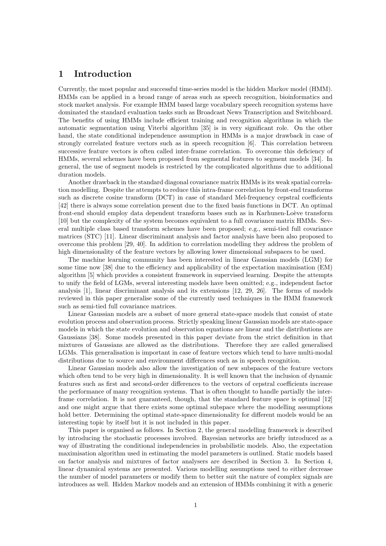## 1 Introduction

Currently, the most popular and successful time-series model is the hidden Markov model (HMM). HMMs can be applied in a broad range of areas such as speech recognition, bioinformatics and stock market analysis. For example HMM based large vocabulary speech recognition systems have dominated the standard evaluation tasks such as Broadcast News Transcription and Switchboard. The benefits of using HMMs include efficient training and recognition algorithms in which the automatic segmentation using Viterbi algorithm [35] is in very significant role. On the other hand, the state conditional independence assumption in HMMs is a major drawback in case of strongly correlated feature vectors such as in speech recognition [6]. This correlation between successive feature vectors is often called inter-frame correlation. To overcome this deficiency of HMMs, several schemes have been proposed from segmental features to segment models [34]. In general, the use of segment models is restricted by the complicated algorithms due to additional duration models.

Another drawback in the standard diagonal covariance matrix HMMs is its weak spatial correlation modelling. Despite the attempts to reduce this intra-frame correlation by front-end transforms such as discrete cosine transform (DCT) in case of standard Mel-frequency cepstral coefficients [42] there is always some correlation present due to the fixed basis functions in DCT. An optimal front-end should employ data dependent transform bases such as in Karhunen-Loève transform [10] but the complexity of the system becomes equivalent to a full covariance matrix HMMs. Several multiple class based transform schemes have been proposed; e.g., semi-tied full covariance matrices (STC) [11]. Linear discriminant analysis and factor analysis have been also proposed to overcome this problem [29, 40]. In addition to correlation modelling they address the problem of high dimensionality of the feature vectors by allowing lower dimensional subspaces to be used.

The machine learning community has been interested in linear Gaussian models (LGM) for some time now [38] due to the efficiency and applicability of the expectation maximisation (EM) algorithm [5] which provides a consistent framework in supervised learning. Despite the attempts to unify the field of LGMs, several interesting models have been omitted; e.g., independent factor analysis [1], linear discriminant analysis and its extensions [12, 29, 26]. The forms of models reviewed in this paper generalise some of the currently used techniques in the HMM framework such as semi-tied full covariance matrices.

Linear Gaussian models are a subset of more general state-space models that consist of state evolution process and observation process. Strictly speaking linear Gaussian models are state-space models in which the state evolution and observation equations are linear and the distributions are Gaussians [38]. Some models presented in this paper deviate from the strict definition in that mixtures of Gaussians are allowed as the distributions. Therefore they are called generalised LGMs. This generalisation is important in case of feature vectors which tend to have multi-modal distributions due to source and environment differences such as in speech recognition.

Linear Gaussian models also allow the investigation of new subspaces of the feature vectors which often tend to be very high in dimensionality. It is well known that the inclusion of dynamic features such as first and second-order differences to the vectors of cepstral coefficients increase the performance of many recognition systems. That is often thought to handle partially the interframe correlation. It is not guaranteed, though, that the standard feature space is optimal [12] and one might argue that there exists some optimal subspace where the modelling assumptions hold better. Determining the optimal state-space dimensionality for different models would be an interesting topic by itself but it is not included in this paper.

This paper is organised as follows. In Section 2, the general modelling framework is described by introducing the stochastic processes involved. Bayesian networks are briefly introduced as a way of illustrating the conditional independencies in probabilistic models. Also, the expectation maximisation algorithm used in estimating the model parameters is outlined. Static models based on factor analysis and mixtures of factor analysers are described in Section 3. In Section 4, linear dynamical systems are presented. Various modelling assumptions used to either decrease the number of model parameters or modify them to better suit the nature of complex signals are introduces as well. Hidden Markov models and an extension of HMMs combining it with a generic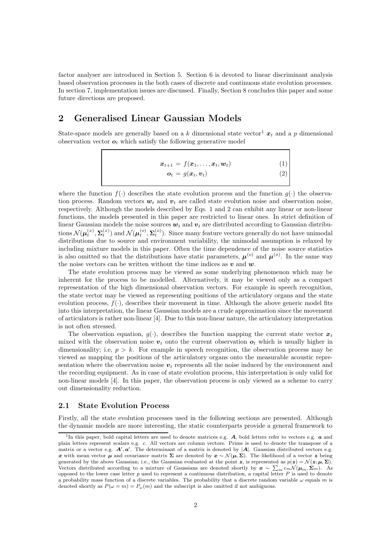factor analyser are introduced in Section 5. Section 6 is devoted to linear discriminant analysis based observation processes in the both cases of discrete and continuous state evolution processes. In section 7, implementation issues are discussed. Finally, Section 8 concludes this paper and some future directions are proposed.

## 2 Generalised Linear Gaussian Models

State-space models are generally based on a k dimensional state vector<sup>1</sup>  $x_t$  and a p dimensional observation vector  $o_t$  which satisfy the following generative model

$$
\boldsymbol{x}_{t+1} = f(\boldsymbol{x}_1, \dots, \boldsymbol{x}_t, \boldsymbol{w}_t)
$$
(1)  

$$
\boldsymbol{o}_t = g(\boldsymbol{x}_t, \boldsymbol{v}_t)
$$
(2)

where the function  $f(.)$  describes the state evolution process and the function  $g(.)$  the observation process. Random vectors  $w_t$  and  $v_t$  are called state evolution noise and observation noise, respectively. Although the models described by Eqs. 1 and 2 can exhibit any linear or non-linear functions, the models presented in this paper are restricted to linear ones. In strict definition of linear Gaussian models the noise sources  $w_t$  and  $v_t$  are distributed according to Gaussian distributions  $\mathcal{N}(\boldsymbol{\mu}_t^{(x)}, \boldsymbol{\Sigma}_t^{(x)})$  and  $\mathcal{N}(\boldsymbol{\mu}_t^{(o)}, \boldsymbol{\Sigma}_t^{(o)})$ . Since many feature vectors generally do not have unimodal distributions due to source and environment variability, the unimodal assumption is relaxed by including mixture models in this paper. Often the time dependence of the noise source statistics is also omitted so that the distributions have static parameters,  $\mu^{(o)}$  and  $\mu^{(x)}$ . In the same way the noise vectors can be written without the time indices as  $v$  and  $w$ .

The state evolution process may be viewed as some underlying phenomenon which may be inherent for the process to be modelled. Alternatively, it may be viewed only as a compact representation of the high dimensional observation vectors. For example in speech recognition, the state vector may be viewed as representing positions of the articulatory organs and the state evolution process,  $f(\cdot)$ , describes their movement in time. Although the above generic model fits into this interpretation, the linear Gaussian models are a crude approximation since the movement of articulators is rather non-linear [4]. Due to this non-linear nature, the articulatory interpretation is not often stressed.

The observation equation,  $q(\cdot)$ , describes the function mapping the current state vector  $x_t$ mixed with the observation noise  $v_t$  onto the current observation  $o_t$  which is usually higher in dimensionality; i.e,  $p > k$ . For example in speech recognition, the observation process may be viewed as mapping the positions of the articulatory organs onto the measurable acoustic representation where the observation noise  $v_t$  represents all the noise induced by the environment and the recording equipment. As in case of state evolution process, this interpretation is only valid for non-linear models [4]. In this paper, the observation process is only viewed as a scheme to carry out dimensionality reduction.

#### 2.1 State Evolution Process

Firstly, all the state evolution processes used in the following sections are presented. Although the dynamic models are more interesting, the static counterparts provide a general framework to

<sup>&</sup>lt;sup>1</sup>In this paper, bold capital letters are used to denote matrices e.g.  $A$ , bold letters refer to vectors e.g.  $a$  and plain letters represent scalars e.g. c. All vectors are column vectors. Prime is used to denote the transpose of a matrix or a vector e.g.  $A', a'$ . The determinant of a matrix is denoted by  $|A|$ . Gaussian distributed vectors e.g. x with mean vector  $\mu$  and covariance matrix  $\Sigma$  are denoted by  $x \sim \mathcal{N}(\mu, \Sigma)$ . The likelihood of a vector z being generated by the above Gaussian; i.e., the Gaussian evaluated at the point z, is represented as  $p(z) = \mathcal{N}(z; \mu, \Sigma)$ . Vectors distributed according to a mixture of Gaussians are denoted shortly by  $x \sim \sum_m c_m \mathcal{N}(\mu_m, \Sigma_m)$ . As opposed to the lower case letter  $p$  used to represent a continuous distribution, a capital letter  $P$  is used to denote a probability mass function of a discrete variables. The probability that a discrete random variable  $\omega$  equals m is denoted shortly as  $P(\omega = m) = P_{\omega}(m)$  and the subscript is also omitted if not ambiguous.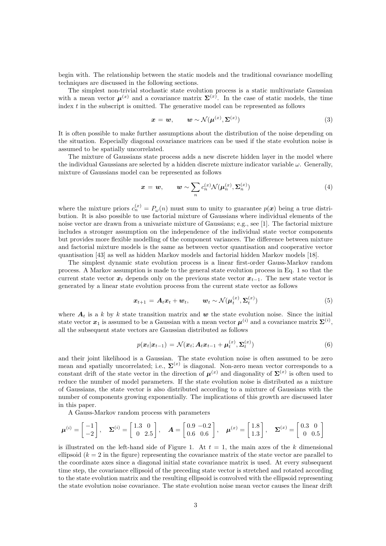begin with. The relationship between the static models and the traditional covariance modelling techniques are discussed in the following sections.

The simplest non-trivial stochastic state evolution process is a static multivariate Gaussian with a mean vector  $\mu^{(x)}$  and a covariance matrix  $\Sigma^{(x)}$ . In the case of static models, the time index  $t$  in the subscript is omitted. The generative model can be represented as follows

$$
\boldsymbol{x} = \boldsymbol{w}, \qquad \boldsymbol{w} \sim \mathcal{N}(\boldsymbol{\mu}^{(x)}, \boldsymbol{\Sigma}^{(x)})
$$
(3)

It is often possible to make further assumptions about the distribution of the noise depending on the situation. Especially diagonal covariance matrices can be used if the state evolution noise is assumed to be spatially uncorrelated.

The mixture of Gaussians state process adds a new discrete hidden layer in the model where the individual Gaussians are selected by a hidden discrete mixture indicator variable  $\omega$ . Generally, mixture of Gaussians model can be represented as follows

$$
\boldsymbol{x} = \boldsymbol{w}, \qquad \boldsymbol{w} \sim \sum_{n} c_n^{(x)} \mathcal{N}(\boldsymbol{\mu}_n^{(x)}, \boldsymbol{\Sigma}_n^{(x)}) \tag{4}
$$

where the mixture priors  $c_n^{(x)} = P_\omega(n)$  must sum to unity to guarantee  $p(x)$  being a true distribution. It is also possible to use factorial mixture of Gaussians where individual elements of the noise vector are drawn from a univariate mixture of Gaussians; e.g., see [1]. The factorial mixture includes a stronger assumption on the independence of the individual state vector components but provides more flexible modelling of the component variances. The difference between mixture and factorial mixture models is the same as between vector quantisation and cooperative vector quantisation [43] as well as hidden Markov models and factorial hidden Markov models [18].

The simplest dynamic state evolution process is a linear first-order Gauss-Markov random process. A Markov assumption is made to the general state evolution process in Eq. 1 so that the current state vector  $x_t$  depends only on the previous state vector  $x_{t-1}$ . The new state vector is generated by a linear state evolution process from the current state vector as follows

$$
\boldsymbol{x}_{t+1} = \boldsymbol{A}_t \boldsymbol{x}_t + \boldsymbol{w}_t, \qquad \boldsymbol{w}_t \sim \mathcal{N}(\boldsymbol{\mu}_t^{(x)}, \boldsymbol{\Sigma}_t^{(x)}) \tag{5}
$$

where  $A_t$  is a k by k state transition matrix and w the state evolution noise. Since the initial state vector  $x_1$  is assumed to be a Gaussian with a mean vector  $\mu^{(i)}$  and a covariance matrix  $\Sigma^{(i)}$ , all the subsequent state vectors are Gaussian distributed as follows

$$
p(\boldsymbol{x}_t|\boldsymbol{x}_{t-1}) = \mathcal{N}(\boldsymbol{x}_t; \boldsymbol{A}_t \boldsymbol{x}_{t-1} + \boldsymbol{\mu}_t^{(\boldsymbol{x})}, \boldsymbol{\Sigma}_t^{(\boldsymbol{x})})
$$
(6)

and their joint likelihood is a Gaussian. The state evolution noise is often assumed to be zero mean and spatially uncorrelated; i.e.,  $\Sigma^{(x)}$  is diagonal. Non-zero mean vector corresponds to a constant drift of the state vector in the direction of  $\mu^{(x)}$  and diagonality of  $\Sigma^{(x)}$  is often used to reduce the number of model parameters. If the state evolution noise is distributed as a mixture of Gaussians, the state vector is also distributed according to a mixture of Gaussians with the number of components growing exponentially. The implications of this growth are discussed later in this paper.

A Gauss-Markov random process with parameters

$$
\mu^{(i)} = \begin{bmatrix} -1 \\ -2 \end{bmatrix}, \quad \Sigma^{(i)} = \begin{bmatrix} 1.3 & 0 \\ 0 & 2.5 \end{bmatrix}, \quad A = \begin{bmatrix} 0.9 & -0.2 \\ 0.6 & 0.6 \end{bmatrix}, \quad \mu^{(x)} = \begin{bmatrix} 1.8 \\ 1.3 \end{bmatrix}, \quad \Sigma^{(x)} = \begin{bmatrix} 0.3 & 0 \\ 0 & 0.5 \end{bmatrix}
$$

is illustrated on the left-hand side of Figure 1. At  $t = 1$ , the main axes of the k dimensional ellipsoid  $(k = 2$  in the figure) representing the covariance matrix of the state vector are parallel to the coordinate axes since a diagonal initial state covariance matrix is used. At every subsequent time step, the covariance ellipsoid of the preceding state vector is stretched and rotated according to the state evolution matrix and the resulting ellipsoid is convolved with the ellipsoid representing the state evolution noise covariance. The state evolution noise mean vector causes the linear drift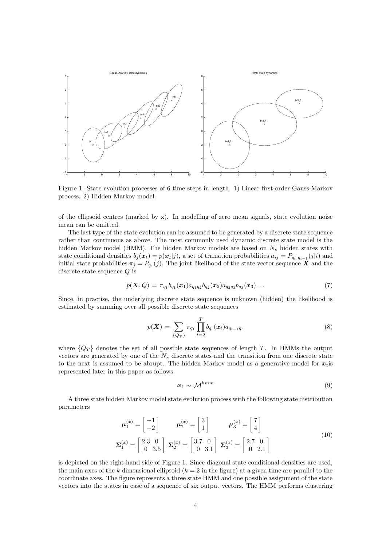

Figure 1: State evolution processes of 6 time steps in length. 1) Linear first-order Gauss-Markov process. 2) Hidden Markov model.

of the ellipsoid centres (marked by x). In modelling of zero mean signals, state evolution noise mean can be omitted.

The last type of the state evolution can be assumed to be generated by a discrete state sequence rather than continuous as above. The most commonly used dynamic discrete state model is the hidden Markov model (HMM). The hidden Markov models are based on  $N_s$  hidden states with state conditional densities  $b_j(x_t) = p(x_t|j)$ , a set of transition probabilities  $a_{ij} = P_{q_t|q_{t-1}}(j|i)$  and initial state probabilities  $\pi_j = P_{q_1}(j)$ . The joint likelihood of the state vector sequence X and the discrete state sequence Q is

$$
p(\boldsymbol{X}, Q) = \pi_{q_1} b_{q_1}(\boldsymbol{x}_1) a_{q_1 q_2} b_{q_2}(\boldsymbol{x}_2) a_{q_2 q_3} b_{q_3}(\boldsymbol{x}_3) \dots \tag{7}
$$

Since, in practise, the underlying discrete state sequence is unknown (hidden) the likelihood is estimated by summing over all possible discrete state sequences

$$
p(\boldsymbol{X}) = \sum_{\{Q_T\}} \pi_{q_1} \prod_{t=2}^T b_{q_t}(\boldsymbol{x}_t) a_{q_{t-1}q_t}
$$
\n(8)

where  ${Q_T}$  denotes the set of all possible state sequences of length T. In HMMs the output vectors are generated by one of the  $N<sub>s</sub>$  discrete states and the transition from one discrete state to the next is assumed to be abrupt. The hidden Markov model as a generative model for  $x_i$  is represented later in this paper as follows

$$
x_t \sim \mathcal{M}^{hmm} \tag{9}
$$

A three state hidden Markov model state evolution process with the following state distribution parameters

$$
\boldsymbol{\mu}_1^{(x)} = \begin{bmatrix} -1 \\ -2 \end{bmatrix} \qquad \boldsymbol{\mu}_2^{(x)} = \begin{bmatrix} 3 \\ 1 \end{bmatrix} \qquad \boldsymbol{\mu}_3^{(x)} = \begin{bmatrix} 7 \\ 4 \end{bmatrix}
$$

$$
\boldsymbol{\Sigma}_1^{(x)} = \begin{bmatrix} 2.3 & 0 \\ 0 & 3.5 \end{bmatrix} \boldsymbol{\Sigma}_2^{(x)} = \begin{bmatrix} 3.7 & 0 \\ 0 & 3.1 \end{bmatrix} \boldsymbol{\Sigma}_3^{(x)} = \begin{bmatrix} 2.7 & 0 \\ 0 & 2.1 \end{bmatrix}
$$
(10)

is depicted on the right-hand side of Figure 1. Since diagonal state conditional densities are used, the main axes of the k dimensional ellipsoid  $(k = 2$  in the figure) at a given time are parallel to the coordinate axes. The figure represents a three state HMM and one possible assignment of the state vectors into the states in case of a sequence of six output vectors. The HMM performs clustering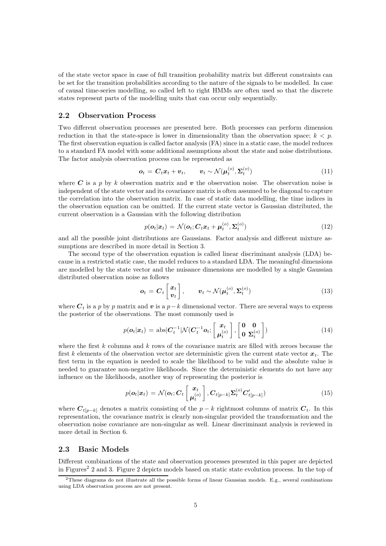of the state vector space in case of full transition probability matrix but different constraints can be set for the transition probabilities according to the nature of the signals to be modelled. In case of causal time-series modelling, so called left to right HMMs are often used so that the discrete states represent parts of the modelling units that can occur only sequentially.

#### 2.2 Observation Process

Two different observation processes are presented here. Both processes can perform dimension reduction in that the state-space is lower in dimensionality than the observation space;  $k < p$ . The first observation equation is called factor analysis (FA) since in a static case, the model reduces to a standard FA model with some additional assumptions about the state and noise distributions. The factor analysis observation process can be represented as

$$
\boldsymbol{o}_t = \boldsymbol{C}_t \boldsymbol{x}_t + \boldsymbol{v}_t, \qquad \boldsymbol{v}_t \sim \mathcal{N}(\boldsymbol{\mu}_t^{(o)}, \boldsymbol{\Sigma}_t^{(o)}) \tag{11}
$$

where C is a p by k observation matrix and v the observation noise. The observation noise is independent of the state vector and its covariance matrix is often assumed to be diagonal to capture the correlation into the observation matrix. In case of static data modelling, the time indices in the observation equation can be omitted. If the current state vector is Gaussian distributed, the current observation is a Gaussian with the following distribution

$$
p(\boldsymbol{o}_t|\boldsymbol{x}_t) = \mathcal{N}(\boldsymbol{o}_t;\boldsymbol{C}_t\boldsymbol{x}_t + \boldsymbol{\mu}_t^{(o)},\boldsymbol{\Sigma}_t^{(o)})
$$
(12)

and all the possible joint distributions are Gaussians. Factor analysis and different mixture assumptions are described in more detail in Section 3.

The second type of the observation equation is called linear discriminant analysis (LDA) because in a restricted static case, the model reduces to a standard LDA. The meaningful dimensions are modelled by the state vector and the nuisance dimensions are modelled by a single Gaussian distributed observation noise as follows

$$
\boldsymbol{o}_t = \boldsymbol{C}_t \begin{bmatrix} \boldsymbol{x}_t \\ \boldsymbol{v}_t \end{bmatrix}, \qquad \boldsymbol{v}_t \sim \mathcal{N}(\boldsymbol{\mu}_t^{(o)}, \boldsymbol{\Sigma}_t^{(o)}) \tag{13}
$$

where  $C_t$  is a p by p matrix and v is a p-k dimensional vector. There are several ways to express the posterior of the observations. The most commonly used is

$$
p(\boldsymbol{o}_t|\boldsymbol{x}_t) = \text{abs}|\boldsymbol{C}_t^{-1}|\mathcal{N}(\boldsymbol{C}_t^{-1}\boldsymbol{o}_t; \begin{bmatrix} \boldsymbol{x}_t \\ \boldsymbol{\mu}_t^{(o)} \end{bmatrix}, \begin{bmatrix} \mathbf{0} & \mathbf{0} \\ \mathbf{0} & \boldsymbol{\Sigma}_t^{(o)} \end{bmatrix}) \tag{14}
$$

where the first  $k$  columns and  $k$  rows of the covariance matrix are filled with zeroes because the first k elements of the observation vector are deterministic given the current state vector  $x_t$ . The first term in the equation is needed to scale the likelihood to be valid and the absolute value is needed to guarantee non-negative likelihoods. Since the deterministic elements do not have any influence on the likelihoods, another way of representing the posterior is

$$
p(\boldsymbol{o}_t|\boldsymbol{x}_t) = \mathcal{N}(\boldsymbol{o}_t; \boldsymbol{C}_t \begin{bmatrix} \boldsymbol{x}_t \\ \boldsymbol{\mu}_t^{(o)} \end{bmatrix}, \boldsymbol{C}_{t[p-k]} \boldsymbol{\Sigma}_t^{(o)} \boldsymbol{C}'_{t[p-k]})
$$
(15)

where  $C_{t[p-k]}$  denotes a matrix consisting of the  $p-k$  rightmost columns of matrix  $C_t$ . In this representation, the covariance matrix is clearly non-singular provided the transformation and the observation noise covariance are non-singular as well. Linear discriminant analysis is reviewed in more detail in Section 6.

#### 2.3 Basic Models

Different combinations of the state and observation processes presented in this paper are depicted in Figures<sup>2</sup> 2 and 3. Figure 2 depicts models based on static state evolution process. In the top of

<sup>&</sup>lt;sup>2</sup>These diagrams do not illustrate all the possible forms of linear Gaussian models. E.g., several combinations using LDA observation process are not present.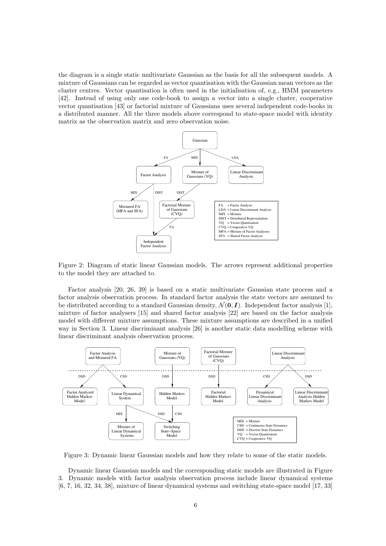the diagram is a single static multivariate Gaussian as the basis for all the subsequent models. A mixture of Gaussians can be regarded as vector quantisation with the Gaussian mean vectors as the cluster centres. Vector quantisation is often used in the initialisation of, e.g., HMM parameters [42]. Instead of using only one code-book to assign a vector into a single cluster, cooperative vector quantisation [43] or factorial mixture of Gaussians uses several independent code-books in a distributed manner. All the three models above correspond to state-space model with identity matrix as the observation matrix and zero observation noise.



Figure 2: Diagram of static linear Gaussian models. The arrows represent additional properties to the model they are attached to.

Factor analysis [20, 26, 39] is based on a static multivariate Gaussian state process and a factor analysis observation process. In standard factor analysis the state vectors are assumed to be distributed according to a standard Gaussian density,  $\mathcal{N}(\mathbf{0}, \mathbf{I})$ . Independent factor analysis [1], mixture of factor analysers [15] and shared factor analysis [22] are based on the factor analysis model with different mixture assumptions. These mixture assumptions are described in a unified way in Section 3. Linear discriminant analysis [26] is another static data modelling scheme with linear discriminant analysis observation process.



Figure 3: Dynamic linear Gaussian models and how they relate to some of the static models.

Dynamic linear Gaussian models and the corresponding static models are illustrated in Figure 3. Dynamic models with factor analysis observation process include linear dynamical systems [6, 7, 16, 32, 34, 38], mixture of linear dynamical systems and switching state-space model [17, 33]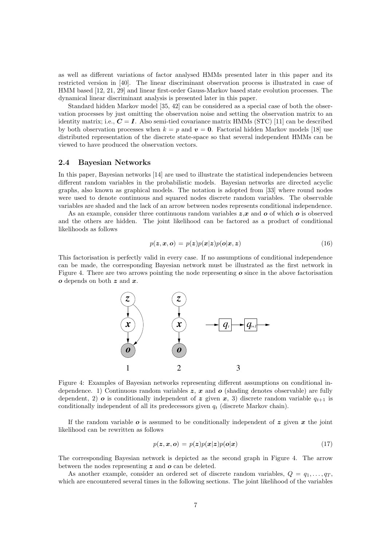as well as different variations of factor analysed HMMs presented later in this paper and its restricted version in [40]. The linear discriminant observation process is illustrated in case of HMM based [12, 21, 29] and linear first-order Gauss-Markov based state evolution processes. The dynamical linear discriminant analysis is presented later in this paper.

Standard hidden Markov model [35, 42] can be considered as a special case of both the observation processes by just omitting the observation noise and setting the observation matrix to an identity matrix; i.e.,  $C = I$ . Also semi-tied covariance matrix HMMs (STC) [11] can be described by both observation processes when  $k = p$  and  $v = 0$ . Factorial hidden Markov models [18] use distributed representation of the discrete state-space so that several independent HMMs can be viewed to have produced the observation vectors.

#### 2.4 Bayesian Networks

In this paper, Bayesian networks [14] are used to illustrate the statistical independencies between different random variables in the probabilistic models. Bayesian networks are directed acyclic graphs, also known as graphical models. The notation is adopted from [33] where round nodes were used to denote continuous and squared nodes discrete random variables. The observable variables are shaded and the lack of an arrow between nodes represents conditional independence.

As an example, consider three continuous random variables  $z, x$  and  $o$  of which  $o$  is observed and the others are hidden. The joint likelihood can be factored as a product of conditional likelihoods as follows

$$
p(z, x, o) = p(z)p(x|z)p(o|x, z)
$$
\n(16)

This factorisation is perfectly valid in every case. If no assumptions of conditional independence can be made, the corresponding Bayesian network must be illustrated as the first network in Figure 4. There are two arrows pointing the node representing  $\boldsymbol{o}$  since in the above factorisation  $o$  depends on both  $z$  and  $x$ .



Figure 4: Examples of Bayesian networks representing different assumptions on conditional independence. 1) Continuous random variables  $z, x$  and  $\boldsymbol{o}$  (shading denotes observable) are fully dependent, 2) **o** is conditionally independent of z given x, 3) discrete random variable  $q_{t+1}$  is conditionally independent of all its predecessors given  $q_t$  (discrete Markov chain).

If the random variable  $\boldsymbol{o}$  is assumed to be conditionally independent of  $\boldsymbol{z}$  given  $\boldsymbol{x}$  the joint likelihood can be rewritten as follows

$$
p(z, x, o) = p(z)p(x|z)p(o|x)
$$
\n(17)

The corresponding Bayesian network is depicted as the second graph in Figure 4. The arrow between the nodes representing  $z$  and  $\boldsymbol{o}$  can be deleted.

As another example, consider an ordered set of discrete random variables,  $Q = q_1, \ldots, q_T$ which are encountered several times in the following sections. The joint likelihood of the variables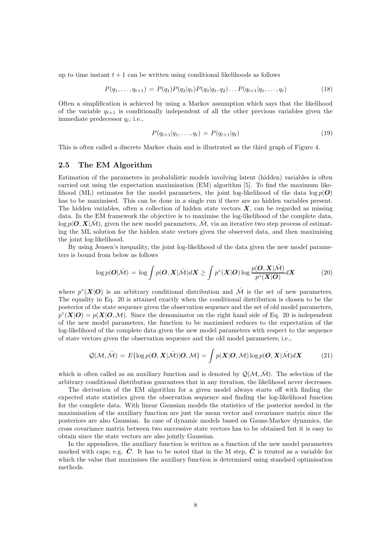up to time instant  $t + 1$  can be written using conditional likelihoods as follows

$$
P(q_1, \ldots, q_{t+1}) = P(q_1)P(q_2|q_1)P(q_3|q_1, q_2) \ldots P(q_{t+1}|q_1, \ldots, q_t)
$$
\n(18)

Often a simplification is achieved by using a Markov assumption which says that the likelihood of the variable  $q_{t+1}$  is conditionally independent of all the other previous variables given the immediate predecessor  $q_t$ ; i.e.,

$$
P(q_{t+1}|q_1,\ldots,q_t) = P(q_{t+1}|q_t)
$$
\n(19)

This is often called a discrete Markov chain and is illustrated as the third graph of Figure 4.

#### 2.5 The EM Algorithm

Estimation of the parameters in probabilistic models involving latent (hidden) variables is often carried out using the expectation maximisation (EM) algorithm [5]. To find the maximum likelihood (ML) estimates for the model parameters, the joint log-likelihood of the data  $\log p(\boldsymbol{O})$ has to be maximised. This can be done in a single run if there are no hidden variables present. The hidden variables, often a collection of hidden state vectors  $X$ , can be regarded as missing data. In the EM framework the objective is to maximise the log-likelihood of the complete data,  $\log p(\mathbf{O}, \mathbf{X}|\mathcal{M})$ , given the new model parameters,  $\mathcal{M}$ , via an iterative two step process of estimating the ML solution for the hidden state vectors given the observed data, and then maximising the joint log-likelihood.

By using Jensen's inequality, the joint log-likelihood of the data given the new model parameters is bound from below as follows

$$
\log p(\boldsymbol{O}|\hat{\mathcal{M}}) = \log \int p(\boldsymbol{O}, \boldsymbol{X}|\hat{\mathcal{M}}) d\boldsymbol{X} \ge \int p^{\circ}(\boldsymbol{X}|\boldsymbol{O}) \log \frac{p(\boldsymbol{O}, \boldsymbol{X}|\hat{\mathcal{M}})}{p^{\circ}(\boldsymbol{X}|\boldsymbol{O})} d\boldsymbol{X}
$$
(20)

where  $p^{\circ}(\mathbf{X}|\mathbf{O})$  is an arbitrary conditional distribution and  $\mathcal{\hat{M}}$  is the set of new parameters. The equality in Eq. 20 is attained exactly when the conditional distribution is chosen to be the posterior of the state sequence given the observation sequence and the set of old model parameters,  $p^{\circ}(\mathbf{X}|\mathbf{O}) = p(\mathbf{X}|\mathbf{O},\mathcal{M})$ . Since the denominator on the right hand side of Eq. 20 is independent of the new model parameters, the function to be maximised reduces to the expectation of the log-likelihood of the complete data given the new model parameters with respect to the sequence of state vectors given the observation sequence and the old model parameters; i.e.,

$$
Q(\mathcal{M},\hat{\mathcal{M}}) = E\{\log p(\boldsymbol{O},\boldsymbol{X}|\hat{\mathcal{M}})|\boldsymbol{O},\mathcal{M}\} = \int p(\boldsymbol{X}|\boldsymbol{O},\mathcal{M})\log p(\boldsymbol{O},\boldsymbol{X}|\hat{\mathcal{M}})d\boldsymbol{X}
$$
(21)

which is often called as an auxiliary function and is denoted by  $\mathcal{Q}(\mathcal{M},\mathcal{M})$ . The selection of the arbitrary conditional distribution guarantees that in any iteration, the likelihood never decreases.

The derivation of the EM algorithm for a given model always starts off with finding the expected state statistics given the observation sequence and finding the log-likelihood function for the complete data. With linear Gaussian models the statistics of the posterior needed in the maximisation of the auxiliary function are just the mean vector and covariance matrix since the posteriors are also Gaussian. In case of dynamic models based on Gauss-Markov dynamics, the cross covariance matrix between two successive state vectors has to be obtained but it is easy to obtain since the state vectors are also jointly Gaussian.

In the appendices, the auxiliary function is written as a function of the new model parameters marked with caps; e.g.  $\ddot{C}$ . It has to be noted that in the M step,  $\ddot{C}$  is treated as a variable for which the value that maximises the auxiliary function is determined using standard optimisation methods.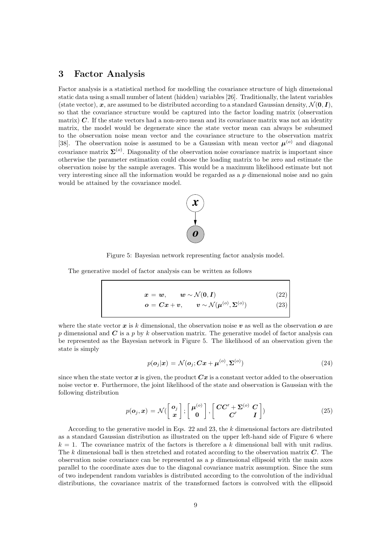## 3 Factor Analysis

Factor analysis is a statistical method for modelling the covariance structure of high dimensional static data using a small number of latent (hidden) variables [26]. Traditionally, the latent variables (state vector), x, are assumed to be distributed according to a standard Gaussian density,  $\mathcal{N}(0, I)$ , so that the covariance structure would be captured into the factor loading matrix (observation matrix)  $C$ . If the state vectors had a non-zero mean and its covariance matrix was not an identity matrix, the model would be degenerate since the state vector mean can always be subsumed to the observation noise mean vector and the covariance structure to the observation matrix [38]. The observation noise is assumed to be a Gaussian with mean vector  $\mu^{(o)}$  and diagonal covariance matrix  $\Sigma^{(o)}$ . Diagonality of the observation noise covariance matrix is important since otherwise the parameter estimation could choose the loading matrix to be zero and estimate the observation noise by the sample averages. This would be a maximum likelihood estimate but not very interesting since all the information would be regarded as a p dimensional noise and no gain would be attained by the covariance model.



Figure 5: Bayesian network representing factor analysis model.

The generative model of factor analysis can be written as follows

$$
\boldsymbol{x} = \boldsymbol{w}, \qquad \boldsymbol{w} \sim \mathcal{N}(\boldsymbol{0}, \boldsymbol{I}) \tag{22}
$$
\n
$$
\boldsymbol{o} = \boldsymbol{C}\boldsymbol{x} + \boldsymbol{v}, \qquad \boldsymbol{v} \sim \mathcal{N}(\boldsymbol{\mu}^{(o)}, \boldsymbol{\Sigma}^{(o)}) \tag{23}
$$

where the state vector x is k dimensional, the observation noise v as well as the observation  $\boldsymbol{o}$  are p dimensional and  $C$  is a p by k observation matrix. The generative model of factor analysis can be represented as the Bayesian network in Figure 5. The likelihood of an observation given the state is simply

$$
p(\boldsymbol{o}_j|\boldsymbol{x}) = \mathcal{N}(\boldsymbol{o}_j; \boldsymbol{C}\boldsymbol{x} + \boldsymbol{\mu}^{(o)}, \boldsymbol{\Sigma}^{(o)})
$$
(24)

since when the state vector  $x$  is given, the product  $Cx$  is a constant vector added to the observation noise vector  $v$ . Furthermore, the joint likelihood of the state and observation is Gaussian with the following distribution

$$
p(\boldsymbol{o}_j, \boldsymbol{x}) = \mathcal{N}(\begin{bmatrix} \boldsymbol{o}_j \\ \boldsymbol{x} \end{bmatrix}; \begin{bmatrix} \boldsymbol{\mu}^{(o)} \\ \mathbf{0} \end{bmatrix}, \begin{bmatrix} \boldsymbol{CC'} + \boldsymbol{\Sigma}^{(o)} & \boldsymbol{C} \\ \boldsymbol{C'} & \boldsymbol{I} \end{bmatrix})
$$
(25)

According to the generative model in Eqs. 22 and 23, the k dimensional factors are distributed as a standard Gaussian distribution as illustrated on the upper left-hand side of Figure 6 where  $k = 1$ . The covariance matrix of the factors is therefore a k dimensional ball with unit radius. The k dimensional ball is then stretched and rotated according to the observation matrix  $C$ . The observation noise covariance can be represented as a  $p$  dimensional ellipsoid with the main axes parallel to the coordinate axes due to the diagonal covariance matrix assumption. Since the sum of two independent random variables is distributed according to the convolution of the individual distributions, the covariance matrix of the transformed factors is convolved with the ellipsoid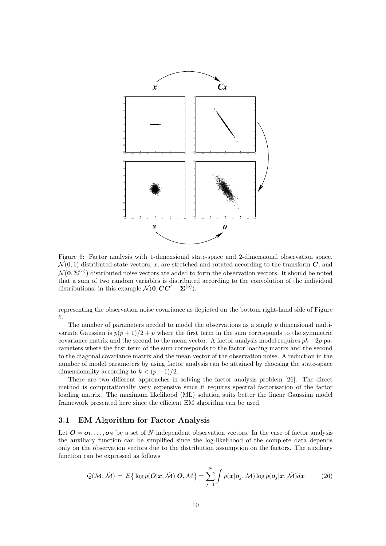

Figure 6: Factor analysis with 1-dimensional state-space and 2-dimensional observation space.  $\mathcal{N}(0, 1)$  distributed state vectors, x, are stretched and rotated according to the transform  $\mathbf{C}$ , and  $\mathcal{N}(\mathbf{0}, \mathbf{\Sigma}^{(o)})$  distributed noise vectors are added to form the observation vectors. It should be noted that a sum of two random variables is distributed according to the convolution of the individual distributions; in this example  $\mathcal{N}(\mathbf{0}, \mathbf{CC}' + \mathbf{\Sigma}^{(o)})$ .

representing the observation noise covariance as depicted on the bottom right-hand side of Figure 6.

The number of parameters needed to model the observations as a single  $p$  dimensional multivariate Gaussian is  $p(p+1)/2 + p$  where the first term in the sum corresponds to the symmetric covariance matrix and the second to the mean vector. A factor analysis model requires  $pk + 2p$  parameters where the first term of the sum corresponds to the factor loading matrix and the second to the diagonal covariance matrix and the mean vector of the observation noise. A reduction in the number of model parameters by using factor analysis can be attained by choosing the state-space dimensionality according to  $k < (p-1)/2$ .

There are two different approaches in solving the factor analysis problem [26]. The direct method is computationally very expensive since it requires spectral factorisation of the factor loading matrix. The maximum likelihood (ML) solution suits better the linear Gaussian model framework presented here since the efficient EM algorithm can be used.

#### 3.1 EM Algorithm for Factor Analysis

Let  $\mathbf{O} = \mathbf{o}_1, \ldots, \mathbf{o}_N$  be a set of N independent observation vectors. In the case of factor analysis the auxiliary function can be simplified since the log-likelihood of the complete data depends only on the observation vectors due to the distribution assumption on the factors. The auxiliary function can be expressed as follows

$$
Q(\mathcal{M}, \hat{\mathcal{M}}) = E\{ \log p(\boldsymbol{O}|\boldsymbol{x}, \hat{\mathcal{M}}) | \boldsymbol{O}, \mathcal{M} \} = \sum_{j=1}^{N} \int p(\boldsymbol{x}|\boldsymbol{o}_j, \mathcal{M}) \log p(\boldsymbol{o}_j|\boldsymbol{x}, \hat{\mathcal{M}}) d\boldsymbol{x}
$$
(26)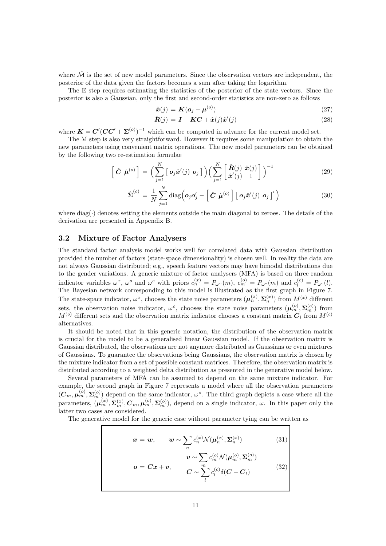where  $\hat{\mathcal{M}}$  is the set of new model parameters. Since the observation vectors are independent, the posterior of the data given the factors becomes a sum after taking the logarithm.

The E step requires estimating the statistics of the posterior of the state vectors. Since the posterior is also a Gaussian, only the first and second-order statistics are non-zero as follows

$$
\hat{\boldsymbol{x}}(j) = \boldsymbol{K}(\boldsymbol{o}_j - \boldsymbol{\mu}^{(o)})
$$
\n(27)

$$
\hat{\mathbf{R}}(j) = \mathbf{I} - \mathbf{K}\mathbf{C} + \hat{\mathbf{x}}(j)\hat{\mathbf{x}}'(j)
$$
\n(28)

where  $K = C'(CC' + \Sigma^{(o)})^{-1}$  which can be computed in advance for the current model set.

The M step is also very straightforward. However it requires some manipulation to obtain the new parameters using convenient matrix operations. The new model parameters can be obtained by the following two re-estimation formulae

$$
\left[\hat{\boldsymbol{C}}\ \hat{\boldsymbol{\mu}}^{(o)}\right] = \Big(\sum_{j=1}^N \left[\ \boldsymbol{o}_j \hat{\boldsymbol{x}}'(j)\ \boldsymbol{o}_j\ \right] \Big) \Big(\sum_{j=1}^N \left[\begin{array}{c} \hat{\boldsymbol{R}}(j)\ \hat{\boldsymbol{x}}(j) \\ \hat{\boldsymbol{x}}'(j) \end{array}\right] \Big)^{-1} \tag{29}
$$

$$
\hat{\Sigma}^{(o)} = \frac{1}{N} \sum_{j=1}^{N} \text{diag} \left( \boldsymbol{o}_j \boldsymbol{o}_j' - \left[ \hat{\boldsymbol{C}} \ \hat{\boldsymbol{\mu}}^{(o)} \right] \left[ \ \boldsymbol{o}_j \hat{\boldsymbol{x}}'(j) \ \boldsymbol{o}_j \right]'\right) \tag{30}
$$

where  $\text{diag}(\cdot)$  denotes setting the elements outside the main diagonal to zeroes. The details of the derivation are presented in Appendix B.

#### 3.2 Mixture of Factor Analysers

The standard factor analysis model works well for correlated data with Gaussian distribution provided the number of factors (state-space dimensionality) is chosen well. In reality the data are not always Gaussian distributed; e.g., speech feature vectors may have bimodal distributions due to the gender variations. A generic mixture of factor analysers (MFA) is based on three random indicator variables  $\omega^x$ ,  $\omega^o$  and  $\omega^c$  with priors  $c_n^{(x)} = P_{\omega^n}(m)$ ,  $c_m^{(o)} = P_{\omega^o}(m)$  and  $c_l^{(c)} = P_{\omega^c}(l)$ . The Bayesian network corresponding to this model is illustrated as the first graph in Figure 7. The state-space indicator,  $\omega^x$ , chooses the state noise parameters  $(\mu_n^{(x)}, \Sigma_n^{(x)})$  from  $M^{(x)}$  different sets, the observation noise indicator,  $\omega^o$ , chooses the state noise parameters  $(\mu_m^{(o)}, \Sigma_m^{(o)})$  from  $M^{(o)}$  different sets and the observation matrix indicator chooses a constant matrix  $C_l$  from  $M^{(c)}$ alternatives.

It should be noted that in this generic notation, the distribution of the observation matrix is crucial for the model to be a generalised linear Gaussian model. If the observation matrix is Gaussian distributed, the observations are not anymore distributed as Gaussians or even mixtures of Gaussians. To guarantee the observations being Gaussians, the observation matrix is chosen by the mixture indicator from a set of possible constant matrices. Therefore, the observation matrix is distributed according to a weighted delta distribution as presented in the generative model below.

Several parameters of MFA can be assumed to depend on the same mixture indicator. For example, the second graph in Figure 7 represents a model where all the observation parameters  $(C_m, \mu_m^{(o)}, \Sigma_m^{(o)})$  depend on the same indicator,  $\omega^o$ . The third graph depicts a case where all the parameters,  $(\mu_m^{(x)}, \Sigma_m^{(x)}, C_m, \mu_m^{(o)}, \Sigma_m^{(o)})$ , depend on a single indicator,  $\omega$ . In this paper only the latter two cases are considered.

The generative model for the generic case without parameter tying can be written as

$$
\boldsymbol{x} = \boldsymbol{w}, \qquad \boldsymbol{w} \sim \sum_{n} c_n^{(x)} \mathcal{N}(\boldsymbol{\mu}_n^{(x)}, \boldsymbol{\Sigma}_n^{(x)}) \qquad (31)
$$

$$
\boldsymbol{v} \sim \sum_{n} c_m^{(o)} \mathcal{N}(\boldsymbol{\mu}_m^{(o)}, \boldsymbol{\Sigma}_m^{(o)})
$$

$$
\boldsymbol{o} = \boldsymbol{C}\boldsymbol{x} + \boldsymbol{v}, \qquad \boldsymbol{C} \sim \sum_{l}^{m} c_l^{(c)} \delta(\boldsymbol{C} - \boldsymbol{C}_l) \qquad (32)
$$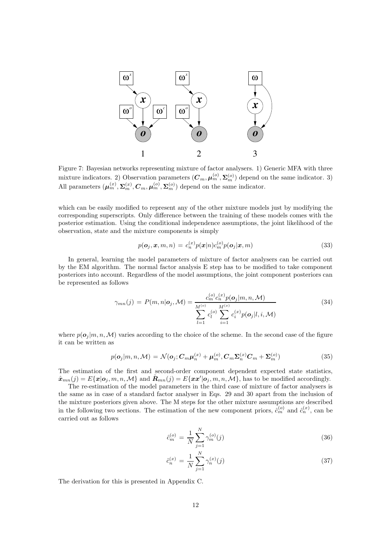

Figure 7: Bayesian networks representing mixture of factor analysers. 1) Generic MFA with three mixture indicators. 2) Observation parameters  $(C_m, \mu_m^{(o)}, \Sigma_m^{(o)})$  depend on the same indicator. 3) All parameters  $(\mu_m^{(x)}, \Sigma_m^{(x)}, C_m, \mu_m^{(o)}, \Sigma_m^{(o)})$  depend on the same indicator.

which can be easily modified to represent any of the other mixture models just by modifying the corresponding superscripts. Only difference between the training of these models comes with the posterior estimation. Using the conditional independence assumptions, the joint likelihood of the observation, state and the mixture components is simply

$$
p(\boldsymbol{o}_j, \boldsymbol{x}, m, n) = c_n^{(\boldsymbol{x})} p(\boldsymbol{x}|n) c_m^{(\boldsymbol{o})} p(\boldsymbol{o}_j | \boldsymbol{x}, m)
$$
\n(33)

In general, learning the model parameters of mixture of factor analysers can be carried out by the EM algorithm. The normal factor analysis E step has to be modified to take component posteriors into account. Regardless of the model assumptions, the joint component posteriors can be represented as follows

$$
\gamma_{mn}(j) = P(m,n|\mathbf{o}_j,\mathcal{M}) = \frac{c_m^{(o)}c_n^{(x)}p(\mathbf{o}_j|m,n,\mathcal{M})}{\sum_{l=1}^{M^{(o)}}c_l^{(o)}\sum_{i=1}^{M^{(x)}}c_i^{(x)}p(\mathbf{o}_j|l,i,\mathcal{M})}
$$
(34)

where  $p(\boldsymbol{o}_i | m, n, \mathcal{M})$  varies according to the choice of the scheme. In the second case of the figure it can be written as

$$
p(\boldsymbol{o}_j|m,n,\mathcal{M}) = \mathcal{N}(\boldsymbol{o}_j; \boldsymbol{C}_m \boldsymbol{\mu}_n^{(x)} + \boldsymbol{\mu}_m^{(o)}, \boldsymbol{C}_m \boldsymbol{\Sigma}_n^{(x)} \boldsymbol{C}_m + \boldsymbol{\Sigma}_m^{(o)})
$$
(35)

The estimation of the first and second-order component dependent expected state statistics,  $\hat{\boldsymbol{x}}_{mn}(j) = E\{\boldsymbol{x}|\boldsymbol{o}_j, m, n, \mathcal{M}\}\$ and  $\hat{\boldsymbol{R}}_{mn}(j) = E\{\boldsymbol{x}\boldsymbol{x}'|\boldsymbol{o}_j, m, n, \mathcal{M}\}\)$ , has to be modified accordingly.

The re-estimation of the model parameters in the third case of mixture of factor analysers is the same as in case of a standard factor analyser in Eqs. 29 and 30 apart from the inclusion of the mixture posteriors given above. The M steps for the other mixture assumptions are described in the following two sections. The estimation of the new component priors,  $\hat{c}_m^{(o)}$  and  $\hat{c}_n^{(x)}$ , can be carried out as follows

$$
\hat{c}_m^{(o)} = \frac{1}{N} \sum_{j=1}^N \gamma_m^{(o)}(j) \tag{36}
$$

$$
\hat{c}_n^{(x)} = \frac{1}{N} \sum_{j=1}^N \gamma_n^{(x)}(j) \tag{37}
$$

The derivation for this is presented in Appendix C.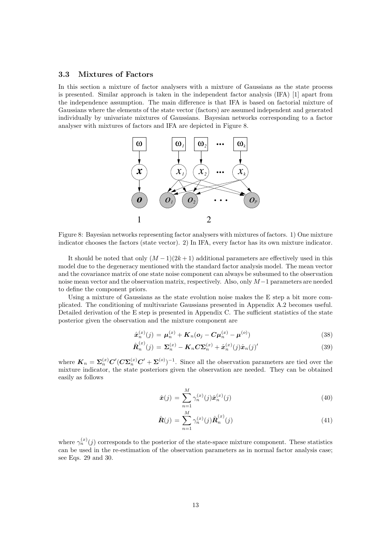#### 3.3 Mixtures of Factors

In this section a mixture of factor analysers with a mixture of Gaussians as the state process is presented. Similar approach is taken in the independent factor analysis (IFA) [1] apart from the independence assumption. The main difference is that IFA is based on factorial mixture of Gaussians where the elements of the state vector (factors) are assumed independent and generated individually by univariate mixtures of Gaussians. Bayesian networks corresponding to a factor analyser with mixtures of factors and IFA are depicted in Figure 8.



Figure 8: Bayesian networks representing factor analysers with mixtures of factors. 1) One mixture indicator chooses the factors (state vector). 2) In IFA, every factor has its own mixture indicator.

It should be noted that only  $(M-1)(2k+1)$  additional parameters are effectively used in this model due to the degeneracy mentioned with the standard factor analysis model. The mean vector and the covariance matrix of one state noise component can always be subsumed to the observation noise mean vector and the observation matrix, respectively. Also, only M−1 parameters are needed to define the component priors.

Using a mixture of Gaussians as the state evolution noise makes the E step a bit more complicated. The conditioning of multivariate Gaussians presented in Appendix A.2 becomes useful. Detailed derivation of the E step is presented in Appendix C. The sufficient statistics of the state posterior given the observation and the mixture component are

$$
\hat{\mathbf{x}}_n^{(x)}(j) = \mu_n^{(x)} + K_n(o_j - C\mu_n^{(x)} - \mu^{(o)})
$$
\n(38)

$$
\hat{\boldsymbol{R}}_n^{(x)}(j) = \boldsymbol{\Sigma}_n^{(x)} - \boldsymbol{K}_n \boldsymbol{C} \boldsymbol{\Sigma}_n^{(x)} + \hat{\boldsymbol{x}}_n^{(x)}(j) \hat{\boldsymbol{x}}_n(j)'
$$
(39)

where  $K_n = \sum_n^{(x)} C' (C \sum_n^{(x)} C' + \Sigma^{(o)})^{-1}$ . Since all the observation parameters are tied over the mixture indicator, the state posteriors given the observation are needed. They can be obtained easily as follows

$$
\hat{\boldsymbol{x}}(j) = \sum_{n=1}^{M} \gamma_n^{(x)}(j) \hat{\boldsymbol{x}}_n^{(x)}(j)
$$
\n(40)

$$
\hat{\mathbf{R}}(j) = \sum_{n=1}^{M} \gamma_n^{(x)}(j) \hat{\mathbf{R}}_n^{(x)}(j)
$$
(41)

where  $\gamma_n^{(x)}(j)$  corresponds to the posterior of the state-space mixture component. These statistics can be used in the re-estimation of the observation parameters as in normal factor analysis case; see Eqs. 29 and 30.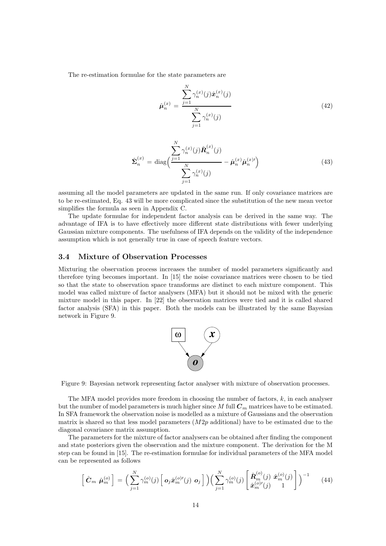The re-estimation formulae for the state parameters are

$$
\hat{\mu}_n^{(x)} = \frac{\sum_{j=1}^N \gamma_n^{(x)}(j)\hat{x}_n^{(x)}(j)}{\sum_{j=1}^N \gamma_n^{(x)}(j)}
$$
(42)

$$
\hat{\Sigma}_n^{(x)} = \text{diag}\bigg(\frac{\sum_{j=1}^N \gamma_n^{(x)}(j) \hat{\boldsymbol{R}}_n^{(x)}(j)}{\sum_{j=1}^N \gamma_n^{(x)}(j)} - \hat{\boldsymbol{\mu}}_n^{(x)} \hat{\boldsymbol{\mu}}_n^{(x)}\bigg)
$$
(43)

assuming all the model parameters are updated in the same run. If only covariance matrices are to be re-estimated, Eq. 43 will be more complicated since the substitution of the new mean vector simplifies the formula as seen in Appendix C.

The update formulae for independent factor analysis can be derived in the same way. The advantage of IFA is to have effectively more different state distributions with fewer underlying Gaussian mixture components. The usefulness of IFA depends on the validity of the independence assumption which is not generally true in case of speech feature vectors.

#### 3.4 Mixture of Observation Processes

Mixturing the observation process increases the number of model parameters significantly and therefore tying becomes important. In [15] the noise covariance matrices were chosen to be tied so that the state to observation space transforms are distinct to each mixture component. This model was called mixture of factor analysers (MFA) but it should not be mixed with the generic mixture model in this paper. In [22] the observation matrices were tied and it is called shared factor analysis (SFA) in this paper. Both the models can be illustrated by the same Bayesian network in Figure 9.



Figure 9: Bayesian network representing factor analyser with mixture of observation processes.

The MFA model provides more freedom in choosing the number of factors,  $k$ , in each analyser but the number of model parameters is much higher since M full  $C_m$  matrices have to be estimated. In SFA framework the observation noise is modelled as a mixture of Gaussians and the observation matrix is shared so that less model parameters  $(M2p \text{ additional})$  have to be estimated due to the diagonal covariance matrix assumption.

The parameters for the mixture of factor analysers can be obtained after finding the component and state posteriors given the observation and the mixture component. The derivation for the M step can be found in [15]. The re-estimation formulae for individual parameters of the MFA model can be represented as follows

$$
\left[\hat{\mathbf{C}}_m \ \hat{\boldsymbol{\mu}}_m^{(o)}\right] = \left(\sum_{j=1}^N \gamma_m^{(o)}(j) \left[\mathbf{o}_j \hat{\mathbf{x}}_m^{(o) \prime}(j) \ \mathbf{o}_j\right]\right) \left(\sum_{j=1}^N \gamma_m^{(o)}(j) \left[\hat{\mathbf{R}}_m^{(o)}(j) \ \hat{\mathbf{x}}_m^{(o)}(j)\right]\right)^{-1} \tag{44}
$$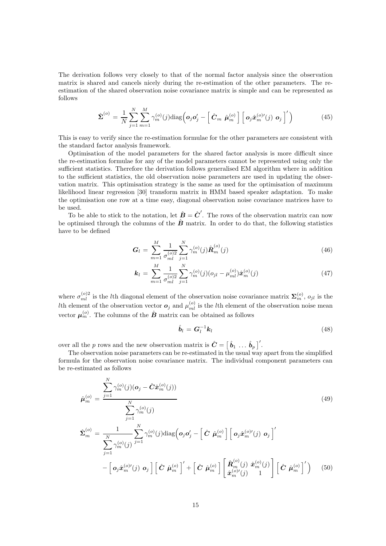The derivation follows very closely to that of the normal factor analysis since the observation matrix is shared and cancels nicely during the re-estimation of the other parameters. The reestimation of the shared observation noise covariance matrix is simple and can be represented as follows

$$
\hat{\Sigma}^{(o)} = \frac{1}{N} \sum_{j=1}^{N} \sum_{m=1}^{M} \gamma_m^{(o)}(j) \text{diag}\left(\boldsymbol{o}_j \boldsymbol{o}_j' - \left[\hat{\boldsymbol{C}}_m \ \hat{\boldsymbol{\mu}}_m^{(o)}\right] \left[\boldsymbol{o}_j \hat{\boldsymbol{x}}_m^{(o) \prime}(j) \ \boldsymbol{o}_j\right]'\right) \tag{45}
$$

This is easy to verify since the re-estimation formulae for the other parameters are consistent with the standard factor analysis framework.

Optimisation of the model parameters for the shared factor analysis is more difficult since the re-estimation formulae for any of the model parameters cannot be represented using only the sufficient statistics. Therefore the derivation follows generalised EM algorithm where in addition to the sufficient statistics, the old observation noise parameters are used in updating the observation matrix. This optimisation strategy is the same as used for the optimisation of maximum likelihood linear regression [30] transform matrix in HMM based speaker adaptation. To make the optimisation one row at a time easy, diagonal observation noise covariance matrices have to be used.

To be able to stick to the notation, let  $\hat{B} = \hat{C}'$ . The rows of the observation matrix can now be optimised through the columns of the  $\hat{B}$  matrix. In order to do that, the following statistics have to be defined

$$
G_l = \sum_{m=1}^{M} \frac{1}{\sigma_{ml}^{(o)2}} \sum_{j=1}^{N} \gamma_m^{(o)}(j) \hat{\boldsymbol{R}}_m^{(o)}(j)
$$
(46)

$$
\mathbf{k}_{l} = \sum_{m=1}^{M} \frac{1}{\sigma_{ml}^{(o)2}} \sum_{j=1}^{N} \gamma_{m}^{(o)}(j) (\mathbf{o}_{jl} - \mu_{ml}^{(o)}) \hat{\mathbf{x}}_{m}^{(o)}(j) \tag{47}
$$

where  $\sigma_{ml}^{(o)2}$  is the lth diagonal element of the observation noise covariance matrix  $\Sigma_{m}^{(o)}$ ,  $o_{jl}$  is the Ith element of the observation vector  $o_j$  and  $\mu_{ml}^{(o)}$  is the lth element of the observation noise mean vector  $\mu_m^{(o)}$ . The columns of the  $\hat{B}$  matrix can be obtained as follows

$$
\hat{\boldsymbol{b}}_l = \boldsymbol{G}_l^{-1} \boldsymbol{k}_l \tag{48}
$$

over all the p rows and the new observation matrix is  $\hat{C} = \begin{bmatrix} \hat{b}_1 \dots \hat{b}_p \end{bmatrix}$ .

The observation noise parameters can be re-estimated in the usual way apart from the simplified formula for the observation noise covariance matrix. The individual component parameters can be re-estimated as follows

$$
\hat{\mu}_{m}^{(o)} = \frac{\sum_{j=1}^{N} \gamma_{m}^{(o)}(j)(\mathbf{o}_{j} - \hat{C}\hat{\mathbf{x}}_{m}^{(o)}(j))}{\sum_{j=1}^{N} \gamma_{m}^{(o)}(j)}
$$
\n
$$
\hat{\Sigma}_{m}^{(o)} = \frac{1}{\sum_{j=1}^{N} \gamma_{m}^{(o)}(j)} \sum_{j=1}^{N} \gamma_{m}^{(o)}(j) \text{diag}\left(\mathbf{o}_{j}\mathbf{o}_{j}^{\prime} - \left[\hat{C} \hat{\boldsymbol{\mu}}_{m}^{(o)}\right] \left[\mathbf{o}_{j}\hat{\mathbf{x}}_{m}^{(o)\prime}(j) \mathbf{o}_{j}\right]^{\prime} - \left[\mathbf{o}_{j}\hat{\mathbf{x}}_{m}^{(o)\prime}(j) \mathbf{o}_{j}\right] \left[\hat{C} \hat{\boldsymbol{\mu}}_{m}^{(o)}\right]^{\prime} + \left[\hat{C} \hat{\boldsymbol{\mu}}_{m}^{(o)}\right] \left[\hat{\mathbf{R}}_{m}^{(o)}(j) \hat{\mathbf{x}}_{m}^{(o)}(j)\right] \left[\hat{C} \hat{\boldsymbol{\mu}}_{m}^{(o)}\right]^{\prime}\right) \quad (50)
$$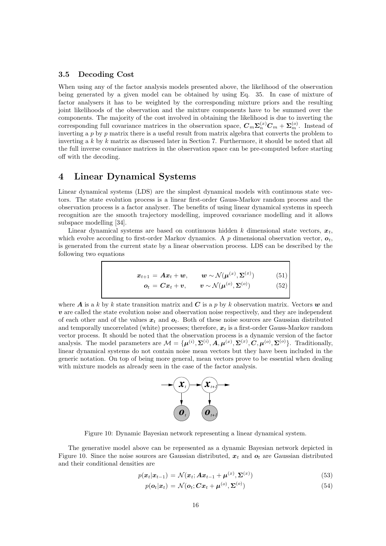#### 3.5 Decoding Cost

When using any of the factor analysis models presented above, the likelihood of the observation being generated by a given model can be obtained by using Eq. 35. In case of mixture of factor analysers it has to be weighted by the corresponding mixture priors and the resulting joint likelihoods of the observation and the mixture components have to be summed over the components. The majority of the cost involved in obtaining the likelihood is due to inverting the corresponding full covariance matrices in the observation space,  $C_m \Sigma_n^{(x)} C_m + \Sigma_m^{(o)}$ . Instead of inverting a  $p$  by  $p$  matrix there is a useful result from matrix algebra that converts the problem to inverting a k by k matrix as discussed later in Section 7. Furthermore, it should be noted that all the full inverse covariance matrices in the observation space can be pre-computed before starting off with the decoding.

## 4 Linear Dynamical Systems

Linear dynamical systems (LDS) are the simplest dynamical models with continuous state vectors. The state evolution process is a linear first-order Gauss-Markov random process and the observation process is a factor analyser. The benefits of using linear dynamical systems in speech recognition are the smooth trajectory modelling, improved covariance modelling and it allows subspace modelling [34].

Linear dynamical systems are based on continuous hidden k dimensional state vectors,  $x_t$ , which evolve according to first-order Markov dynamics. A p dimensional observation vector,  $o_t$ , is generated from the current state by a linear observation process. LDS can be described by the following two equations

$$
\boldsymbol{x}_{t+1} = \boldsymbol{A}\boldsymbol{x}_t + \boldsymbol{w}, \qquad \boldsymbol{w} \sim \mathcal{N}(\boldsymbol{\mu}^{(x)}, \boldsymbol{\Sigma}^{(x)}) \qquad (51)
$$
\n
$$
\boldsymbol{o}_t = \boldsymbol{C}\boldsymbol{x}_t + \boldsymbol{v}, \qquad \boldsymbol{v} \sim \mathcal{N}(\boldsymbol{\mu}^{(o)}, \boldsymbol{\Sigma}^{(o)}) \qquad (52)
$$

where A is a k by k state transition matrix and C is a p by k observation matrix. Vectors  $w$  and v are called the state evolution noise and observation noise respectively, and they are independent of each other and of the values  $x_t$  and  $o_t$ . Both of these noise sources are Gaussian distributed and temporally uncorrelated (white) processes; therefore,  $x_t$  is a first-order Gauss-Markov random vector process. It should be noted that the observation process is a dynamic version of the factor analysis. The model parameters are  $M = {\mu^{(i)}, \Sigma^{(i)}, A, \mu^{(x)}, \Sigma^{(x)}, C, \mu^{(o)}, \Sigma^{(o)}}$ . Traditionally, linear dynamical systems do not contain noise mean vectors but they have been included in the generic notation. On top of being more general, mean vectors prove to be essential when dealing with mixture models as already seen in the case of the factor analysis.



Figure 10: Dynamic Bayesian network representing a linear dynamical system.

The generative model above can be represented as a dynamic Bayesian network depicted in Figure 10. Since the noise sources are Gaussian distributed,  $x_t$  and  $\boldsymbol{o}_t$  are Gaussian distributed and their conditional densities are

$$
p(\boldsymbol{x}_t|\boldsymbol{x}_{t-1}) = \mathcal{N}(\boldsymbol{x}_t; \boldsymbol{A}\boldsymbol{x}_{t-1} + \boldsymbol{\mu}^{(x)}, \boldsymbol{\Sigma}^{(x)})
$$
\n(53)

$$
p(\boldsymbol{o}_t|\boldsymbol{x}_t) = \mathcal{N}(\boldsymbol{o}_t; \boldsymbol{C}\boldsymbol{x}_t + \boldsymbol{\mu}^{(o)}, \boldsymbol{\Sigma}^{(o)})
$$
\n(54)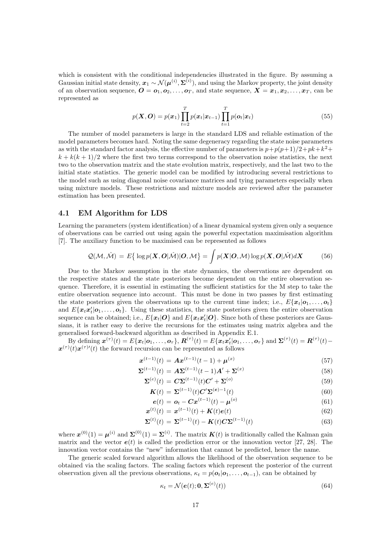which is consistent with the conditional independencies illustrated in the figure. By assuming a Gaussian initial state density,  $x_1 \sim \mathcal{N}(\boldsymbol{\mu}^{(i)}, \boldsymbol{\Sigma}^{(i)})$ , and using the Markov property, the joint density of an observation sequence,  $\boldsymbol{O} = \boldsymbol{o}_1, \boldsymbol{o}_2, \ldots, \boldsymbol{o}_T$ , and state sequence,  $\boldsymbol{X} = \boldsymbol{x}_1, \boldsymbol{x}_2, \ldots, \boldsymbol{x}_T$ , can be represented as

$$
p(\boldsymbol{X}, \boldsymbol{O}) = p(\boldsymbol{x}_1) \prod_{t=2}^{T} p(\boldsymbol{x}_t | \boldsymbol{x}_{t-1}) \prod_{t=1}^{T} p(\boldsymbol{o}_t | \boldsymbol{x}_t)
$$
\n(55)

The number of model parameters is large in the standard LDS and reliable estimation of the model parameters becomes hard. Noting the same degeneracy regarding the state noise parameters as with the standard factor analysis, the effective number of parameters is  $p+p(p+1)/2+pk+k^2+$  $k + k(k + 1)/2$  where the first two terms correspond to the observation noise statistics, the next two to the observation matrix and the state evolution matrix, respectively, and the last two to the initial state statistics. The generic model can be modified by introducing several restrictions to the model such as using diagonal noise covariance matrices and tying parameters especially when using mixture models. These restrictions and mixture models are reviewed after the parameter estimation has been presented.

#### 4.1 EM Algorithm for LDS

Learning the parameters (system identification) of a linear dynamical system given only a sequence of observations can be carried out using again the powerful expectation maximisation algorithm [7]. The auxiliary function to be maximised can be represented as follows

$$
Q(\mathcal{M},\hat{\mathcal{M}}) = E\{ \log p(\mathbf{X},\boldsymbol{O}|\hat{\mathcal{M}})|\boldsymbol{O},\mathcal{M} \} = \int p(\mathbf{X}|\boldsymbol{O},\mathcal{M}) \log p(\mathbf{X},\boldsymbol{O}|\hat{\mathcal{M}}) d\mathbf{X}
$$
(56)

Due to the Markov assumption in the state dynamics, the observations are dependent on the respective states and the state posteriors become dependent on the entire observation sequence. Therefore, it is essential in estimating the sufficient statistics for the M step to take the entire observation sequence into account. This must be done in two passes by first estimating the state posteriors given the observations up to the current time index; i.e.,  $E{\lbrace \mathbf{x}_t | \mathbf{o}_1, ..., \mathbf{o}_t \rbrace}$ and  $E\{\boldsymbol{x}_t \boldsymbol{x}_t' | \boldsymbol{o}_1, \dots, \boldsymbol{o}_t\}$ . Using these statistics, the state posteriors given the entire observation sequence can be obtained; i.e.,  $E\{\bm{x}_t | \bm{O}\}$  and  $E\{\bm{x}_t \bm{x}'_t | \bm{O}\}$ . Since both of these posteriors are Gaussians, it is rather easy to derive the recursions for the estimates using matrix algebra and the generalised forward-backward algorithm as described in Appendix E.1.

By defining  $\mathbf{x}^{(\tau)}(t) = E\{\mathbf{x}_t | \mathbf{o}_1, \dots, \mathbf{o}_\tau\}, \mathbf{R}^{(\tau)}(t) = E\{\mathbf{x}_t \mathbf{x}_t' | \mathbf{o}_1, \dots, \mathbf{o}_\tau\}$  and  $\mathbf{\Sigma}^{(\tau)}(t) = \mathbf{R}^{(\tau)}(t) \mathbf{x}^{(\tau)}(t)\mathbf{x}^{(\tau)}(t)$  the forward recursion can be represented as follows

$$
\boldsymbol{x}^{(t-1)}(t) = \boldsymbol{A}\boldsymbol{x}^{(t-1)}(t-1) + \boldsymbol{\mu}^{(x)}
$$
\n(57)

$$
\Sigma^{(t-1)}(t) = A\Sigma^{(t-1)}(t-1)A' + \Sigma^{(x)}
$$
\n(58)

$$
\Sigma^{(e)}(t) = C\Sigma^{(t-1)}(t)C' + \Sigma^{(o)}
$$
\n(59)

$$
\mathbf{K}(t) = \mathbf{\Sigma}^{(t-1)}(t)\mathbf{C}'\mathbf{\Sigma}^{(e)-1}(t)
$$
\n(60)

$$
\mathbf{e}(t) = \mathbf{o}_t - \mathbf{C} \mathbf{x}^{(t-1)}(t) - \boldsymbol{\mu}^{(o)}
$$
(61)

$$
\mathbf{x}^{(t)}(t) = \mathbf{x}^{(t-1)}(t) + \mathbf{K}(t)\mathbf{e}(t)
$$
\n(62)

$$
\Sigma^{(t)}(t) = \Sigma^{(t-1)}(t) - K(t)C\Sigma^{(t-1)}(t)
$$
\n(63)

where  $\mathbf{x}^{(0)}(1) = \mathbf{\mu}^{(i)}$  and  $\mathbf{\Sigma}^{(0)}(1) = \mathbf{\Sigma}^{(i)}$ . The matrix  $\mathbf{K}(t)$  is traditionally called the Kalman gain matrix and the vector  $e(t)$  is called the prediction error or the innovation vector [27, 28]. The innovation vector contains the "new" information that cannot be predicted, hence the name.

The generic scaled forward algorithm allows the likelihood of the observation sequence to be obtained via the scaling factors. The scaling factors which represent the posterior of the current observation given all the previous observations,  $\kappa_t = p(o_t|o_1, \ldots, o_{t-1})$ , can be obtained by

$$
\kappa_t = \mathcal{N}(\boldsymbol{e}(t); \mathbf{0}, \boldsymbol{\Sigma}^{(e)}(t))
$$
\n(64)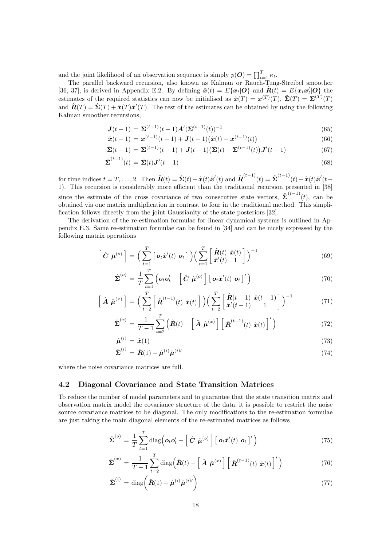and the joint likelihood of an observation sequence is simply  $p(O) = \prod_{t=1}^{T} \kappa_t$ .

The parallel backward recursion, also known as Kalman or Rauch-Tung-Streibel smoother [36, 37], is derived in Appendix E.2. By defining  $\hat{x}(t) = E\{x_t | \mathbf{O}\}\$ and  $\hat{R}(t) = E\{x_t x_t' | \mathbf{O}\}\$ the estimates of the required statistics can now be initialised as  $\hat{\mathbf{x}}(T) = \mathbf{x}^{(T)}(T)$ ,  $\hat{\mathbf{\Sigma}}(T) = \mathbf{\Sigma}^{(T)}(T)$ and  $\hat{\mathbf{R}}(T) = \hat{\Sigma}(T) + \hat{\mathbf{x}}(T)\hat{\mathbf{x}}'(T)$ . The rest of the estimates can be obtained by using the following Kalman smoother recursions,

$$
J(t-1) = \Sigma^{(t-1)}(t-1)A'(\Sigma^{(t-1)}(t))^{-1}
$$
\n(65)

$$
\hat{\boldsymbol{x}}(t-1) = \boldsymbol{x}^{(t-1)}(t-1) + \boldsymbol{J}(t-1) (\hat{\boldsymbol{x}}(t) - \boldsymbol{x}^{(t-1)}(t))
$$
\n(66)

$$
\hat{\Sigma}(t-1) = \Sigma^{(t-1)}(t-1) + J(t-1)\big(\hat{\Sigma}(t) - \Sigma^{(t-1)}(t)\big)J'(t-1) \tag{67}
$$

$$
\hat{\boldsymbol{\Sigma}}^{(t-1)}(t) = \hat{\boldsymbol{\Sigma}}(t)\boldsymbol{J}'(t-1) \tag{68}
$$

for time indices  $t = T, \ldots, 2$ . Then  $\hat{R}(t) = \hat{\Sigma}(t) + \hat{x}(t)\hat{x}'(t)$  and  $\hat{R}^{(t-1)}(t) = \hat{\Sigma}^{(t-1)}(t) + \hat{x}(t)\hat{x}'(t-$ 1). This recursion is considerably more efficient than the traditional recursion presented in [38] since the estimate of the cross covariance of two consecutive state vectors,  $\hat{\Sigma}^{(t-1)}(t)$ , can be obtained via one matrix multiplication in contrast to four in the traditional method. This simplification follows directly from the joint Gaussianity of the state posteriors [32].

The derivation of the re-estimation formulae for linear dynamical systems is outlined in Appendix E.3. Same re-estimation formulae can be found in [34] and can be nicely expressed by the following matrix operations

$$
\left[\hat{\mathbf{C}}\ \hat{\boldsymbol{\mu}}^{(o)}\right] = \Big(\sum_{t=1}^{T} \left[\ \boldsymbol{o}_{t}\hat{\boldsymbol{x}}'(t)\ \boldsymbol{o}_{t}\ \right] \Big) \Big(\sum_{t=1}^{T} \left[\begin{matrix} \hat{\boldsymbol{R}}(t)\ \hat{\boldsymbol{x}}(t)\ 1 \end{matrix}\right] \Big)^{-1} \tag{69}
$$

$$
\hat{\Sigma}^{(o)} = \frac{1}{T} \sum_{t=1}^{T} \left( o_t o_t' - \left[ \hat{C} \hat{\boldsymbol{\mu}}^{(o)} \right] \left[ o_t \hat{\boldsymbol{x}}'(t) \boldsymbol{o}_t \right]' \right)
$$
\n(70)

$$
\left[\hat{\mathbf{A}}\hat{\boldsymbol{\mu}}^{(x)}\right] = \left(\sum_{t=2}^{T} \left[\hat{\mathbf{R}}^{(t-1)}(t)\hat{\mathbf{x}}(t)\right]\right) \left(\sum_{t=2}^{T} \left[\frac{\hat{\mathbf{R}}(t-1)\hat{\mathbf{x}}(t-1)}{\hat{\mathbf{x}}'(t-1)}\right]\right)^{-1} \tag{71}
$$

$$
\hat{\Sigma}^{(x)} = \frac{1}{T-1} \sum_{t=2}^{T} \left( \hat{\boldsymbol{R}}(t) - \left[ \hat{\boldsymbol{A}} \hat{\boldsymbol{\mu}}^{(x)} \right] \left[ \hat{\boldsymbol{R}}^{(t-1)}(t) \hat{\boldsymbol{x}}(t) \right]' \right)
$$
(72)

$$
\hat{\boldsymbol{\mu}}^{(i)} = \hat{\boldsymbol{x}}(1) \tag{73}
$$

$$
\hat{\Sigma}^{(i)} = \hat{R}(1) - \hat{\mu}^{(i)} \hat{\mu}^{(i)\prime}
$$
\n(74)

where the noise covariance matrices are full.

#### 4.2 Diagonal Covariance and State Transition Matrices

To reduce the number of model parameters and to guarantee that the state transition matrix and observation matrix model the covariance structure of the data, it is possible to restrict the noise source covariance matrices to be diagonal. The only modifications to the re-estimation formulae are just taking the main diagonal elements of the re-estimated matrices as follows

$$
\hat{\Sigma}^{(o)} = \frac{1}{T} \sum_{t=1}^{T} \text{diag} \left( \boldsymbol{o}_t \boldsymbol{o}_t' - \left[ \hat{\boldsymbol{C}} \ \hat{\boldsymbol{\mu}}^{(o)} \right] \left[ \boldsymbol{o}_t \hat{\boldsymbol{x}}'(t) \ \boldsymbol{o}_t \right]' \right) \tag{75}
$$

$$
\hat{\Sigma}^{(x)} = \frac{1}{T-1} \sum_{t=2}^{T} \text{diag}\left(\hat{\boldsymbol{R}}(t) - \left[\hat{\boldsymbol{A}} \hat{\boldsymbol{\mu}}^{(x)}\right] \left[\hat{\boldsymbol{R}}^{(t-1)}(t) \hat{\boldsymbol{x}}(t)\right]'\right) \tag{76}
$$

$$
\hat{\boldsymbol{\Sigma}}^{(i)} = \text{diag}\left(\hat{\boldsymbol{R}}(1) - \hat{\boldsymbol{\mu}}^{(i)}\hat{\boldsymbol{\mu}}^{(i)\prime}\right)
$$
\n(77)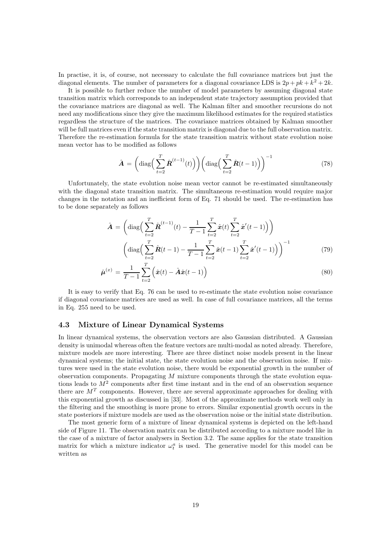In practise, it is, of course, not necessary to calculate the full covariance matrices but just the diagonal elements. The number of parameters for a diagonal covariance LDS is  $2p + pk + k^2 + 2k$ .

It is possible to further reduce the number of model parameters by assuming diagonal state transition matrix which corresponds to an independent state trajectory assumption provided that the covariance matrices are diagonal as well. The Kalman filter and smoother recursions do not need any modifications since they give the maximum likelihood estimates for the required statistics regardless the structure of the matrices. The covariance matrices obtained by Kalman smoother will be full matrices even if the state transition matrix is diagonal due to the full observation matrix. Therefore the re-estimation formula for the state transition matrix without state evolution noise mean vector has to be modified as follows

$$
\hat{\boldsymbol{A}} = \left(\text{diag}\left(\sum_{t=2}^{T} \hat{\boldsymbol{R}}^{(t-1)}(t)\right)\right) \left(\text{diag}\left(\sum_{t=2}^{T} \hat{\boldsymbol{R}}(t-1)\right)\right)^{-1} \tag{78}
$$

Unfortunately, the state evolution noise mean vector cannot be re-estimated simultaneously with the diagonal state transition matrix. The simultaneous re-estimation would require major changes in the notation and an inefficient form of Eq. 71 should be used. The re-estimation has to be done separately as follows

$$
\hat{\mathbf{A}} = \left( \text{diag}\Big(\sum_{t=2}^{T} \hat{\mathbf{R}}^{(t-1)}(t) - \frac{1}{T-1} \sum_{t=2}^{T} \hat{\mathbf{x}}(t) \sum_{t=2}^{T} \hat{\mathbf{x}}'(t-1) \Big) \right)
$$

$$
\left( \text{diag}\Big(\sum_{t=2}^{T} \hat{\mathbf{R}}(t-1) - \frac{1}{T-1} \sum_{t=2}^{T} \hat{\mathbf{x}}(t-1) \sum_{t=2}^{T} \hat{\mathbf{x}}'(t-1) \Big) \right)^{-1} \tag{79}
$$

$$
\hat{\boldsymbol{\mu}}^{(x)} = \frac{1}{T-1} \sum_{t=2}^{T} \left( \hat{\boldsymbol{x}}(t) - \hat{\boldsymbol{A}} \hat{\boldsymbol{x}}(t-1) \right)
$$
\n(80)

It is easy to verify that Eq. 76 can be used to re-estimate the state evolution noise covariance if diagonal covariance matrices are used as well. In case of full covariance matrices, all the terms in Eq. 255 need to be used.

#### 4.3 Mixture of Linear Dynamical Systems

In linear dynamical systems, the observation vectors are also Gaussian distributed. A Gaussian density is unimodal whereas often the feature vectors are multi-modal as noted already. Therefore, mixture models are more interesting. There are three distinct noise models present in the linear dynamical systems; the initial state, the state evolution noise and the observation noise. If mixtures were used in the state evolution noise, there would be exponential growth in the number of observation components. Propagating M mixture components through the state evolution equations leads to  $M<sup>2</sup>$  components after first time instant and in the end of an observation sequence there are  $M<sup>T</sup>$  components. However, there are several approximate approaches for dealing with this exponential growth as discussed in [33]. Most of the approximate methods work well only in the filtering and the smoothing is more prone to errors. Similar exponential growth occurs in the state posteriors if mixture models are used as the observation noise or the initial state distribution.

The most generic form of a mixture of linear dynamical systems is depicted on the left-hand side of Figure 11. The observation matrix can be distributed according to a mixture model like in the case of a mixture of factor analysers in Section 3.2. The same applies for the state transition matrix for which a mixture indicator  $\omega_t^a$  is used. The generative model for this model can be written as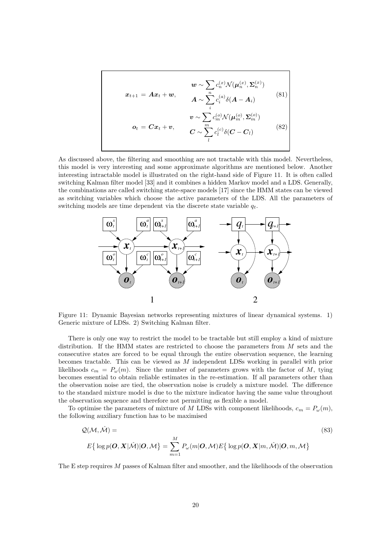$$
\boldsymbol{x}_{t+1} = \boldsymbol{A}\boldsymbol{x}_t + \boldsymbol{w}, \qquad \boldsymbol{A} \sim \sum_i^{n} c_i^{(x)} \mathcal{N}(\boldsymbol{\mu}_n^{(x)}, \boldsymbol{\Sigma}_n^{(x)})
$$
\n
$$
\boldsymbol{A} \sim \sum_i^{n} c_i^{(a)} \delta(\boldsymbol{A} - \boldsymbol{A}_i)
$$
\n
$$
\boldsymbol{v} \sim \sum_i c_m^{(o)} \mathcal{N}(\boldsymbol{\mu}_m^{(o)}, \boldsymbol{\Sigma}_m^{(o)})
$$
\n
$$
\boldsymbol{o}_t = \boldsymbol{C}\boldsymbol{x}_t + \boldsymbol{v}, \qquad \boldsymbol{C} \sim \sum_i^{m} c_i^{(c)} \delta(\boldsymbol{C} - \boldsymbol{C}_i)
$$
\n(82)

As discussed above, the filtering and smoothing are not tractable with this model. Nevertheless, this model is very interesting and some approximate algorithms are mentioned below. Another interesting intractable model is illustrated on the right-hand side of Figure 11. It is often called switching Kalman filter model [33] and it combines a hidden Markov model and a LDS. Generally, the combinations are called switching state-space models [17] since the HMM states can be viewed as switching variables which choose the active parameters of the LDS. All the parameters of switching models are time dependent via the discrete state variable  $q_t$ .



Figure 11: Dynamic Bayesian networks representing mixtures of linear dynamical systems. 1) Generic mixture of LDSs. 2) Switching Kalman filter.

There is only one way to restrict the model to be tractable but still employ a kind of mixture distribution. If the HMM states are restricted to choose the parameters from M sets and the consecutive states are forced to be equal through the entire observation sequence, the learning becomes tractable. This can be viewed as M independent LDSs working in parallel with prior likelihoods  $c_m = P_\omega(m)$ . Since the number of parameters grows with the factor of M, tying becomes essential to obtain reliable estimates in the re-estimation. If all parameters other than the observation noise are tied, the observation noise is crudely a mixture model. The difference to the standard mixture model is due to the mixture indicator having the same value throughout the observation sequence and therefore not permitting as flexible a model.

To optimise the parameters of mixture of M LDSs with component likelihoods,  $c_m = P_\omega(m)$ , the following auxiliary function has to be maximised

$$
Q(\mathcal{M}, \hat{\mathcal{M}}) =
$$
\n
$$
E\{\log p(\boldsymbol{O}, \boldsymbol{X}|\hat{\mathcal{M}})|\boldsymbol{O}, \mathcal{M}\} = \sum_{m=1}^{M} P_{\omega}(m|\boldsymbol{O}, \mathcal{M})E\{\log p(\boldsymbol{O}, \boldsymbol{X}|m, \hat{\mathcal{M}})|\boldsymbol{O}, m, \mathcal{M}\}
$$
\n(83)

The E step requires M passes of Kalman filter and smoother, and the likelihoods of the observation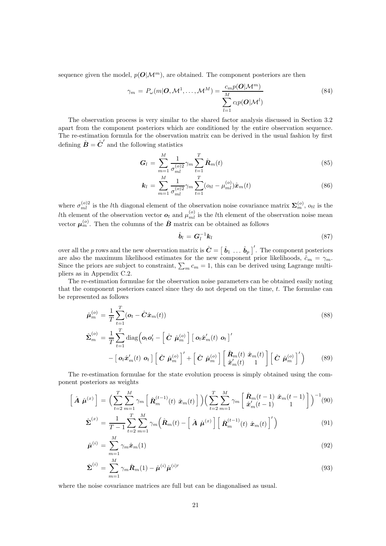sequence given the model,  $p(\mathbf{O}|\mathcal{M}^m)$ , are obtained. The component posteriors are then

$$
\gamma_m = P_{\omega}(m|\boldsymbol{O}, \mathcal{M}^1, \dots, \mathcal{M}^M) = \frac{c_m p(\boldsymbol{O}|\mathcal{M}^m)}{\sum_{l=1}^M c_l p(\boldsymbol{O}|\mathcal{M}^l)}
$$
(84)

The observation process is very similar to the shared factor analysis discussed in Section 3.2 apart from the component posteriors which are conditioned by the entire observation sequence. The re-estimation formula for the observation matrix can be derived in the usual fashion by first defining  $\hat{\boldsymbol{B}} = \hat{\boldsymbol{C}}'$  and the following statistics

$$
G_l = \sum_{m=1}^{M} \frac{1}{\sigma_{ml}^{(o)2}} \gamma_m \sum_{t=1}^{T} \hat{R}_m(t)
$$
\n(85)

$$
\mathbf{k}_{l} = \sum_{m=1}^{M} \frac{1}{\sigma_{ml}^{(o)2}} \gamma_{m} \sum_{t=1}^{T} (\mathbf{o}_{tl} - \mu_{ml}^{(o)}) \hat{\mathbf{x}}_{m}(t)
$$
(86)

where  $\sigma_{ml}^{(o)2}$  is the lth diagonal element of the observation noise covariance matrix  $\Sigma_{m}^{(o)}$ ,  $o_{tl}$  is the Ith element of the observation vector  $o_t$  and  $\mu_{ml}^{(o)}$  is the lth element of the observation noise mean vector  $\mu_m^{(o)}$ . Then the columns of the  $\hat{B}$  matrix can be obtained as follows

$$
\hat{\boldsymbol{b}}_l = \boldsymbol{G}_l^{-1} \boldsymbol{k}_l \tag{87}
$$

over all the p rows and the new observation matrix is  $\hat{C} = \begin{bmatrix} \hat{b}_1 \dots \hat{b}_p \end{bmatrix}$ . The component posteriors are also the maximum likelihood estimates for the new component prior likelihoods,  $\hat{c}_m = \gamma_m$ . Since the priors are subject to constraint,  $\sum_m c_m = 1$ , this can be derived using Lagrange multipliers as in Appendix C.2.

The re-estimation formulae for the observation noise parameters can be obtained easily noting that the component posteriors cancel since they do not depend on the time,  $t$ . The formulae can be represented as follows

$$
\hat{\boldsymbol{\mu}}_{m}^{(o)} = \frac{1}{T} \sum_{t=1}^{T} (\boldsymbol{o}_{t} - \hat{\boldsymbol{C}} \hat{\boldsymbol{x}}_{m}(t))
$$
\n
$$
\hat{\boldsymbol{\Sigma}}_{m}^{(o)} = \frac{1}{T} \sum_{t=1}^{T} \text{diag} \Big( \boldsymbol{o}_{t} \boldsymbol{o}_{t}^{\prime} - \left[ \hat{\boldsymbol{C}} \ \hat{\boldsymbol{\mu}}_{m}^{(o)} \right] \left[ \ \boldsymbol{o}_{t} \hat{\boldsymbol{x}}_{m}^{\prime}(t) \ \boldsymbol{o}_{t} \right]^{\prime}
$$
\n
$$
- \left[ \ \boldsymbol{o}_{t} \hat{\boldsymbol{x}}_{m}^{\prime}(t) \ \boldsymbol{o}_{t} \right] \left[ \hat{\boldsymbol{C}} \ \hat{\boldsymbol{\mu}}_{m}^{(o)} \right]^{\prime} + \left[ \hat{\boldsymbol{C}} \ \hat{\boldsymbol{\mu}}_{m}^{(o)} \right] \left[ \left[ \hat{\boldsymbol{R}}_{m}^{(t)} \ \hat{\boldsymbol{x}}_{m}^{(t)} \right] \right] \left[ \hat{\boldsymbol{C}} \ \hat{\boldsymbol{\mu}}_{m}^{(o)} \right]^{\prime} \Big)
$$
\n(89)

The re-estimation formulae for the state evolution process is simply obtained using the component posteriors as weights

$$
\left[\hat{\mathbf{A}}\hat{\boldsymbol{\mu}}^{(x)}\right] = \Big(\sum_{t=2}^{T} \sum_{m=1}^{M} \gamma_m \left[\hat{\boldsymbol{R}}_m^{(t-1)}(t) \hat{\boldsymbol{x}}_m(t)\right] \Big) \Big(\sum_{t=2}^{T} \sum_{m=1}^{M} \gamma_m \left[\hat{\boldsymbol{R}}_m^{(t-1)} \hat{\boldsymbol{x}}_m^{(t-1)}\right] \Big)^{-1} (90)
$$

$$
\hat{\boldsymbol{\Sigma}}^{(x)} = \frac{1}{T-1} \sum_{t=2}^{T} \sum_{m=1}^{M} \gamma_m \left( \hat{\boldsymbol{R}}_m(t) - \left[ \hat{\boldsymbol{A}} \hat{\boldsymbol{\mu}}^{(x)} \right] \left[ \hat{\boldsymbol{R}}_m^{(t-1)}(t) \hat{\boldsymbol{x}}_m(t) \right]^{\prime} \right) \tag{91}
$$

$$
\hat{\boldsymbol{\mu}}^{(i)} = \sum_{m=1}^{M} \gamma_m \hat{\boldsymbol{x}}_m(1) \tag{92}
$$

$$
\hat{\Sigma}^{(i)} = \sum_{m=1}^{M} \gamma_m \hat{\boldsymbol{R}}_m(1) - \hat{\boldsymbol{\mu}}^{(i)} \hat{\boldsymbol{\mu}}^{(i) \prime}
$$
\n(93)

where the noise covariance matrices are full but can be diagonalised as usual.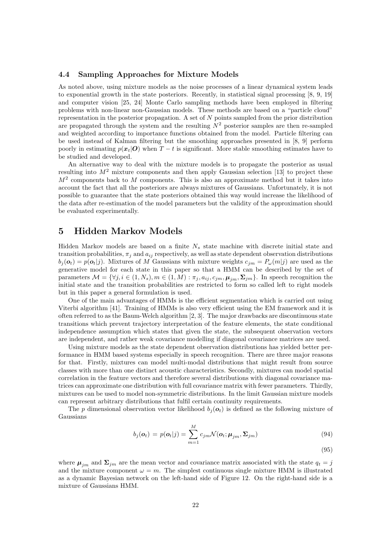#### 4.4 Sampling Approaches for Mixture Models

As noted above, using mixture models as the noise processes of a linear dynamical system leads to exponential growth in the state posteriors. Recently, in statistical signal processing [8, 9, 19] and computer vision [25, 24] Monte Carlo sampling methods have been employed in filtering problems with non-linear non-Gaussian models. These methods are based on a "particle cloud" representation in the posterior propagation. A set of  $N$  points sampled from the prior distribution are propagated through the system and the resulting  $N^2$  posterior samples are then re-sampled and weighted according to importance functions obtained from the model. Particle filtering can be used instead of Kalman filtering but the smoothing approaches presented in [8, 9] perform poorly in estimating  $p(x_t|\mathbf{O})$  when  $T-t$  is significant. More stable smoothing estimates have to be studied and developed.

An alternative way to deal with the mixture models is to propagate the posterior as usual resulting into  $M<sup>2</sup>$  mixture components and then apply Gaussian selection [13] to project these  $M<sup>2</sup>$  components back to M components. This is also an approximate method but it takes into account the fact that all the posteriors are always mixtures of Gaussians. Unfortunately, it is not possible to guarantee that the state posteriors obtained this way would increase the likelihood of the data after re-estimation of the model parameters but the validity of the approximation should be evaluated experimentally.

## 5 Hidden Markov Models

Hidden Markov models are based on a finite  $N<sub>s</sub>$  state machine with discrete initial state and transition probabilities,  $\pi_i$  and  $a_{ij}$  respectively, as well as state dependent observation distributions  $b_j(\boldsymbol{o}_t) = p(\boldsymbol{o}_t|j)$ . Mixtures of M Gaussians with mixture weights  $c_{jm} = P_{\omega}(m|j)$  are used as the generative model for each state in this paper so that a HMM can be described by the set of parameters  $\mathcal{M} = \{\forall j, i \in (1, N_s), m \in (1, M) : \pi_j, a_{ij}, c_{jm}, \mu_{jm}, \Sigma_{jm}\}.$  In speech recognition the initial state and the transition probabilities are restricted to form so called left to right models but in this paper a general formulation is used.

One of the main advantages of HMMs is the efficient segmentation which is carried out using Viterbi algorithm [41]. Training of HMMs is also very efficient using the EM framework and it is often referred to as the Baum-Welch algorithm [2, 3]. The major drawbacks are discontinuous state transitions which prevent trajectory interpretation of the feature elements, the state conditional independence assumption which states that given the state, the subsequent observation vectors are independent, and rather weak covariance modelling if diagonal covariance matrices are used.

Using mixture models as the state dependent observation distributions has yielded better performance in HMM based systems especially in speech recognition. There are three major reasons for that. Firstly, mixtures can model multi-modal distributions that might result from source classes with more than one distinct acoustic characteristics. Secondly, mixtures can model spatial correlation in the feature vectors and therefore several distributions with diagonal covariance matrices can approximate one distribution with full covariance matrix with fewer parameters. Thirdly, mixtures can be used to model non-symmetric distributions. In the limit Gaussian mixture models can represent arbitrary distributions that fulfil certain continuity requirements.

The p dimensional observation vector likelihood  $b_i(\mathbf{o}_t)$  is defined as the following mixture of Gaussians

$$
b_j(\mathbf{o}_t) = p(\mathbf{o}_t|j) = \sum_{m=1}^M c_{jm} \mathcal{N}(\mathbf{o}_t; \mathbf{\mu}_{jm}, \mathbf{\Sigma}_{jm})
$$
\n(94)

(95)

where  $\mu_{jm}$  and  $\Sigma_{jm}$  are the mean vector and covariance matrix associated with the state  $q_t = j$ and the mixture component  $\omega = m$ . The simplest continuous single mixture HMM is illustrated as a dynamic Bayesian network on the left-hand side of Figure 12. On the right-hand side is a mixture of Gaussians HMM.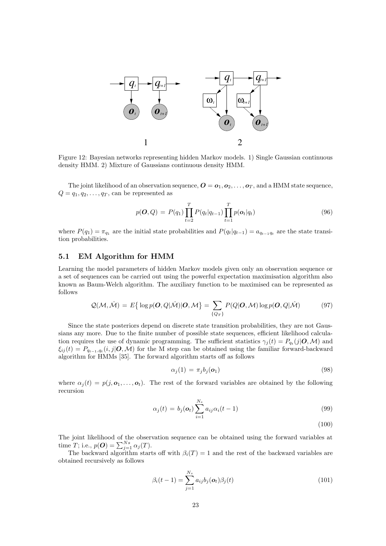

Figure 12: Bayesian networks representing hidden Markov models. 1) Single Gaussian continuous density HMM. 2) Mixture of Gaussians continuous density HMM.

The joint likelihood of an observation sequence,  $\mathbf{O} = \mathbf{o}_1, \mathbf{o}_2, \ldots, \mathbf{o}_T$ , and a HMM state sequence,  $Q = q_1, q_2, \ldots, q_T$ , can be represented as

$$
p(O,Q) = P(q_1) \prod_{t=2}^{T} P(q_t | q_{t-1}) \prod_{t=1}^{T} p(o_t | q_t)
$$
\n(96)

where  $P(q_1) = \pi_{q_1}$  are the initial state probabilities and  $P(q_t|q_{t-1}) = a_{q_{t-1}q_t}$  are the state transition probabilities.

#### 5.1 EM Algorithm for HMM

Learning the model parameters of hidden Markov models given only an observation sequence or a set of sequences can be carried out using the powerful expectation maximisation algorithm also known as Baum-Welch algorithm. The auxiliary function to be maximised can be represented as follows

$$
Q(\mathcal{M}, \hat{\mathcal{M}}) = E\{ \log p(\boldsymbol{O}, Q | \hat{\mathcal{M}}) | \boldsymbol{O}, \mathcal{M} \} = \sum_{\{Q_T\}} P(Q | \boldsymbol{O}, \mathcal{M}) \log p(\boldsymbol{O}, Q | \hat{\mathcal{M}})
$$
(97)

Since the state posteriors depend on discrete state transition probabilities, they are not Gaussians any more. Due to the finite number of possible state sequences, efficient likelihood calculation requires the use of dynamic programming. The sufficient statistics  $\gamma_j(t) = P_{q_t}(j|\mathbf{O}, \mathcal{M})$  and  $\xi_{ij}(t) = P_{q_{t-1},q_t}(i,j|\mathbf{O},\mathcal{M})$  for the M step can be obtained using the familiar forward-backward algorithm for HMMs [35]. The forward algorithm starts off as follows

$$
\alpha_j(1) = \pi_j b_j(\boldsymbol{\sigma}_1) \tag{98}
$$

where  $\alpha_j(t) = p(j, o_1, \ldots, o_t)$ . The rest of the forward variables are obtained by the following recursion

$$
\alpha_j(t) = b_j(\mathbf{o}_t) \sum_{i=1}^{N_s} a_{ij} \alpha_i(t-1)
$$
\n(99)

(100)

The joint likelihood of the observation sequence can be obtained using the forward variables at time T; i.e.,  $p(\boldsymbol{O}) = \sum_{j=1}^{Ns} \alpha_j(T)$ .

The backward algorithm starts off with  $\beta_i(T) = 1$  and the rest of the backward variables are obtained recursively as follows

$$
\beta_i(t-1) = \sum_{j=1}^{N_s} a_{ij} b_j(o_t) \beta_j(t)
$$
\n(101)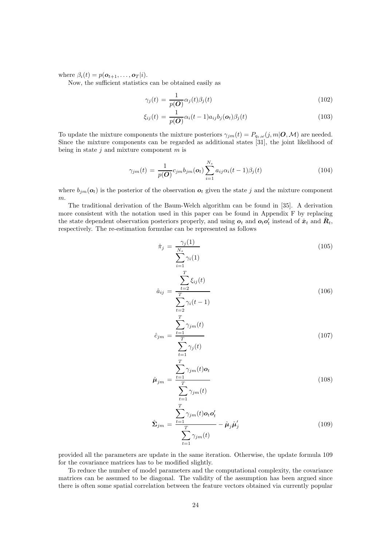where  $\beta_i(t) = p(\mathbf{o}_{t+1}, \dots, \mathbf{o}_T | i)$ .

Now, the sufficient statistics can be obtained easily as

$$
\gamma_j(t) = \frac{1}{p(\mathbf{O})} \alpha_j(t) \beta_j(t) \tag{102}
$$

$$
\xi_{ij}(t) = \frac{1}{p(\boldsymbol{O})} \alpha_i(t-1) a_{ij} b_j(\boldsymbol{o}_t) \beta_j(t) \tag{103}
$$

To update the mixture components the mixture posteriors  $\gamma_{jm}(t) = P_{q_t,\omega}(j,m|\mathbf{O},\mathcal{M})$  are needed. Since the mixture components can be regarded as additional states [31], the joint likelihood of being in state  $j$  and mixture component  $m$  is

$$
\gamma_{jm}(t) = \frac{1}{p(\boldsymbol{O})} c_{jm} b_{jm}(\boldsymbol{o}_t) \sum_{i=1}^{N_s} a_{ij} \alpha_i (t-1) \beta_j(t) \qquad (104)
$$

where  $b_{jm}(\boldsymbol{o}_t)$  is the posterior of the observation  $\boldsymbol{o}_t$  given the state j and the mixture component m.

The traditional derivation of the Baum-Welch algorithm can be found in [35]. A derivation more consistent with the notation used in this paper can be found in Appendix F by replacing the state dependent observation posteriors properly, and using  $o_t$  and  $o_t o'_t$  instead of  $\hat{x}_t$  and  $\hat{R}_t$ , respectively. The re-estimation formulae can be represented as follows

 $\overline{T}$ 

 $t=1$ 

 $t=1$ 

$$
\hat{\pi}_j = \frac{\gamma_j(1)}{\sum_{i=1}^{N_s} \gamma_i(1)}\tag{105}
$$

$$
\hat{a}_{ij} = \frac{\sum_{t=2}^{t=2} \xi_{ij}(t)}{\sum_{t=2}^{T} \gamma_i(t-1)}
$$
\n(106)

$$
\hat{c}_{jm} = \frac{\sum_{t=1}^{T} \gamma_{jm}(t)}{\sum \gamma_j(t)}
$$
\n(107)

$$
\hat{\boldsymbol{\mu}}_{jm} = \frac{\sum_{t=1}^{T} \gamma_{jm}(t) \boldsymbol{o}_t}{\sum_{j}^{T} \gamma_{jm}(t)}
$$
\n(108)

$$
\hat{\Sigma}_{jm} = \frac{\sum_{t=1}^{T} \gamma_{jm}(t) o_t o'_t}{\sum_{t=1}^{T} \gamma_{jm}(t)} - \hat{\mu}_j \hat{\mu}'_j
$$
\n(109)

provided all the parameters are update in the same iteration. Otherwise, the update formula 109 for the covariance matrices has to be modified slightly.

To reduce the number of model parameters and the computational complexity, the covariance matrices can be assumed to be diagonal. The validity of the assumption has been argued since there is often some spatial correlation between the feature vectors obtained via currently popular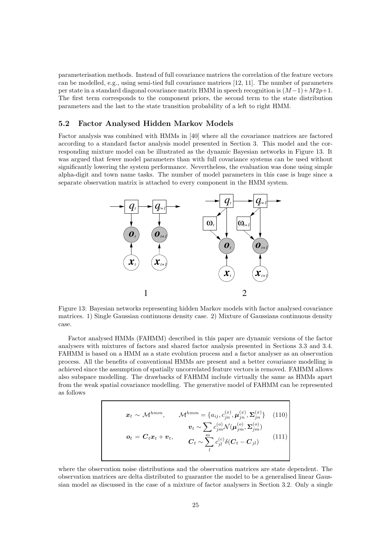parameterisation methods. Instead of full covariance matrices the correlation of the feature vectors can be modelled, e.g., using semi-tied full covariance matrices [12, 11]. The number of parameters per state in a standard diagonal covariance matrix HMM in speech recognition is  $(M-1)+M2p+1$ . The first term corresponds to the component priors, the second term to the state distribution parameters and the last to the state transition probability of a left to right HMM.

#### 5.2 Factor Analysed Hidden Markov Models

Factor analysis was combined with HMMs in [40] where all the covariance matrices are factored according to a standard factor analysis model presented in Section 3. This model and the corresponding mixture model can be illustrated as the dynamic Bayesian networks in Figure 13. It was argued that fewer model parameters than with full covariance systems can be used without significantly lowering the system performance. Nevertheless, the evaluation was done using simple alpha-digit and town name tasks. The number of model parameters in this case is huge since a separate observation matrix is attached to every component in the HMM system.



Figure 13: Bayesian networks representing hidden Markov models with factor analysed covariance matrices. 1) Single Gaussian continuous density case. 2) Mixture of Gaussians continuous density case.

Factor analysed HMMs (FAHMM) described in this paper are dynamic versions of the factor analysers with mixtures of factors and shared factor analysis presented in Sections 3.3 and 3.4. FAHMM is based on a HMM as a state evolution process and a factor analyser as an observation process. All the benefits of conventional HMMs are present and a better covariance modelling is achieved since the assumption of spatially uncorrelated feature vectors is removed. FAHMM allows also subspace modelling. The drawbacks of FAHMM include virtually the same as HMMs apart from the weak spatial covariance modelling. The generative model of FAHMM can be represented as follows

$$
\boldsymbol{x}_t \sim \mathcal{M}^{hmm}, \qquad \mathcal{M}^{hmm} = \{a_{ij}, c_{jn}^{(x)}, \boldsymbol{\mu}_{jn}^{(x)}, \boldsymbol{\Sigma}_{jn}^{(x)}\} \quad (110)
$$
\n
$$
\boldsymbol{v}_t \sim \sum_i c_{jm}^{(o)} \mathcal{N}(\boldsymbol{\mu}_{jm}^{(o)}, \boldsymbol{\Sigma}_{jm}^{(o)})
$$
\n
$$
\boldsymbol{o}_t = \boldsymbol{C}_t \boldsymbol{x}_t + \boldsymbol{v}_t, \qquad \qquad \boldsymbol{C}_t \sim \sum_i^m c_{jl}^{(c)} \delta(\boldsymbol{C}_t - \boldsymbol{C}_{jl}) \qquad (111)
$$

where the observation noise distributions and the observation matrices are state dependent. The observation matrices are delta distributed to guarantee the model to be a generalised linear Gaussian model as discussed in the case of a mixture of factor analysers in Section 3.2. Only a single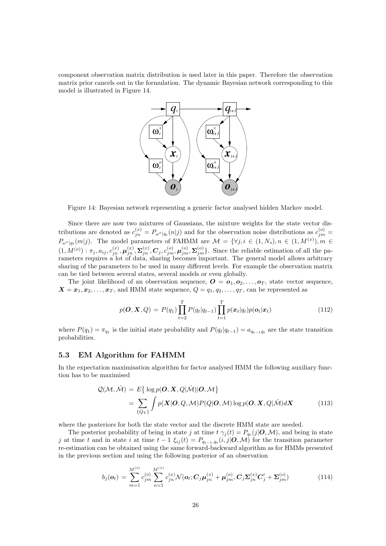component observation matrix distribution is used later in this paper. Therefore the observation matrix prior cancels out in the formulation. The dynamic Bayesian network corresponding to this model is illustrated in Figure 14.



Figure 14: Bayesian network representing a generic factor analysed hidden Markov model.

Since there are now two mixtures of Gaussians, the mixture weights for the state vector distributions are denoted as  $c_{jn}^{(x)} = P_{\omega^x|q_t}(n|j)$  and for the observation noise distributions as  $c_{jm}^{(o)} =$  $P_{\omega^o|q_t}(m|j)$ . The model parameters of FAHMM are  $\mathcal{M} = \{\forall j, i \in (1, N_s), n \in (1, M^{(x)}), m \in$  $(1, M^{(o)}): \pi_j, a_{ij}, c_{jn}^{(x)}, \boldsymbol{\mu}_{jn}^{(x)}, \boldsymbol{\Sigma}_{jn}^{(x)}, \boldsymbol{C}_j, c_{jm}^{(o)}, \boldsymbol{\mu}_{jm}^{(o)}, \boldsymbol{\Sigma}_{jm}^{(o)}\}$ . Since the reliable estimation of all the parameters requires a lot of data, sharing becomes important. The general model allows arbitrary sharing of the parameters to be used in many different levels. For example the observation matrix can be tied between several states, several models or even globally.

The joint likelihood of an observation sequence,  $\mathbf{O} = \mathbf{o}_1, \mathbf{o}_2, \ldots, \mathbf{o}_T$ , state vector sequence,  $X = x_1, x_2, \ldots, x_T$ , and HMM state sequence,  $Q = q_1, q_2, \ldots, q_T$ , can be represented as

$$
p(\boldsymbol{O}, \boldsymbol{X}, Q) = P(q_1) \prod_{t=2}^{T} P(q_t | q_{t-1}) \prod_{t=1}^{T} p(\boldsymbol{x}_t | q_t) p(\boldsymbol{o}_t | \boldsymbol{x}_t)
$$
(112)

where  $P(q_1) = \pi_{q_1}$  is the initial state probability and  $P(q_t|q_{t-1}) = a_{q_{t-1}q_t}$  are the state transition probabilities.

#### 5.3 EM Algorithm for FAHMM

In the expectation maximisation algorithm for factor analysed HMM the following auxiliary function has to be maximised

$$
\mathcal{Q}(\mathcal{M}, \hat{\mathcal{M}}) = E\{ \log p(\boldsymbol{O}, \boldsymbol{X}, Q | \hat{\mathcal{M}}) | \boldsymbol{O}, \mathcal{M} \}
$$
  
= 
$$
\sum_{\{Q_T\}} \int p(\boldsymbol{X} | \boldsymbol{O}, Q, \mathcal{M}) P(Q | \boldsymbol{O}, \mathcal{M}) \log p(\boldsymbol{O}, \boldsymbol{X}, Q | \hat{\mathcal{M}}) d\boldsymbol{X}
$$
(113)

where the posteriors for both the state vector and the discrete HMM state are needed.

The posterior probability of being in state j at time  $t \gamma_j(t) = P_{q_t}(j|\mathbf{O}, \mathcal{M})$ , and being in state j at time t and in state i at time  $t-1 \xi_{ij}(t) = P_{q_{t-1},q_t}(i,j|\boldsymbol{O},\mathcal{M})$  for the transition parameter re-estimation can be obtained using the same forward-backward algorithm as for HMMs presented in the previous section and using the following posterior of an observation

$$
b_j(\mathbf{o}_t) = \sum_{m=1}^{M^{(o)}} c_{jm}^{(o)} \sum_{n=1}^{M^{(x)}} c_{jn}^{(x)} \mathcal{N}(\mathbf{o}_t; \mathbf{C}_j \boldsymbol{\mu}_{jn}^{(x)} + \boldsymbol{\mu}_{jm}^{(o)}, \mathbf{C}_j \boldsymbol{\Sigma}_{jn}^{(x)} \mathbf{C}_j' + \boldsymbol{\Sigma}_{jm}^{(o)})
$$
(114)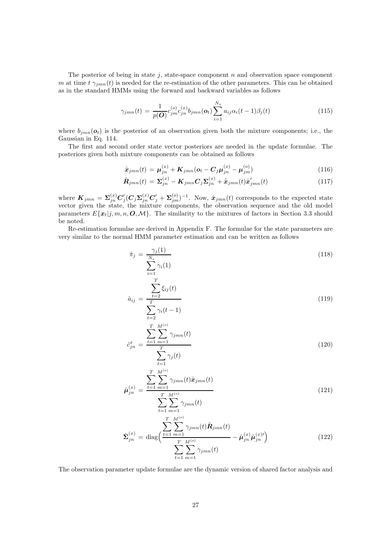The posterior of being in state  $j$ , state-space component  $n$  and observation space component m at time  $t \gamma_{imn}(t)$  is needed for the re-estimation of the other parameters. This can be obtained as in the standard HMMs using the forward and backward variables as follows

$$
\gamma_{jmn}(t) = \frac{1}{p(\mathbf{O})} c_{jm}^{(o)} c_{jn}^{(x)} b_{jmn}(\mathbf{o}_t) \sum_{i=1}^{N_s} a_{ij} \alpha_i (t-1) \beta_j(t) \tag{115}
$$

where  $b_{jmn}(\boldsymbol{\sigma}_t)$  is the posterior of an observation given both the mixture components; i.e., the Gaussian in Eq. 114.

The first and second order state vector posteriors are needed in the update formulae. The posteriors given both mixture components can be obtained as follows

$$
\hat{\bm{x}}_{jmn}(t) = \bm{\mu}_{jn}^{(x)} + \bm{K}_{jmn}(\bm{o}_t - \bm{C}_j \bm{\mu}_{jn}^{(x)} - \bm{\mu}_{jm}^{(o)})
$$
\n(116)

$$
\hat{\boldsymbol{R}}_{jmn}(t) = \boldsymbol{\Sigma}_{jn}^{(x)} - \boldsymbol{K}_{jmn} \boldsymbol{C}_j \boldsymbol{\Sigma}_{jn}^{(x)} + \hat{\boldsymbol{x}}_{jmn}(t) \hat{\boldsymbol{x}}'_{jmn}(t)
$$
\n(117)

where  $\bm{K}_{jmn} = \bm{\Sigma}_{jn}^{(x)} \bm{C}_j' (\bm{C}_j \bm{\Sigma}_{jn}^{(x)} \bm{C}_j' + \bm{\Sigma}_{jm}^{(o)})^{-1}$ . Now,  $\hat{\bm{x}}_{jmn}(t)$  corresponds to the expected state vector given the state, the mixture components, the observation sequence and the old model parameters  $E{\mathbf{x}_t|j, m, n, \mathbf{O}, \mathcal{M}}$ . The similarity to the mixtures of factors in Section 3.3 should be noted.

Re-estimation formulae are derived in Appendix F. The formulae for the state parameters are very similar to the normal HMM parameter estimation and can be written as follows

 $t=2$ 

$$
\hat{\pi}_j = \frac{\gamma_j(1)}{\sum_{i=1}^{N_s} \gamma_i(1)}\tag{118}
$$

$$
\hat{a}_{ij} = \frac{\sum_{t=2}^{T} \xi_{ij}(t)}{\sum \gamma_i(t-1)}
$$
\n(119)

$$
\hat{c}_{jn}^{x} = \frac{\sum_{t=1}^{T} \sum_{m=1}^{M^{(o)}} \gamma_{jmn}(t)}{\sum_{t=1}^{T} \gamma_j(t)}
$$
\n(120)

$$
\hat{\mu}_{jn}^{(x)} = \frac{\sum_{t=1}^{T} \sum_{m=1}^{M^{(o)}} \gamma_{jmn}(t)\hat{x}_{jmn}(t)}{\sum_{t=1}^{T} \sum_{j \mid mn}^{M^{(o)}} \gamma_{jmn}(t)}
$$
\n(121)

$$
t=1 \ m=1
$$
\n
$$
\hat{\Sigma}_{jn}^{(x)} = \text{diag}\left(\frac{\sum_{t=1}^{T} \sum_{m=1}^{M^{(o)}} \gamma_{jmn}(t) \hat{\mathbf{R}}_{jmn}(t)}{\sum_{t=1}^{T} \sum_{m=1}^{M^{(o)}} \gamma_{jmn}(t)} - \hat{\boldsymbol{\mu}}_{jn}^{(x)} \hat{\boldsymbol{\mu}}_{jn}^{(x)}\right)
$$
\n(122)

The observation parameter update formulae are the dynamic version of shared factor analysis and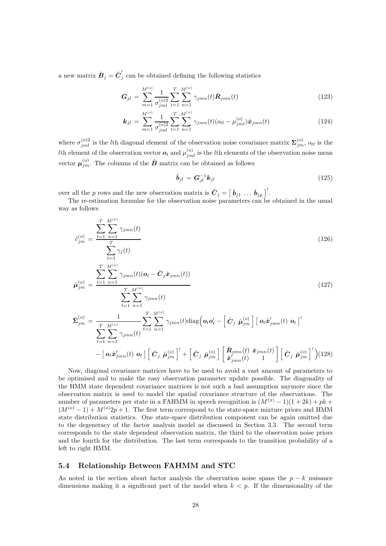a new matrix  $\hat{\boldsymbol{B}}_j = \hat{\boldsymbol{C}}'_j$  can be obtained defining the following statistics

$$
G_{jl} = \sum_{m=1}^{M^{(o)}} \frac{1}{\sigma_{jml}^{(o)2}} \sum_{t=1}^{T} \sum_{n=1}^{M^{(x)}} \gamma_{jmn}(t) \hat{\mathbf{R}}_{jmn}(t)
$$
(123)

$$
\boldsymbol{k}_{jl} = \sum_{m=1}^{M^{(o)}} \frac{1}{\sigma_{jml}^{(o)2}} \sum_{t=1}^{T} \sum_{n=1}^{M^{(x)}} \gamma_{jmn}(t) (\sigma_{tl} - \mu_{jml}^{(o)}) \hat{\boldsymbol{x}}_{jmn}(t)
$$
(124)

where  $\sigma_{jml}^{(o)2}$  is the lth diagonal element of the observation noise covariance matrix  $\Sigma_{jm}^{(o)}$ ,  $o_{tl}$  is the *lth* element of the observation vector  $o_t$  and  $\mu_{jml}^{(o)}$  is the *lth* elements of the observation noise mean vector  $\boldsymbol{\mu}_{jm}^{(o)}$ . The columns of the  $\hat{\boldsymbol{B}}$  matrix can be obtained as follows

$$
\hat{\boldsymbol{b}}_{jl} = \boldsymbol{G}_{jl}^{-1} \boldsymbol{k}_{jl} \tag{125}
$$

over all the p rows and the new observation matrix is  $\hat{\mathbf{C}}_j = [\hat{\mathbf{b}}_{j1} \dots \hat{\mathbf{b}}_{jp}]^T$ .

The re-estimation formulae for the observation noise parameters can be obtained in the usual way as follows

$$
\hat{c}_{jm}^{(o)} = \frac{\sum_{t=1}^{T} \sum_{n=1}^{M^{(x)}} \gamma_{jmn}(t)}{\sum \gamma_j(t)}
$$
\n(126)

$$
\hat{\mu}_{jm}^{(o)} = \frac{\sum_{t=1}^{T} \sum_{n=1}^{M^{(x)}} \gamma_{jmn}(t)(\mathbf{o}_t - \hat{C}_j \hat{\mathbf{x}}_{jmn}(t))}{\sum_{t=1}^{T} \sum_{n=1}^{M^{(x)}} \gamma_{jmn}(t)}
$$
\n
$$
\hat{\Sigma}_{jm}^{(o)} = \frac{1}{\sum_{t=1}^{T} \sum_{n=1}^{M^{(x)}} \gamma_{jmn}(t)} \sum_{t=1}^{T} \sum_{n=1}^{M^{(x)}} \gamma_{jmn}(t) \text{diag}\left(\mathbf{o}_t \mathbf{o}_t' - \left[\hat{C}_j \hat{\boldsymbol{\mu}}_{jm}^{(o)}\right] \left[\mathbf{o}_t \hat{\mathbf{x}}_{jmn}'(t) \mathbf{o}_t\right]'
$$
\n(127)

$$
-\left[\right. \boldsymbol{o}_{t} \hat{\boldsymbol{x}}'_{jmn}(t) \left.\boldsymbol{o}_{t}\right] \left[\right. \hat{\boldsymbol{C}}_{j} \left.\hat{\boldsymbol{\mu}}_{jm}^{(o)}\right]'\n+ \left[\right. \hat{\boldsymbol{C}}_{j} \left.\hat{\boldsymbol{\mu}}_{jm}^{(o)}\right] \left[\right. \left.\hat{\boldsymbol{\mu}}_{jmn}^{(m)}(t) \left.\hat{\boldsymbol{x}}_{jmn}^{(m)}(t)\right.\right] \left[\right. \hat{\boldsymbol{C}}_{j} \left.\hat{\boldsymbol{\mu}}_{jm}^{(o)}\right]'\right)\n(128)
$$

Now, diagonal covariance matrices have to be used to avoid a vast amount of parameters to be optimised and to make the easy observation parameter update possible. The diagonality of the HMM state dependent covariance matrices is not such a bad assumption anymore since the observation matrix is used to model the spatial covariance structure of the observations. The number of parameters per state in a FAHMM in speech recognition is  $(M^{(x)} - 1)(1 + 2k) + pk +$  $(M^{(o)}-1) + M^{(o)}2p + 1$ . The first term correspond to the state-space mixture priors and HMM state distribution statistics. One state-space distribution component can be again omitted due to the degeneracy of the factor analysis model as discussed in Section 3.3. The second term corresponds to the state dependent observation matrix, the third to the observation noise priors and the fourth for the distribution. The last term corresponds to the transition probability of a left to right HMM.

#### 5.4 Relationship Between FAHMM and STC

As noted in the section about factor analysis the observation noise spans the  $p - k$  nuisance dimensions making it a significant part of the model when  $k < p$ . If the dimensionality of the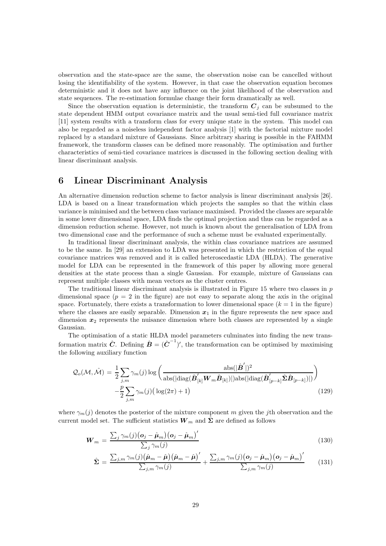observation and the state-space are the same, the observation noise can be cancelled without losing the identifiability of the system. However, in that case the observation equation becomes deterministic and it does not have any influence on the joint likelihood of the observation and state sequences. The re-estimation formulae change their form dramatically as well.

Since the observation equation is deterministic, the transform  $C_i$  can be subsumed to the state dependent HMM output covariance matrix and the usual semi-tied full covariance matrix [11] system results with a transform class for every unique state in the system. This model can also be regarded as a noiseless independent factor analysis [1] with the factorial mixture model replaced by a standard mixture of Gaussians. Since arbitrary sharing is possible in the FAHMM framework, the transform classes can be defined more reasonably. The optimisation and further characteristics of semi-tied covariance matrices is discussed in the following section dealing with linear discriminant analysis.

## 6 Linear Discriminant Analysis

An alternative dimension reduction scheme to factor analysis is linear discriminant analysis [26]. LDA is based on a linear transformation which projects the samples so that the within class variance is minimised and the between class variance maximised. Provided the classes are separable in some lower dimensional space, LDA finds the optimal projection and thus can be regarded as a dimension reduction scheme. However, not much is known about the generalisation of LDA from two dimensional case and the performance of such a scheme must be evaluated experimentally.

In traditional linear discriminant analysis, the within class covariance matrices are assumed to be the same. In [29] an extension to LDA was presented in which the restriction of the equal covariance matrices was removed and it is called heteroscedastic LDA (HLDA). The generative model for LDA can be represented in the framework of this paper by allowing more general densities at the state process than a single Gaussian. For example, mixture of Gaussians can represent multiple classes with mean vectors as the cluster centres.

The traditional linear discriminant analysis is illustrated in Figure 15 where two classes in  $p$ dimensional space  $(p = 2$  in the figure) are not easy to separate along the axis in the original space. Fortunately, there exists a transformation to lower dimensional space  $(k = 1$  in the figure) where the classes are easily separable. Dimension  $x_1$  in the figure represents the new space and dimension  $x_2$  represents the nuisance dimension where both classes are represented by a single Gaussian.

The optimisation of a static HLDA model parameters culminates into finding the new transformation matrix  $\hat{C}$ . Defining  $\hat{B} = (\hat{C}^{-1})'$ , the transformation can be optimised by maximising the following auxiliary function

$$
\mathcal{Q}_o(\mathcal{M}, \hat{\mathcal{M}}) = \frac{1}{2} \sum_{j,m} \gamma_m(j) \log \left( \frac{\mathrm{abs}(|\hat{\boldsymbol{B}}'|)^2}{\mathrm{abs}(|\mathrm{diag}(\hat{\boldsymbol{B}}'_{[k]} \boldsymbol{W}_m \hat{\boldsymbol{B}}_{[k]})|) \mathrm{abs}(|\mathrm{diag}(\hat{\boldsymbol{B}}'_{[p-k]} \hat{\boldsymbol{\Sigma}} \hat{\boldsymbol{B}}_{[p-k]})|)} \right) - \frac{p}{2} \sum_{j,m} \gamma_m(j) \left( \log(2\pi) + 1 \right)
$$
(129)

where  $\gamma_m(j)$  denotes the posterior of the mixture component m given the jth observation and the current model set. The sufficient statistics  $W_m$  and  $\Sigma$  are defined as follows

$$
\boldsymbol{W}_{m} = \frac{\sum_{j} \gamma_{m}(j) (\boldsymbol{o}_{j} - \hat{\boldsymbol{\mu}}_{m}) (\boldsymbol{o}_{j} - \hat{\boldsymbol{\mu}}_{m})'}{\sum_{j} \gamma_{m}(j)}
$$
(130)

$$
\hat{\Sigma} = \frac{\sum_{j,m} \gamma_m(j) (\hat{\boldsymbol{\mu}}_m - \hat{\boldsymbol{\mu}}) (\hat{\boldsymbol{\mu}}_m - \hat{\boldsymbol{\mu}})'}{\sum_{j,m} \gamma_m(j)} + \frac{\sum_{j,m} \gamma_m(j) (\boldsymbol{o}_j - \hat{\boldsymbol{\mu}}_m) (\boldsymbol{o}_j - \hat{\boldsymbol{\mu}}_m)'}{\sum_{j,m} \gamma_m(j)} \qquad (131)
$$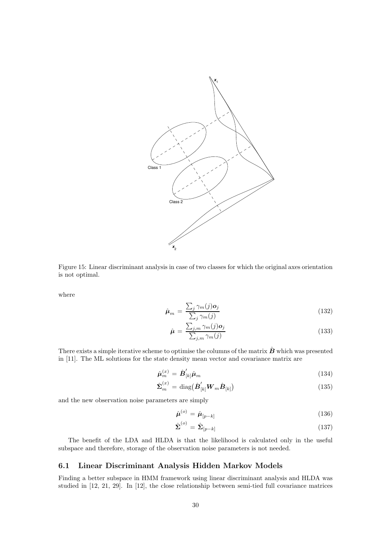

Figure 15: Linear discriminant analysis in case of two classes for which the original axes orientation is not optimal.

where

$$
\hat{\boldsymbol{\mu}}_{m} = \frac{\sum_{j} \gamma_{m}(j) \boldsymbol{o}_{j}}{\sum_{j} \gamma_{m}(j)}
$$
\n(132)

$$
\hat{\mu} = \frac{\sum_{j,m} \gamma_m(j) o_j}{\sum_{j,m} \gamma_m(j)}\tag{133}
$$

There exists a simple iterative scheme to optimise the columns of the matrix  $\hat{B}$  which was presented in [11]. The ML solutions for the state density mean vector and covariance matrix are

$$
\hat{\boldsymbol{\mu}}_m^{(x)} = \hat{\boldsymbol{B}}'_{[k]}\hat{\boldsymbol{\mu}}_m \tag{134}
$$

$$
\hat{\boldsymbol{\Sigma}}_{m}^{(x)} = \text{diag}\big(\hat{\boldsymbol{B}}'_{[k]} \boldsymbol{W}_{m} \hat{\boldsymbol{B}}_{[k]}\big) \tag{135}
$$

and the new observation noise parameters are simply

$$
\hat{\boldsymbol{\mu}}^{(o)} = \hat{\boldsymbol{\mu}}_{[p-k]} \tag{136}
$$

$$
\hat{\Sigma}^{(o)} = \hat{\Sigma}_{[p-k]} \tag{137}
$$

The benefit of the LDA and HLDA is that the likelihood is calculated only in the useful subspace and therefore, storage of the observation noise parameters is not needed.

#### 6.1 Linear Discriminant Analysis Hidden Markov Models

Finding a better subspace in HMM framework using linear discriminant analysis and HLDA was studied in [12, 21, 29]. In [12], the close relationship between semi-tied full covariance matrices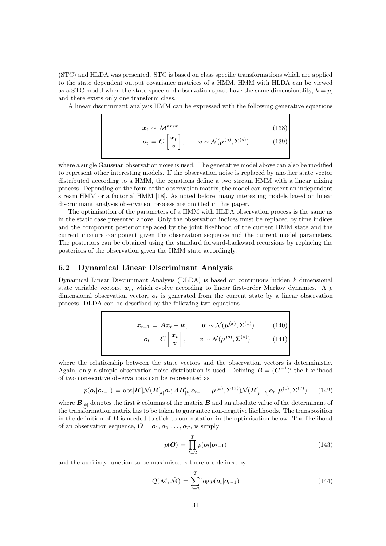(STC) and HLDA was presented. STC is based on class specific transformations which are applied to the state dependent output covariance matrices of a HMM. HMM with HLDA can be viewed as a STC model when the state-space and observation space have the same dimensionality,  $k = p$ , and there exists only one transform class.

A linear discriminant analysis HMM can be expressed with the following generative equations

$$
\boldsymbol{x}_t \sim \mathcal{M}^{hmm} \tag{138}
$$
\n
$$
\boldsymbol{o}_t = \boldsymbol{C} \begin{bmatrix} \boldsymbol{x}_t \\ \boldsymbol{v} \end{bmatrix}, \qquad \boldsymbol{v} \sim \mathcal{N}(\boldsymbol{\mu}^{(o)}, \boldsymbol{\Sigma}^{(o)}) \tag{139}
$$

where a single Gaussian observation noise is used. The generative model above can also be modified to represent other interesting models. If the observation noise is replaced by another state vector distributed according to a HMM, the equations define a two stream HMM with a linear mixing process. Depending on the form of the observation matrix, the model can represent an independent stream HMM or a factorial HMM [18]. As noted before, many interesting models based on linear discriminant analysis observation process are omitted in this paper.

The optimisation of the parameters of a HMM with HLDA observation process is the same as in the static case presented above. Only the observation indices must be replaced by time indices and the component posterior replaced by the joint likelihood of the current HMM state and the current mixture component given the observation sequence and the current model parameters. The posteriors can be obtained using the standard forward-backward recursions by replacing the posteriors of the observation given the HMM state accordingly.

#### 6.2 Dynamical Linear Discriminant Analysis

Dynamical Linear Discriminant Analysis (DLDA) is based on continuous hidden  $k$  dimensional state variable vectors,  $x_t$ , which evolve according to linear first-order Markov dynamics. A p dimensional observation vector,  $\boldsymbol{o}_t$  is generated from the current state by a linear observation process. DLDA can be described by the following two equations

$$
\boldsymbol{x}_{t+1} = \boldsymbol{A}\boldsymbol{x}_t + \boldsymbol{w}, \qquad \boldsymbol{w} \sim \mathcal{N}(\boldsymbol{\mu}^{(x)}, \boldsymbol{\Sigma}^{(x)}) \qquad (140)
$$
\n
$$
\boldsymbol{o}_t = \boldsymbol{C} \begin{bmatrix} \boldsymbol{x}_t \\ \boldsymbol{v} \end{bmatrix}, \qquad \boldsymbol{v} \sim \mathcal{N}(\boldsymbol{\mu}^{(o)}, \boldsymbol{\Sigma}^{(o)}) \qquad (141)
$$

where the relationship between the state vectors and the observation vectors is deterministic. Again, only a simple observation noise distribution is used. Defining  $\mathbf{B} = (\mathbf{C}^{-1})'$  the likelihood of two consecutive observations can be represented as

$$
p(\boldsymbol{o}_t|\boldsymbol{o}_{t-1}) = \mathrm{abs}|\boldsymbol{B}'|\mathcal{N}(\boldsymbol{B}'_{[k]}\boldsymbol{o}_t;\boldsymbol{A}\boldsymbol{B}'_{[k]}\boldsymbol{o}_{t-1} + \boldsymbol{\mu}^{(x)},\boldsymbol{\Sigma}^{(x)})\mathcal{N}(\boldsymbol{B}'_{[p-k]}\boldsymbol{o}_t;\boldsymbol{\mu}^{(o)},\boldsymbol{\Sigma}^{(o)}) \qquad (142)
$$

where  $B_{[k]}$  denotes the first k columns of the matrix B and an absolute value of the determinant of the transformation matrix has to be taken to guarantee non-negative likelihoods. The transposition in the definition of  $\bm{B}$  is needed to stick to our notation in the optimisation below. The likelihood of an observation sequence,  $\mathbf{O} = \mathbf{o}_1, \mathbf{o}_2, \dots, \mathbf{o}_T$ , is simply

$$
p(\boldsymbol{O}) = \prod_{t=2}^{T} p(\boldsymbol{o}_t | \boldsymbol{o}_{t-1})
$$
\n(143)

and the auxiliary function to be maximised is therefore defined by

$$
Q(\mathcal{M}, \hat{\mathcal{M}}) = \sum_{t=2}^{T} \log p(\boldsymbol{o}_t | \boldsymbol{o}_{t-1})
$$
\n(144)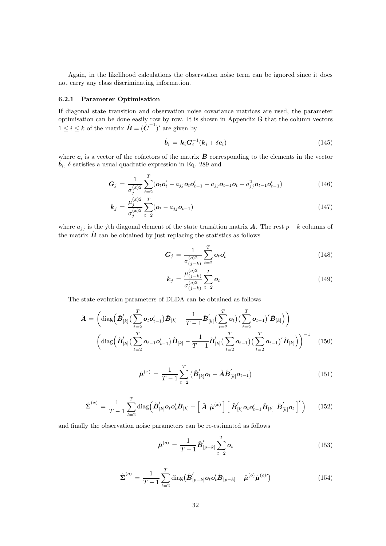Again, in the likelihood calculations the observation noise term can be ignored since it does not carry any class discriminating information.

#### 6.2.1 Parameter Optimisation

If diagonal state transition and observation noise covariance matrices are used, the parameter optimisation can be done easily row by row. It is shown in Appendix G that the column vectors  $1 \leq i \leq k$  of the matrix  $\hat{\boldsymbol{B}} = (\hat{\boldsymbol{C}}^{-1})'$  are given by

$$
\hat{\boldsymbol{b}}_i = \boldsymbol{k}_i \boldsymbol{G}_i^{-1} (\boldsymbol{k}_i + \delta \boldsymbol{c}_i) \tag{145}
$$

where  $c_i$  is a vector of the cofactors of the matrix  $\hat{B}$  corresponding to the elements in the vector  $\hat{b}_i$ ,  $\delta$  satisfies a usual quadratic expression in Eq. 289 and

$$
G_j = \frac{1}{\sigma_j^{(x)2}} \sum_{t=2}^{T} (\mathbf{o}_t \mathbf{o}_t' - a_{jj} \mathbf{o}_t \mathbf{o}_{t-1}' - a_{jj} \mathbf{o}_{t-1} \mathbf{o}_t + a_{jj}^2 \mathbf{o}_{t-1} \mathbf{o}_{t-1}')
$$
(146)

$$
\mathbf{k}_{j} = \frac{\mu_{j}^{(x)2}}{\sigma_{j}^{(x)2}} \sum_{t=2}^{T} (\mathbf{o}_{t} - a_{jj} \mathbf{o}_{t-1})
$$
(147)

where  $a_{jj}$  is the jth diagonal element of the state transition matrix **A**. The rest p – k columns of the matrix  $\hat{B}$  can be obtained by just replacing the statistics as follows

$$
G_j = \frac{1}{\sigma_{(j-k)}^{(o)2}} \sum_{t=2}^{T} o_t o_t' \qquad (148)
$$

$$
\mathbf{k}_{j} = \frac{\mu_{(j-k)}^{(o)2}}{\sigma_{(j-k)}^{(o)2}} \sum_{t=2}^{T} \mathbf{o}_{t}
$$
\n(149)

The state evolution parameters of DLDA can be obtained as follows

$$
\hat{A} = \left( \operatorname{diag} \left( \hat{B}'_{[k]} \left( \sum_{t=2}^{T} o_t o'_{t-1} \right) \hat{B}_{[k]} - \frac{1}{T-1} \hat{B}'_{[k]} \left( \sum_{t=2}^{T} o_t \right) \left( \sum_{t=2}^{T} o_{t-1} \right)' \hat{B}_{[k]} \right) \right) \n\left( \operatorname{diag} \left( \hat{B}'_{[k]} \left( \sum_{t=2}^{T} o_{t-1} o'_{t-1} \right) \hat{B}_{[k]} - \frac{1}{T-1} \hat{B}'_{[k]} \left( \sum_{t=2}^{T} o_{t-1} \right) \left( \sum_{t=2}^{T} o_{t-1} \right)' \hat{B}_{[k]} \right) \right)^{-1} \tag{150}
$$

$$
\hat{\mu}^{(x)} = \frac{1}{T-1} \sum_{t=2}^{T} (\hat{\boldsymbol{B}}'_{[k]} \boldsymbol{o}_t - \hat{\boldsymbol{A}} \hat{\boldsymbol{B}}'_{[k]} \boldsymbol{o}_{t-1})
$$
\n(151)

$$
\hat{\boldsymbol{\Sigma}}^{(x)} = \frac{1}{T-1} \sum_{t=2}^{T} \text{diag} \left( \hat{\boldsymbol{B}}'_{[k]} \boldsymbol{o}_t \boldsymbol{o}_t' \hat{\boldsymbol{B}}_{[k]} - \left[ \hat{\boldsymbol{A}} \hat{\boldsymbol{\mu}}^{(x)} \right] \left[ \hat{\boldsymbol{B}}'_{[k]} \boldsymbol{o}_t \boldsymbol{o}_{t-1}' \hat{\boldsymbol{B}}_{[k]} \hat{\boldsymbol{B}}'_{[k]} \boldsymbol{o}_t \right]^{\prime} \right)
$$
(152)

and finally the observation noise parameters can be re-estimated as follows

$$
\hat{\boldsymbol{\mu}}^{(o)} = \frac{1}{T-1} \hat{\boldsymbol{B}}'_{[p-k]} \sum_{t=2}^{T} \boldsymbol{o}_t
$$
\n(153)

$$
\hat{\Sigma}^{(o)} = \frac{1}{T-1} \sum_{t=2}^{T} \text{diag}(\hat{\boldsymbol{B}}'_{[p-k]} \boldsymbol{o}_t \boldsymbol{o}_t' \hat{\boldsymbol{B}}_{[p-k]} - \hat{\boldsymbol{\mu}}^{(o)} \hat{\boldsymbol{\mu}}^{(o)\prime})
$$
(154)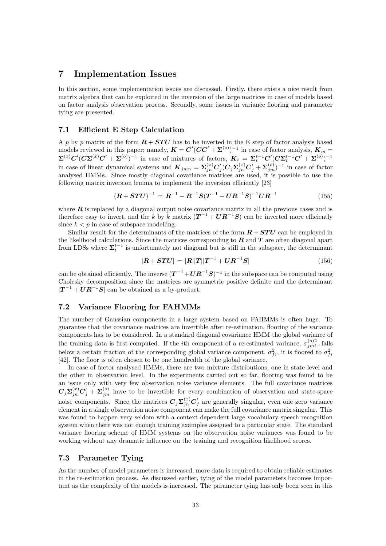### 7 Implementation Issues

In this section, some implementation issues are discussed. Firstly, there exists a nice result from matrix algebra that can be exploited in the inversion of the large matrices in case of models based on factor analysis observation process. Secondly, some issues in variance flooring and parameter tying are presented.

#### 7.1 Efficient E Step Calculation

A p by p matrix of the form  $R + STU$  has to be inverted in the E step of factor analysis based models reviewed in this paper; namely,  $K = C'(CC' + \Sigma^{(o)})^{-1}$  in case of factor analysis,  $K_m =$  $\mathbf{\Sigma}^{(x)}\mathbf{C}'(C\mathbf{\Sigma}^{(x)}C'+\mathbf{\Sigma}^{(o)})^{-1}$  in case of mixtures of factors,  $\boldsymbol{K}_{t} = \boldsymbol{\Sigma}_{t}^{t-1}\mathbf{C}'(C\mathbf{\Sigma}_{t}^{t-1}C'+\mathbf{\Sigma}^{(o)})^{-1}$ in case of linear dynamical systems and  $\boldsymbol{K}_{jmn} = \boldsymbol{\Sigma}_{jn}^{(x)} \boldsymbol{C}_j' (\boldsymbol{C}_j \boldsymbol{\Sigma}_{jn}^{(x)} \boldsymbol{C}_j' + \boldsymbol{\Sigma}_{jm}^{(o)})^{-1}$  in case of factor analysed HMMs. Since mostly diagonal covariance matrices are used, it is possible to use the following matrix inversion lemma to implement the inversion efficiently [23]

$$
(\boldsymbol{R} + \boldsymbol{STU})^{-1} = \boldsymbol{R}^{-1} - \boldsymbol{R}^{-1}\boldsymbol{S}(\boldsymbol{T}^{-1} + \boldsymbol{U}\boldsymbol{R}^{-1}\boldsymbol{S})^{-1}\boldsymbol{U}\boldsymbol{R}^{-1}
$$
(155)

where  $\boldsymbol{R}$  is replaced by a diagonal output noise covariance matrix in all the previous cases and is therefore easy to invert, and the k by k matrix  $(T^{-1} + U R^{-1} S)$  can be inverted more efficiently since  $k < p$  in case of subspace modelling.

Similar result for the determinants of the matrices of the form  $R + STU$  can be employed in the likelihood calculations. Since the matrices corresponding to  $\bf{R}$  and  $\bf{T}$  are often diagonal apart from LDSs where  $\Sigma_t^{t-1}$  is unfortunately not diagonal but is still in the subspace, the determinant

$$
|\mathbf{R} + \mathbf{STU}| = |\mathbf{R}||\mathbf{T}||\mathbf{T}^{-1} + \mathbf{U}\mathbf{R}^{-1}\mathbf{S}| \tag{156}
$$

can be obtained efficiently. The inverse  $(T^{-1} + U R^{-1} S)^{-1}$  in the subspace can be computed using Cholesky decomposition since the matrices are symmetric positive definite and the determinant  $|T^{-1} + UR^{-1}S|$  can be obtained as a by-product.

#### 7.2 Variance Flooring for FAHMMs

The number of Gaussian components in a large system based on FAHMMs is often huge. To guarantee that the covariance matrices are invertible after re-estimation, flooring of the variance components has to be considered. In a standard diagonal covariance HMM the global variance of the training data is first computed. If the *i*th component of a re-estimated variance,  $\sigma_{jmi}^{(o)2}$ , falls below a certain fraction of the corresponding global variance component,  $\sigma_{fi}^2$ , it is floored to  $\sigma_{fi}^2$ [42]. The floor is often chosen to be one hundredth of the global variance.

In case of factor analysed HMMs, there are two mixture distributions, one in state level and the other in observation level. In the experiments carried out so far, flooring was found to be an issue only with very few observation noise variance elements. The full covariance matrices  $C_j \Sigma_{jn}^{(x)} C'_j + \Sigma_{jm}^{(o)}$  have to be invertible for every combination of observation and state-space noise components. Since the matrices  $C_j \Sigma_{jn}^{(x)} C'_j$  are generally singular, even one zero variance element in a single observation noise component can make the full covariance matrix singular. This was found to happen very seldom with a context dependent large vocabulary speech recognition system when there was not enough training examples assigned to a particular state. The standard variance flooring scheme of HMM systems on the observation noise variances was found to be working without any dramatic influence on the training and recognition likelihood scores.

#### 7.3 Parameter Tying

As the number of model parameters is increased, more data is required to obtain reliable estimates in the re-estimation process. As discussed earlier, tying of the model parameters becomes important as the complexity of the models is increased. The parameter tying has only been seen in this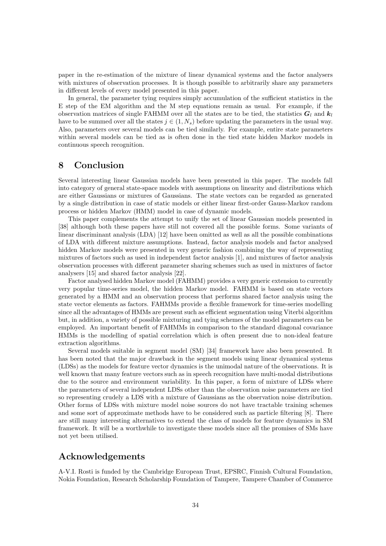paper in the re-estimation of the mixture of linear dynamical systems and the factor analysers with mixtures of observation processes. It is though possible to arbitrarily share any parameters in different levels of every model presented in this paper.

In general, the parameter tying requires simply accumulation of the sufficient statistics in the E step of the EM algorithm and the M step equations remain as usual. For example, if the observation matrices of single FAHMM over all the states are to be tied, the statistics  $G_l$  and  $k_l$ have to be summed over all the states  $j \in (1, N_s)$  before updating the parameters in the usual way. Also, parameters over several models can be tied similarly. For example, entire state parameters within several models can be tied as is often done in the tied state hidden Markov models in continuous speech recognition.

## 8 Conclusion

Several interesting linear Gaussian models have been presented in this paper. The models fall into category of general state-space models with assumptions on linearity and distributions which are either Gaussians or mixtures of Gaussians. The state vectors can be regarded as generated by a single distribution in case of static models or either linear first-order Gauss-Markov random process or hidden Markov (HMM) model in case of dynamic models.

This paper complements the attempt to unify the set of linear Gaussian models presented in [38] although both these papers have still not covered all the possible forms. Some variants of linear discriminant analysis (LDA) [12] have been omitted as well as all the possible combinations of LDA with different mixture assumptions. Instead, factor analysis models and factor analysed hidden Markov models were presented in very generic fashion combining the way of representing mixtures of factors such as used in independent factor analysis [1], and mixtures of factor analysis observation processes with different parameter sharing schemes such as used in mixtures of factor analysers [15] and shared factor analysis [22].

Factor analysed hidden Markov model (FAHMM) provides a very generic extension to currently very popular time-series model, the hidden Markov model. FAHMM is based on state vectors generated by a HMM and an observation process that performs shared factor analysis using the state vector elements as factors. FAHMMs provide a flexible framework for time-series modelling since all the advantages of HMMs are present such as efficient segmentation using Viterbi algorithm but, in addition, a variety of possible mixturing and tying schemes of the model parameters can be employed. An important benefit of FAHMMs in comparison to the standard diagonal covariance HMMs is the modelling of spatial correlation which is often present due to non-ideal feature extraction algorithms.

Several models suitable in segment model (SM) [34] framework have also been presented. It has been noted that the major drawback in the segment models using linear dynamical systems (LDSs) as the models for feature vector dynamics is the unimodal nature of the observations. It is well known that many feature vectors such as in speech recognition have multi-modal distributions due to the source and environment variability. In this paper, a form of mixture of LDSs where the parameters of several independent LDSs other than the observation noise parameters are tied so representing crudely a LDS with a mixture of Gaussians as the observation noise distribution. Other forms of LDSs with mixture model noise sources do not have tractable training schemes and some sort of approximate methods have to be considered such as particle filtering [8]. There are still many interesting alternatives to extend the class of models for feature dynamics in SM framework. It will be a worthwhile to investigate these models since all the promises of SMs have not yet been utilised.

## Acknowledgements

A-V.I. Rosti is funded by the Cambridge European Trust, EPSRC, Finnish Cultural Foundation, Nokia Foundation, Research Scholarship Foundation of Tampere, Tampere Chamber of Commerce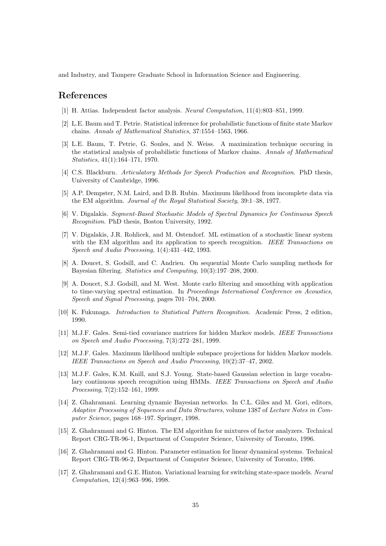and Industry, and Tampere Graduate School in Information Science and Engineering.

## References

- [1] H. Attias. Independent factor analysis. Neural Computation, 11(4):803–851, 1999.
- [2] L.E. Baum and T. Petrie. Statistical inference for probabilistic functions of finite state Markov chains. Annals of Mathematical Statistics, 37:1554–1563, 1966.
- [3] L.E. Baum, T. Petrie, G. Soules, and N. Weiss. A maximization technique occuring in the statistical analysis of probabilistic functions of Markov chains. Annals of Mathematical Statistics, 41(1):164–171, 1970.
- [4] C.S. Blackburn. Articulatory Methods for Speech Production and Recognition. PhD thesis, University of Cambridge, 1996.
- [5] A.P. Dempster, N.M. Laird, and D.B. Rubin. Maximum likelihood from incomplete data via the EM algorithm. Journal of the Royal Statistical Society, 39:1–38, 1977.
- [6] V. Digalakis. Segment-Based Stochastic Models of Spectral Dynamics for Continuous Speech Recognition. PhD thesis, Boston University, 1992.
- [7] V. Digalakis, J.R. Rohlicek, and M. Ostendorf. ML estimation of a stochastic linear system with the EM algorithm and its application to speech recognition. IEEE Transactions on Speech and Audio Processing, 1(4):431–442, 1993.
- [8] A. Doucet, S. Godsill, and C. Andrieu. On sequential Monte Carlo sampling methods for Bayesian filtering. Statistics and Computing, 10(3):197–208, 2000.
- [9] A. Doucet, S.J. Godsill, and M. West. Monte carlo filtering and smoothing with application to time-varying spectral estimation. In Proceedings International Conference on Acoustics, Speech and Signal Processing, pages 701–704, 2000.
- [10] K. Fukunaga. Introduction to Statistical Pattern Recognition. Academic Press, 2 edition, 1990.
- [11] M.J.F. Gales. Semi-tied covariance matrices for hidden Markov models. IEEE Transactions on Speech and Audio Processing, 7(3):272–281, 1999.
- [12] M.J.F. Gales. Maximum likelihood multiple subspace projections for hidden Markov models. IEEE Transactions on Speech and Audio Processing, 10(2):37–47, 2002.
- [13] M.J.F. Gales, K.M. Knill, and S.J. Young. State-based Gaussian selection in large vocabulary continuous speech recognition using HMMs. IEEE Transactions on Speech and Audio Processing, 7(2):152–161, 1999.
- [14] Z. Ghahramani. Learning dynamic Bayesian networks. In C.L. Giles and M. Gori, editors, Adaptive Processing of Sequences and Data Structures, volume 1387 of Lecture Notes in Computer Science, pages 168–197. Springer, 1998.
- [15] Z. Ghahramani and G. Hinton. The EM algorithm for mixtures of factor analyzers. Technical Report CRG-TR-96-1, Department of Computer Science, University of Toronto, 1996.
- [16] Z. Ghahramani and G. Hinton. Parameter estimation for linear dynamical systems. Technical Report CRG-TR-96-2, Department of Computer Science, University of Toronto, 1996.
- [17] Z. Ghahramani and G.E. Hinton. Variational learning for switching state-space models. Neural Computation, 12(4):963–996, 1998.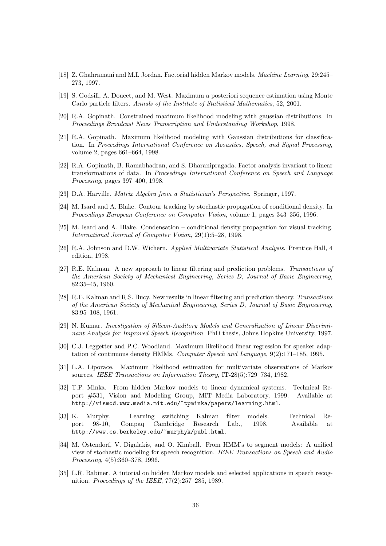- [18] Z. Ghahramani and M.I. Jordan. Factorial hidden Markov models. Machine Learning, 29:245– 273, 1997.
- [19] S. Godsill, A. Doucet, and M. West. Maximum a posteriori sequence estimation using Monte Carlo particle filters. Annals of the Institute of Statistical Mathematics, 52, 2001.
- [20] R.A. Gopinath. Constrained maximum likelihood modeling with gaussian distributions. In Proceedings Broadcast News Transcription and Understanding Workshop, 1998.
- [21] R.A. Gopinath. Maximum likelihood modeling with Gaussian distributions for classification. In Proceedings International Conference on Acoustics, Speech, and Signal Processing, volume 2, pages 661–664, 1998.
- [22] R.A. Gopinath, B. Ramabhadran, and S. Dharanipragada. Factor analysis invariant to linear transformations of data. In Proceedings International Conference on Speech and Language Processing, pages 397–400, 1998.
- [23] D.A. Harville. Matrix Algebra from a Statistician's Perspective. Springer, 1997.
- [24] M. Isard and A. Blake. Contour tracking by stochastic propagation of conditional density. In Proceedings European Conference on Computer Vision, volume 1, pages 343–356, 1996.
- [25] M. Isard and A. Blake. Condensation conditional density propagation for visual tracking. International Journal of Computer Vision, 29(1):5–28, 1998.
- [26] R.A. Johnson and D.W. Wichern. Applied Multivariate Statistical Analysis. Prentice Hall, 4 edition, 1998.
- [27] R.E. Kalman. A new approach to linear filtering and prediction problems. Transactions of the American Society of Mechanical Engineering, Series D, Journal of Basic Engineering, 82:35–45, 1960.
- [28] R.E. Kalman and R.S. Bucy. New results in linear filtering and prediction theory. Transactions of the American Society of Mechanical Engineering, Series D, Journal of Basic Engineering, 83:95–108, 1961.
- [29] N. Kumar. Investigation of Silicon-Auditory Models and Generalization of Linear Discriminant Analysis for Improved Speech Recognition. PhD thesis, Johns Hopkins University, 1997.
- [30] C.J. Leggetter and P.C. Woodland. Maximum likelihood linear regression for speaker adaptation of continuous density HMMs. Computer Speech and Language, 9(2):171–185, 1995.
- [31] L.A. Liporace. Maximum likelihood estimation for multivariate observations of Markov sources. IEEE Transactions on Information Theory, IT-28(5):729–734, 1982.
- [32] T.P. Minka. From hidden Markov models to linear dynamical systems. Technical Report #531, Vision and Modeling Group, MIT Media Laboratory, 1999. Available at http://vismod.www.media.mit.edu/~tpminka/papers/learning.html.
- [33] K. Murphy. Learning switching Kalman filter models. Technical Report 98-10, Compaq Cambridge Research Lab., 1998. Available at http://www.cs.berkeley.edu/~murphyk/publ.html.
- [34] M. Ostendorf, V. Digalakis, and O. Kimball. From HMM's to segment models: A unified view of stochastic modeling for speech recognition. IEEE Transactions on Speech and Audio Processing, 4(5):360–378, 1996.
- [35] L.R. Rabiner. A tutorial on hidden Markov models and selected applications in speech recognition. Proceedings of the IEEE, 77(2):257–285, 1989.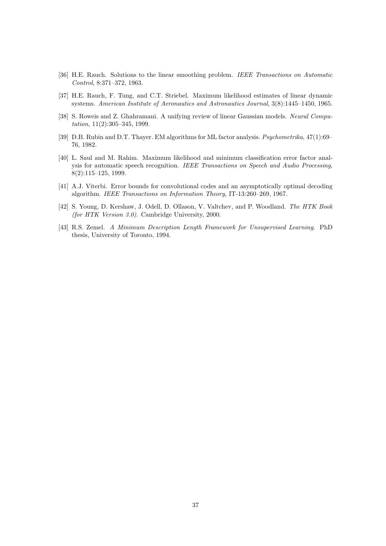- [36] H.E. Rauch. Solutions to the linear smoothing problem. IEEE Transactions on Automatic Control, 8:371–372, 1963.
- [37] H.E. Rauch, F. Tung, and C.T. Striebel. Maximum likelihood estimates of linear dynamic systems. American Institute of Aeronautics and Astronautics Journal, 3(8):1445–1450, 1965.
- [38] S. Roweis and Z. Ghahramani. A unifying review of linear Gaussian models. Neural Computation, 11(2):305–345, 1999.
- [39] D.B. Rubin and D.T. Thayer. EM algorithms for ML factor analysis. Psychometrika, 47(1):69-76, 1982.
- [40] L. Saul and M. Rahim. Maximum likelihood and minimum classification error factor analysis for automatic speech recognition. IEEE Transactions on Speech and Audio Processing, 8(2):115–125, 1999.
- [41] A.J. Viterbi. Error bounds for convolutional codes and an asymptotically optimal decoding algorithm. IEEE Transactions on Information Theory, IT-13:260–269, 1967.
- [42] S. Young, D. Kershaw, J. Odell, D. Ollason, V. Valtchev, and P. Woodland. The HTK Book (for HTK Version 3.0). Cambridge University, 2000.
- [43] R.S. Zemel. A Minimum Description Length Framework for Unsupervised Learning. PhD thesis, University of Toronto, 1994.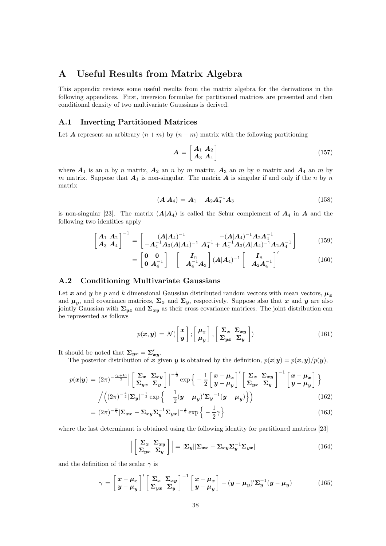## A Useful Results from Matrix Algebra

This appendix reviews some useful results from the matrix algebra for the derivations in the following appendices. First, inversion formulae for partitioned matrices are presented and then conditional density of two multivariate Gaussians is derived.

#### A.1 Inverting Partitioned Matrices

Let A represent an arbitrary  $(n+m)$  by  $(n+m)$  matrix with the following partitioning

$$
\mathbf{A} = \begin{bmatrix} \mathbf{A}_1 & \mathbf{A}_2 \\ \mathbf{A}_3 & \mathbf{A}_4 \end{bmatrix} \tag{157}
$$

where  $A_1$  is an n by n matrix,  $A_2$  an n by m matrix,  $A_3$  an m by n matrix and  $A_4$  an m by m matrix. Suppose that  $A_1$  is non-singular. The matrix  $A$  is singular if and only if the n by n matrix

$$
(A|A_4) = A_1 - A_2 A_4^{-1} A_3 \tag{158}
$$

is non-singular [23]. The matrix  $(A|A_4)$  is called the Schur complement of  $A_4$  in A and the following two identities apply

$$
\begin{bmatrix}\nA_1 & A_2 \\
A_3 & A_4\n\end{bmatrix}^{-1} = \begin{bmatrix}\n(A|A_4)^{-1} & -(A|A_4)^{-1}A_2A_4^{-1} \\
-A_4^{-1}A_3(A|A_4)^{-1} & A_4^{-1}+A_4^{-1}A_3(A|A_4)^{-1}A_2A_4^{-1}\n\end{bmatrix}
$$
\n(159)

$$
= \begin{bmatrix} \mathbf{0} & \mathbf{0} \\ \mathbf{0} & \mathbf{A}_4^{-1} \end{bmatrix} + \begin{bmatrix} I_n \\ -\mathbf{A}_4^{-1} \mathbf{A}_3 \end{bmatrix} (\mathbf{A}|\mathbf{A}_4)^{-1} \begin{bmatrix} I_n \\ -\mathbf{A}_2 \mathbf{A}_4^{-1} \end{bmatrix}' \tag{160}
$$

#### A.2 Conditioning Multivariate Gaussians

Let x and y be p and k dimensional Gaussian distributed random vectors with mean vectors,  $\mu_x$ and  $\mu_y$ , and covariance matrices,  $\Sigma_x$  and  $\Sigma_y$ , respectively. Suppose also that x and y are also jointly Gaussian with  $\Sigma_{yx}$  and  $\Sigma_{xy}$  as their cross covariance matrices. The joint distribution can be represented as follows

$$
p(\boldsymbol{x}, \boldsymbol{y}) = \mathcal{N}(\begin{bmatrix} \boldsymbol{x} \\ \boldsymbol{y} \end{bmatrix}; \begin{bmatrix} \boldsymbol{\mu_x} \\ \boldsymbol{\mu_y} \end{bmatrix}, \begin{bmatrix} \boldsymbol{\Sigma_x} & \boldsymbol{\Sigma_{xy}} \\ \boldsymbol{\Sigma_{yx}} & \boldsymbol{\Sigma_y} \end{bmatrix})
$$
(161)

It should be noted that  $\Sigma_{yx} = \Sigma'_{xy}$ .

The posterior distribution of x given y is obtained by the definition,  $p(x|y) = p(x, y)/p(y)$ ,

$$
p(\mathbf{x}|\mathbf{y}) = (2\pi)^{-\frac{(p+k)}{2}} \Big| \left[ \sum_{\mathbf{y}|\mathbf{x}} \sum_{\mathbf{y}|\mathbf{x}} \mathbf{y} \right] \Big|^{-\frac{1}{2}} \exp \Big\{ -\frac{1}{2} \Big[ \frac{x - \mu_x}{y - \mu_y} \Big]' \Big[ \sum_{\mathbf{y}|\mathbf{x}} \sum_{\mathbf{x}|\mathbf{y}} \mathbf{y} \Big]^{-1} \Big[ \frac{x - \mu_x}{y - \mu_y} \Big] \Big\}
$$

$$
\Big/ \Big( (2\pi)^{-\frac{k}{2}} |\Sigma_{\mathbf{y}}|^{-\frac{1}{2}} \exp \Big\{ -\frac{1}{2} (\mathbf{y} - \mu_y)' \Sigma_{\mathbf{y}}^{-1} (\mathbf{y} - \mu_y) \Big\} \Big) \tag{162}
$$

$$
= (2\pi)^{-\frac{p}{2}} |\Sigma_{xx} - \Sigma_{xy} \Sigma_y^{-1} \Sigma_{yx}|^{-\frac{1}{2}} \exp\left\{-\frac{1}{2}\gamma\right\} \tag{163}
$$

where the last determinant is obtained using the following identity for partitioned matrices [23]

$$
\left| \begin{bmatrix} \Sigma_x & \Sigma_{xy} \\ \Sigma_{yx} & \Sigma_y \end{bmatrix} \right| = |\Sigma_y| |\Sigma_{xx} - \Sigma_{xy} \Sigma_y^{-1} \Sigma_{yx}| \tag{164}
$$

and the definition of the scalar  $\gamma$  is

$$
\gamma = \left[\frac{x - \mu_x}{y - \mu_y}\right]' \left[\frac{\Sigma_x}{\Sigma_{yx}} \frac{\Sigma_{xy}}{\Sigma_y}\right]^{-1} \left[\frac{x - \mu_x}{y - \mu_y}\right] - (y - \mu_y)' \Sigma_y^{-1} (y - \mu_y) \tag{165}
$$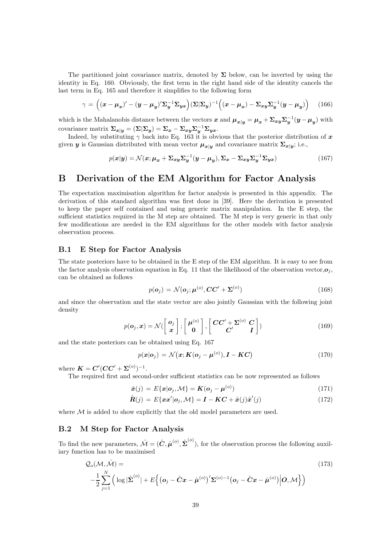The partitioned joint covariance matrix, denoted by  $\Sigma$  below, can be inverted by using the identity in Eq. 160. Obviously, the first term in the right hand side of the identity cancels the last term in Eq. 165 and therefore it simplifies to the following form

$$
\gamma = \left( (\boldsymbol{x} - \boldsymbol{\mu}_x)' - (\boldsymbol{y} - \boldsymbol{\mu}_y)' \boldsymbol{\Sigma}_y^{-1} \boldsymbol{\Sigma}_{yx} \right) (\boldsymbol{\Sigma} | \boldsymbol{\Sigma}_y)^{-1} \left( (\boldsymbol{x} - \boldsymbol{\mu}_x) - \boldsymbol{\Sigma}_{xy} \boldsymbol{\Sigma}_y^{-1} (\boldsymbol{y} - \boldsymbol{\mu}_y) \right) \tag{166}
$$

which is the Mahalanobis distance between the vectors  $x$  and  $\mu_{x|y} = \mu_x + \Sigma_{xy} \Sigma_y^{-1} (y - \mu_y)$  with covariance matrix  $\Sigma_{x|y} = (\Sigma | \Sigma_y) = \Sigma_x - \Sigma_{xy} \Sigma_y^{-1} \Sigma_{yx}$ .

Indeed, by substituting  $\gamma$  back into Eq. 163 it is obvious that the posterior distribution of x given  $y$  is Gaussian distributed with mean vector  $\mu_{x|y}$  and covariance matrix  $\Sigma_{x|y}$ ; i.e.,

$$
p(\mathbf{x}|\mathbf{y}) = \mathcal{N}(\mathbf{x}; \boldsymbol{\mu}_{\mathbf{x}} + \boldsymbol{\Sigma}_{\mathbf{x}\mathbf{y}} \boldsymbol{\Sigma}_{\mathbf{y}}^{-1} (\mathbf{y} - \boldsymbol{\mu}_{\mathbf{y}}), \boldsymbol{\Sigma}_{\mathbf{x}} - \boldsymbol{\Sigma}_{\mathbf{x}\mathbf{y}} \boldsymbol{\Sigma}_{\mathbf{y}}^{-1} \boldsymbol{\Sigma}_{\mathbf{y}\mathbf{x}})
$$
(167)

## B Derivation of the EM Algorithm for Factor Analysis

The expectation maximisation algorithm for factor analysis is presented in this appendix. The derivation of this standard algorithm was first done in [39]. Here the derivation is presented to keep the paper self contained and using generic matrix manipulation. In the E step, the sufficient statistics required in the M step are obtained. The M step is very generic in that only few modifications are needed in the EM algorithms for the other models with factor analysis observation process.

#### B.1 E Step for Factor Analysis

The state posteriors have to be obtained in the E step of the EM algorithm. It is easy to see from the factor analysis observation equation in Eq. 11 that the likelihood of the observation vector, $o_j$ , can be obtained as follows

$$
p(\boldsymbol{o}_j) = \mathcal{N}(\boldsymbol{o}_j; \boldsymbol{\mu}^{(o)}, \mathbf{CC}' + \boldsymbol{\Sigma}^{(o)})
$$
\n(168)

and since the observation and the state vector are also jointly Gaussian with the following joint density

$$
p(\boldsymbol{o}_j, \boldsymbol{x}) = \mathcal{N}(\begin{bmatrix} \boldsymbol{o}_j \\ \boldsymbol{x} \end{bmatrix}; \begin{bmatrix} \boldsymbol{\mu}^{(o)} \\ \mathbf{0} \end{bmatrix}, \begin{bmatrix} \boldsymbol{CC'} + \boldsymbol{\Sigma}^{(o)} & \boldsymbol{C} \\ \boldsymbol{C'} & \boldsymbol{I} \end{bmatrix})
$$
(169)

and the state posteriors can be obtained using Eq. 167

$$
p(\boldsymbol{x}|\boldsymbol{o}_j) = \mathcal{N}(\boldsymbol{x}; \boldsymbol{K}(\boldsymbol{o}_j - \boldsymbol{\mu}^{(o)}), \boldsymbol{I} - \boldsymbol{K}\boldsymbol{C})
$$
\n(170)

where  $K = C'(CC' + \Sigma^{(o)})^{-1}$ .

The required first and second-order sufficient statistics can be now represented as follows

$$
\hat{\boldsymbol{x}}(j) = E\{\boldsymbol{x}|\boldsymbol{o}_j, \mathcal{M}\} = \boldsymbol{K}(\boldsymbol{o}_j - \boldsymbol{\mu}^{(o)})
$$
\n(171)

$$
\hat{\boldsymbol{R}}(j) = E\{\boldsymbol{x}\boldsymbol{x}'|\boldsymbol{o}_j, \mathcal{M}\} = \boldsymbol{I} - \boldsymbol{K}\boldsymbol{C} + \hat{\boldsymbol{x}}(j)\hat{\boldsymbol{x}}'(j)
$$
(172)

where  $M$  is added to show explicitly that the old model parameters are used.

#### B.2 M Step for Factor Analysis

To find the new parameters,  $\hat{\mathcal{M}} = (\hat{\mathbf{C}}, \hat{\boldsymbol{\mu}}^{(o)}, \hat{\boldsymbol{\Sigma}}^{(o)})$ , for the observation process the following auxiliary function has to be maximised

$$
Q_o(\mathcal{M}, \hat{\mathcal{M}}) =
$$
\n
$$
-\frac{1}{2} \sum_{j=1}^N \left( \log |\hat{\Sigma}^{(o)}| + E \left\{ (\mathbf{o}_j - \hat{C}\mathbf{x} - \hat{\boldsymbol{\mu}}^{(o)})' \Sigma^{(o)-1} (\mathbf{o}_j - \hat{C}\mathbf{x} - \hat{\boldsymbol{\mu}}^{(o)}) \middle| \mathbf{O}, \mathcal{M} \right\} \right)
$$
\n(173)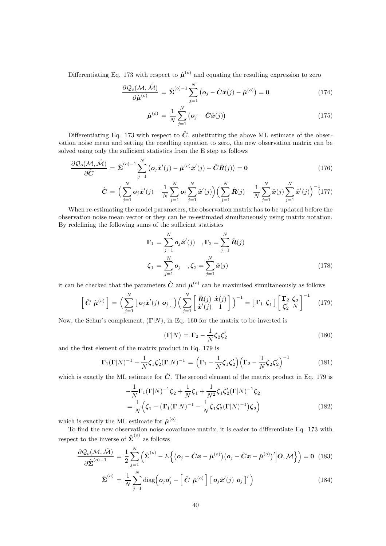Differentiating Eq. 173 with respect to  $\hat{\mu}^{(o)}$  and equating the resulting expression to zero

$$
\frac{\partial \mathcal{Q}_o(\mathcal{M}, \hat{\mathcal{M}})}{\partial \hat{\boldsymbol{\mu}}^{(o)}} = \hat{\boldsymbol{\Sigma}}^{(o)-1} \sum_{j=1}^N (\boldsymbol{o}_j - \hat{\boldsymbol{C}} \hat{\boldsymbol{x}}(j) - \hat{\boldsymbol{\mu}}^{(o)}) = \mathbf{0}
$$
(174)

$$
\hat{\mu}^{(o)} = \frac{1}{N} \sum_{j=1}^{N} (o_j - \hat{C}\hat{x}(j))
$$
\n(175)

Differentiating Eq. 173 with respect to  $\hat{C}$ , substituting the above ML estimate of the observation noise mean and setting the resulting equation to zero, the new observation matrix can be solved using only the sufficient statistics from the E step as follows

$$
\frac{\partial \mathcal{Q}_o(\mathcal{M}, \hat{\mathcal{M}})}{\partial \hat{\mathbf{C}}} = \hat{\Sigma}^{(o)-1} \sum_{j=1}^N (\mathbf{o}_j \hat{\mathbf{x}}'(j) - \hat{\boldsymbol{\mu}}^{(o)} \hat{\mathbf{x}}'(j) - \hat{\mathbf{C}} \hat{\mathbf{R}}(j)) = \mathbf{0}
$$
(176)

$$
\hat{C} = \Big(\sum_{j=1}^{N} \mathbf{o}_j \hat{\mathbf{x}}'(j) - \frac{1}{N} \sum_{j=1}^{N} \mathbf{o}_t \sum_{j=1}^{N} \hat{\mathbf{x}}'(j) \Big) \Big(\sum_{j=1}^{N} \hat{\mathbf{R}}(j) - \frac{1}{N} \sum_{j=1}^{N} \hat{\mathbf{x}}(j) \sum_{j=1}^{N} \hat{\mathbf{x}}'(j) \Big)^{-1} (177)
$$

When re-estimating the model parameters, the observation matrix has to be updated before the observation noise mean vector or they can be re-estimated simultaneously using matrix notation. By redefining the following sums of the sufficient statistics

$$
\Gamma_1 = \sum_{j=1}^N \mathbf{o}_j \hat{\mathbf{x}}'(j) \quad, \Gamma_2 = \sum_{j=1}^N \hat{\mathbf{R}}(j)
$$

$$
\zeta_1 = \sum_{j=1}^N \mathbf{o}_j \quad, \zeta_2 = \sum_{j=1}^N \hat{\mathbf{x}}(j)
$$
(178)

it can be checked that the parameters  $\hat{C}$  and  $\hat{\mu}^{(o)}$  can be maximised simultaneously as follows

$$
\left[\hat{\mathbf{C}}\ \hat{\boldsymbol{\mu}}^{(o)}\right] = \left(\sum_{j=1}^N \left[\ \boldsymbol{o}_j \hat{\boldsymbol{x}}'(j)\ \boldsymbol{o}_j\ \right]\right) \left(\sum_{j=1}^N \left[\begin{array}{c} \hat{\mathbf{R}}(j)\ \hat{\boldsymbol{x}}(j)\ 1 \end{array}\right]\right)^{-1} = \left[\ \mathbf{\Gamma}_1\ \boldsymbol{\zeta}_1\ \right] \left[\begin{array}{c} \mathbf{\Gamma}_2\ \boldsymbol{\zeta}_2\\ \boldsymbol{\zeta}_2'\ N \end{array}\right]^{-1} \tag{179}
$$

Now, the Schur's complement,  $(\Gamma|N)$ , in Eq. 160 for the matrix to be inverted is

$$
(\Gamma|N) = \Gamma_2 - \frac{1}{N}\zeta_2\zeta_2'
$$
\n(180)

and the first element of the matrix product in Eq. 179 is

$$
\mathbf{\Gamma}_1(\mathbf{\Gamma}|N)^{-1} - \frac{1}{N}\boldsymbol{\zeta}_1\boldsymbol{\zeta}_2'(\mathbf{\Gamma}|N)^{-1} = \left(\mathbf{\Gamma}_1 - \frac{1}{N}\boldsymbol{\zeta}_1\boldsymbol{\zeta}_2'\right)\left(\mathbf{\Gamma}_2 - \frac{1}{N}\boldsymbol{\zeta}_2\boldsymbol{\zeta}_2'\right)^{-1} \tag{181}
$$

which is exactly the ML estimate for  $\hat{C}$ . The second element of the matrix product in Eq. 179 is

$$
-\frac{1}{N}\Gamma_1(\Gamma|N)^{-1}\zeta_2 + \frac{1}{N}\zeta_1 + \frac{1}{N^2}\zeta_1\zeta_2'(\Gamma|N)^{-1}\zeta_2
$$
  
= 
$$
\frac{1}{N}(\zeta_1 - (\Gamma_1(\Gamma|N)^{-1} - \frac{1}{N}\zeta_1\zeta_2'(\Gamma|N)^{-1})\zeta_2)
$$
 (182)

which is exactly the ML estimate for  $\hat{\boldsymbol{\mu}}^{(o)}$ .

To find the new observation noise covariance matrix, it is easier to differentiate Eq. 173 with respect to the inverse of  $\hat{\Sigma}^{(o)}$  as follows

$$
\frac{\partial \mathcal{Q}_o(\mathcal{M}, \hat{\mathcal{M}})}{\partial \hat{\Sigma}^{(o)-1}} = \frac{1}{2} \sum_{j=1}^N \left( \hat{\Sigma}^{(o)} - E \Big\{ \big( \mathbf{o}_j - \hat{C} \mathbf{x} - \hat{\boldsymbol{\mu}}^{(o)} \big) \big( \mathbf{o}_j - \hat{C} \mathbf{x} - \hat{\boldsymbol{\mu}}^{(o)} \big) \Big\} \Big| \mathbf{O}, \mathcal{M} \Big\} \right) = \mathbf{0} \quad (183)
$$

$$
\hat{\Sigma}^{(o)} = \frac{1}{N} \sum_{j=1}^{N} \text{diag} \left( \boldsymbol{o}_j \boldsymbol{o}_j' - \left[ \hat{\boldsymbol{C}} \ \hat{\boldsymbol{\mu}}^{(o)} \right] \left[ \ \boldsymbol{o}_j \hat{\boldsymbol{x}}'(j) \ \boldsymbol{o}_j \right]' \right) \tag{184}
$$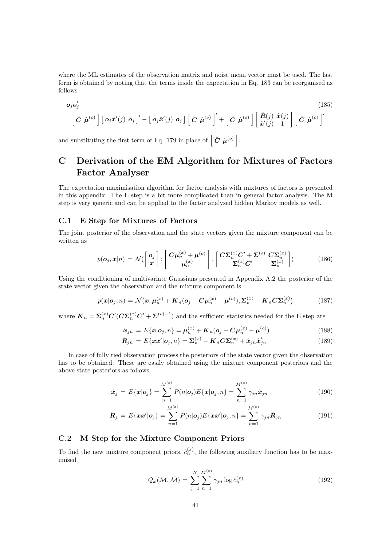where the ML estimates of the observation matrix and noise mean vector must be used. The last form is obtained by noting that the terms inside the expectation in Eq. 183 can be reorganised as follows

$$
\mathbf{o}_j \mathbf{o}'_j - \left[\hat{\mathbf{C}} \hat{\boldsymbol{\mu}}^{(o)}\right] \left[\mathbf{o}_j \hat{\mathbf{x}}'(j) \mathbf{o}_j\right]' - \left[\mathbf{o}_j \hat{\mathbf{x}}'(j) \mathbf{o}_j\right] \left[\hat{\mathbf{C}} \hat{\boldsymbol{\mu}}^{(o)}\right]' + \left[\hat{\mathbf{C}} \hat{\boldsymbol{\mu}}^{(o)}\right] \left[\hat{\mathbf{R}}(j) \hat{\mathbf{x}}(j)\right] \left[\hat{\mathbf{C}} \hat{\boldsymbol{\mu}}^{(o)}\right]'
$$
\n(185)

and substituting the first term of Eq. 179 in place of  $\left[ \hat{C} \hat{\mu}^{(o)} \right]$ .

## C Derivation of the EM Algorithm for Mixtures of Factors Factor Analyser

The expectation maximisation algorithm for factor analysis with mixtures of factors is presented in this appendix. The E step is a bit more complicated than in general factor analysis. The M step is very generic and can be applied to the factor analysed hidden Markov models as well.

#### C.1 E Step for Mixtures of Factors

The joint posterior of the observation and the state vectors given the mixture component can be written as

$$
p(\boldsymbol{o}_j, \boldsymbol{x}|n) = \mathcal{N}\left(\begin{bmatrix} \boldsymbol{o}_j \\ \boldsymbol{x} \end{bmatrix}; \begin{bmatrix} \boldsymbol{C}\boldsymbol{\mu}_n^{(x)} + \boldsymbol{\mu}^{(o)} \\ \boldsymbol{\mu}_n^{(x)} \end{bmatrix}, \begin{bmatrix} \boldsymbol{C}\boldsymbol{\Sigma}_n^{(x)}\boldsymbol{C}' + \boldsymbol{\Sigma}^{(o)} & \boldsymbol{C}\boldsymbol{\Sigma}_n^{(x)} \\ \boldsymbol{\Sigma}_n^{(x)}\boldsymbol{C}' & \boldsymbol{\Sigma}_n^{(x)} \end{bmatrix}\right) (186)
$$

Using the conditioning of multivariate Gaussians presented in Appendix A.2 the posterior of the state vector given the observation and the mixture component is

$$
p(\boldsymbol{x}|\boldsymbol{o}_j, n) = \mathcal{N}(\boldsymbol{x}; \boldsymbol{\mu}_n^{(x)} + \boldsymbol{K}_n(\boldsymbol{o}_j - \boldsymbol{C}\boldsymbol{\mu}_n^{(x)} - \boldsymbol{\mu}^{(o)}), \boldsymbol{\Sigma}_n^{(x)} - \boldsymbol{K}_n \boldsymbol{C} \boldsymbol{\Sigma}_n^{(x)})
$$
(187)

where  $K_n = \Sigma_n^{(x)} C' (C \Sigma_n^{(x)} C' + \Sigma^{(o)-1})$  and the sufficient statistics needed for the E step are

$$
\hat{\boldsymbol{x}}_{jn} = E\{\boldsymbol{x}|\boldsymbol{o}_j, n\} = \boldsymbol{\mu}_n^{(x)} + \boldsymbol{K}_n(\boldsymbol{o}_j - \boldsymbol{C}\boldsymbol{\mu}_n^{(x)} - \boldsymbol{\mu}^{(o)})
$$
(188)

$$
\hat{\boldsymbol{R}}_{jn} = E\{\boldsymbol{x}\boldsymbol{x}'|\boldsymbol{o}_j, n\} = \boldsymbol{\Sigma}_n^{(x)} - \boldsymbol{K}_n \boldsymbol{C} \boldsymbol{\Sigma}_n^{(x)} + \hat{\boldsymbol{x}}_{jn} \hat{\boldsymbol{x}}'_{jn}
$$
(189)

In case of fully tied observation process the posteriors of the state vector given the observation has to be obtained. These are easily obtained using the mixture component posteriors and the above state posteriors as follows

$$
\hat{\boldsymbol{x}}_j = E\{\boldsymbol{x}|\boldsymbol{o}_j\} = \sum_{n=1}^{M^{(x)}} P(n|\boldsymbol{o}_j) E\{\boldsymbol{x}|\boldsymbol{o}_j, n\} = \sum_{n=1}^{M^{(x)}} \gamma_{jn} \hat{\boldsymbol{x}}_{jn}
$$
(190)

$$
\hat{\boldsymbol{R}}_{j} = E\{\boldsymbol{x}\boldsymbol{x}'|\boldsymbol{o}_{j}\} = \sum_{n=1}^{M^{(x)}} P(n|\boldsymbol{o}_{j})E\{\boldsymbol{x}\boldsymbol{x}'|\boldsymbol{o}_{j}, n\} = \sum_{n=1}^{M^{(x)}} \gamma_{jn}\hat{\boldsymbol{R}}_{jn}
$$
(191)

#### C.2 M Step for the Mixture Component Priors

To find the new mixture component priors,  $\hat{c}_n^{(x)}$ , the following auxiliary function has to be maximised

$$
\mathcal{Q}_{\omega}(\mathcal{M}, \hat{\mathcal{M}}) = \sum_{j=1}^{N} \sum_{n=1}^{M^{(x)}} \gamma_{jn} \log \hat{c}_n^{(x)}
$$
(192)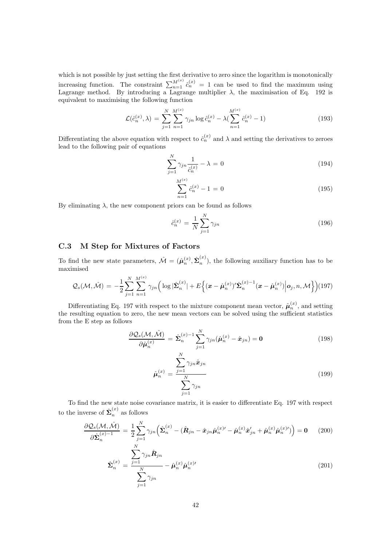which is not possible by just setting the first derivative to zero since the logarithm is monotonically increasing function. The constraint  $\sum_{n=1}^{M^{(x)}} \hat{c}_n^{(x)} = 1$  can be used to find the maximum using Lagrange method. By introducing a Lagrange multiplier  $\lambda$ , the maximisation of Eq. 192 is equivalent to maximising the following function

$$
\mathcal{L}(\hat{c}_n^{(x)}, \lambda) = \sum_{j=1}^N \sum_{n=1}^{M^{(x)}} \gamma_{jn} \log \hat{c}_n^{(x)} - \lambda (\sum_{n=1}^{M^{(x)}} \hat{c}_n^{(x)} - 1)
$$
(193)

Differentiating the above equation with respect to  $\hat{c}_n^{(x)}$  and  $\lambda$  and setting the derivatives to zeroes lead to the following pair of equations

$$
\sum_{j=1}^{N} \gamma_{jn} \frac{1}{\hat{c}_n^{(x)}} - \lambda = 0
$$
\n(194)

$$
\sum_{n=1}^{M^{(x)}} \hat{c}_n^{(x)} - 1 = 0 \tag{195}
$$

By eliminating  $\lambda$ , the new component priors can be found as follows

$$
\hat{c}_n^{(x)} = \frac{1}{N} \sum_{j=1}^N \gamma_{jn} \tag{196}
$$

#### C.3 M Step for Mixtures of Factors

To find the new state parameters,  $\hat{\mathcal{M}} = (\hat{\boldsymbol{\mu}}_n^{(x)}, \hat{\boldsymbol{\Sigma}}_n^{(x)}$  $\binom{m}{n}$ , the following auxiliary function has to be maximised

$$
Q_s(\mathcal{M},\hat{\mathcal{M}}) = -\frac{1}{2} \sum_{j=1}^N \sum_{n=1}^{M^{(x)}} \gamma_{jn} \Big( \log |\hat{\boldsymbol{\Sigma}}_n^{(x)}| + E \Big\{ (\boldsymbol{x} - \hat{\boldsymbol{\mu}}_n^{(x)})' \hat{\boldsymbol{\Sigma}}_n^{(x)-1} (\boldsymbol{x} - \hat{\boldsymbol{\mu}}_n^{(x)}) \Big| \boldsymbol{o}_j, n, \mathcal{M} \Big\} \Big) (197)
$$

Differentiating Eq. 197 with respect to the mixture component mean vector,  $\hat{\boldsymbol{\mu}}_n^{(x)}$ , and setting the resulting equation to zero, the new mean vectors can be solved using the sufficient statistics from the E step as follows

$$
\frac{\partial \mathcal{Q}_s(\mathcal{M}, \hat{\mathcal{M}})}{\partial \hat{\boldsymbol{\mu}}_n^{(x)}} = \hat{\boldsymbol{\Sigma}}_n^{(x)-1} \sum_{j=1}^N \gamma_{jn} (\hat{\boldsymbol{\mu}}_n^{(x)} - \hat{\boldsymbol{x}}_{jn}) = \mathbf{0}
$$
(198)

$$
\hat{\boldsymbol{\mu}}_n^{(x)} = \frac{\sum_{j=1}^N \gamma_{jn} \hat{\boldsymbol{x}}_{jn}}{\sum_{j=1}^N \gamma_{jn}}
$$
\n(199)

To find the new state noise covariance matrix, it is easier to differentiate Eq. 197 with respect to the inverse of  $\hat{\Sigma}_n^{(x)}$  as follows

$$
\frac{\partial \mathcal{Q}_s(\mathcal{M}, \hat{\mathcal{M}})}{\partial \hat{\boldsymbol{\Sigma}}_n^{(x)-1}} = \frac{1}{2} \sum_{j=1}^N \gamma_{jn} \left( \hat{\boldsymbol{\Sigma}}_n^{(x)} - (\hat{\boldsymbol{R}}_{jn} - \hat{\boldsymbol{x}}_{jn} \hat{\boldsymbol{\mu}}_n^{(x)\prime} - \hat{\boldsymbol{\mu}}_n^{(x)} \hat{\boldsymbol{x}}_{jn}^{\prime} + \hat{\boldsymbol{\mu}}_n^{(x)} \hat{\boldsymbol{\mu}}_n^{(x)\prime} ) \right) = \mathbf{0} \qquad (200)
$$

$$
\hat{\boldsymbol{\Sigma}}_n^{(x)} = \frac{\sum_{j=1}^N \gamma_{jn} \hat{\boldsymbol{R}}_{jn}}{\sum_{j=1}^N \gamma_{jn}} - \hat{\boldsymbol{\mu}}_n^{(x)} \hat{\boldsymbol{\mu}}_n^{(x)} \tag{201}
$$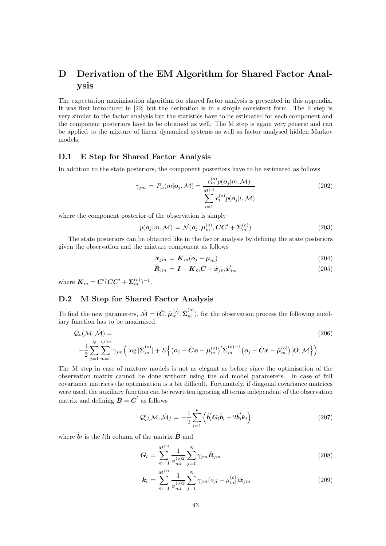## D Derivation of the EM Algorithm for Shared Factor Analysis

The expectation maximisation algorithm for shared factor analysis is presented in this appendix. It was first introduced in [22] but the derivation is in a simple consistent form. The E step is very similar to the factor analysis but the statistics have to be estimated for each component and the component posteriors have to be obtained as well. The M step is again very generic and can be applied to the mixture of linear dynamical systems as well as factor analysed hidden Markov models.

#### D.1 E Step for Shared Factor Analysis

In addition to the state posteriors, the component posteriors have to be estimated as follows

$$
\gamma_{jm} = P_{\omega}(m|\mathbf{o}_j, \mathcal{M}) = \frac{c_m^{(o)} p(\mathbf{o}_j|m, \mathcal{M})}{\sum_{l=1}^{M^{(o)}} c_l^{(o)} p(\mathbf{o}_j|l, \mathcal{M})}
$$
(202)

where the component posterior of the observation is simply

$$
p(\mathbf{o}_j|m,\mathcal{M}) = \mathcal{N}(\mathbf{o}_j;\boldsymbol{\mu}_m^{(o)},\mathbf{CC'}+\boldsymbol{\Sigma}_m^{(o)})
$$
\n(203)

The state posteriors can be obtained like in the factor analysis by defining the state posteriors given the observation and the mixture component as follows

$$
\hat{\boldsymbol{x}}_{jm} = \boldsymbol{K}_m(\boldsymbol{o}_j - \boldsymbol{\mu}_m) \tag{204}
$$

$$
\hat{\boldsymbol{R}}_{jm} = \boldsymbol{I} - \boldsymbol{K}_m \boldsymbol{C} + \hat{\boldsymbol{x}}_{jm} \hat{\boldsymbol{x}}'_{jm} \tag{205}
$$

where  $\bm{K}_m = \bm{C}' (\bm{C} \bm{C}' + \bm{\Sigma}_m^{(o)})^{-1}$ .

#### D.2 M Step for Shared Factor Analysis

To find the new parameters,  $\hat{\mathcal{M}} = (\hat{\mathbf{C}}, \hat{\boldsymbol{\mu}}_m^{(o)}, \hat{\boldsymbol{\Sigma}}_m^{(o)})$ , for the observation process the following auxiliary function has to be maximised

$$
Q_o(\mathcal{M}, \hat{\mathcal{M}}) =
$$
\n
$$
-\frac{1}{2} \sum_{j=1}^N \sum_{m=1}^{M^{(o)}} \gamma_{jm} \left( \log |\hat{\Sigma}_m^{(o)}| + E \left\{ \left( \mathbf{o}_j - \hat{C} \mathbf{x} - \hat{\boldsymbol{\mu}}_m^{(o)} \right)^{\prime} \hat{\Sigma}_m^{(o)-1} \left( \mathbf{o}_j - \hat{C} \mathbf{x} - \hat{\boldsymbol{\mu}}_m^{(o)} \right) \middle| \mathbf{O}, \mathcal{M} \right\} \right)
$$
\n(206)

The M step in case of mixture models is not as elegant as before since the optimisation of the observation matrix cannot be done without using the old model parameters. In case of full covariance matrices the optimisation is a bit difficult. Fortunately, if diagonal covariance matrices were used, the auxiliary function can be rewritten ignoring all terms independent of the observation matrix and defining  $\hat{\boldsymbol{B}} = \hat{\boldsymbol{C}}'$  as follows

$$
\mathcal{Q}'_o(\mathcal{M}, \hat{\mathcal{M}}) = -\frac{1}{2} \sum_{l=1}^p \left( \hat{\boldsymbol{b}}_l' \boldsymbol{G}_l \hat{\boldsymbol{b}}_l - 2 \hat{\boldsymbol{b}}_l' \boldsymbol{k}_l \right)
$$
(207)

where  $\hat{\boldsymbol{b}}_l$  is the *l*<sup>th</sup> column of the matrix  $\hat{\boldsymbol{B}}$  and

$$
G_l = \sum_{m=1}^{M^{(o)}} \frac{1}{\sigma_{ml}^{(o)2}} \sum_{j=1}^{N} \gamma_{jm} \hat{\mathbf{R}}_{jm}
$$
(208)

$$
\mathbf{k}_{l} = \sum_{m=1}^{M^{(o)}} \frac{1}{\sigma_{ml}^{(o)2}} \sum_{j=1}^{N} \gamma_{jm} (o_{jl} - \mu_{ml}^{(o)}) \hat{\mathbf{x}}_{jm}
$$
(209)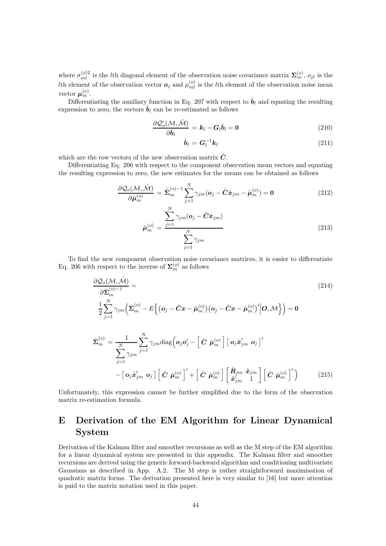where  $\sigma_{ml}^{(o)2}$  is the lth diagonal element of the observation noise covariance matrix  $\Sigma_{m}^{(o)}$ ,  $o_{jl}$  is the Ith element of the observation vector  $o_j$  and  $\mu_{ml}^{(o)}$  is the lth element of the observation noise mean vector  $\boldsymbol{\mu}_m^{(o)}$ .

Differentiating the auxiliary function in Eq. 207 with respect to  $\hat{b}_l$  and equating the resulting expression to zero, the vectors  $\hat{\boldsymbol{b}}_l$  can be re-estimated as follows

$$
\frac{\partial \mathcal{Q}'_o(\mathcal{M}, \hat{\mathcal{M}})}{\partial \hat{\boldsymbol{b}}_l} = \boldsymbol{k}_l - \boldsymbol{G}_l \hat{\boldsymbol{b}}_l = \mathbf{0}
$$
\n(210)

$$
\hat{\boldsymbol{b}}_l = \boldsymbol{G}_l^{-1} \boldsymbol{k}_l \tag{211}
$$

which are the row vectors of the new observation matrix  $\hat{C}$ .

Differentiating Eq. 206 with respect to the component observation mean vectors and equating the resulting expression to zero, the new estimates for the means can be obtained as follows

$$
\frac{\partial \mathcal{Q}_o(\mathcal{M}, \hat{\mathcal{M}})}{\partial \hat{\boldsymbol{\mu}}_m^{(o)}} = \hat{\boldsymbol{\Sigma}}_m^{(o)-1} \sum_{j=1}^N \gamma_{jm} (\boldsymbol{o}_j - \hat{\boldsymbol{C}} \hat{\boldsymbol{x}}_{jm} - \hat{\boldsymbol{\mu}}_m^{(o)}) = \mathbf{0}
$$
(212)

$$
\hat{\boldsymbol{\mu}}_{m}^{(o)} = \frac{\sum_{j=1}^{N} \gamma_{jm} (\boldsymbol{o}_j - \hat{\boldsymbol{C}} \hat{\boldsymbol{x}}_{jm})}{\sum_{j=1}^{N} \gamma_{jm}}
$$
\n(213)

To find the new component observation noise covariance matrices, it is easier to differentiate Eq. 206 with respect to the inverse of  $\Sigma_m^{(o)}$  as follows

$$
\frac{\partial \mathcal{Q}_{o}(\mathcal{M}, \hat{\mathcal{M}})}{\partial \hat{\Sigma}_{m}^{(o)-1}} = \qquad (214)
$$
\n
$$
\frac{1}{2} \sum_{j=1}^{N} \gamma_{jm} \left( \hat{\Sigma}_{m}^{(o)} - E \Big\{ \big( \mathbf{o}_{j} - \hat{C} \mathbf{x} - \hat{\boldsymbol{\mu}}_{m}^{(o)} \big) \big( \mathbf{o}_{j} - \hat{C} \mathbf{x} - \hat{\boldsymbol{\mu}}_{m}^{(o)} \big) \Big| \mathbf{O}, \mathcal{M} \Big\} \right) = \mathbf{0}
$$
\n
$$
\hat{\Sigma}_{m}^{(o)} = \frac{1}{N} \sum_{j=1}^{N} \gamma_{jm} \text{diag} \big( \mathbf{o}_{j} \mathbf{o}_{j}^{\prime} - \Big[ \hat{C} \ \hat{\boldsymbol{\mu}}_{m}^{(o)} \Big] \Big[ \mathbf{o}_{j} \hat{\mathbf{x}}_{jm}^{\prime} \ \mathbf{o}_{j} \Big] \Big\vert \mathbf{O}_{j} \hat{\mathbf{C}}_{j}^{\prime} \mathbf{o}_{j} \Big] \Big\vert \mathbf{O}_{j} \hat{\mathbf{x}}_{jm}^{\prime} \ \mathbf{o}_{j} \Big\vert \mathbf{O}_{j} \left( \hat{\mathbf{C}} \ \hat{\boldsymbol{\mu}}_{m}^{(o)} \right) \Big[ \mathbf{o}_{j} \hat{\mathbf{x}}_{jm}^{\prime} \ \mathbf{o}_{j} \Big] \mathbf{O}_{j} \tag{215}
$$

Unfortunately, this expression cannot be further simplified due to the form of the observation matrix re-estimation formula.

## E Derivation of the EM Algorithm for Linear Dynamical System

Derivation of the Kalman filter and smoother recursions as well as the M step of the EM algorithm for a linear dynamical system are presented in this appendix. The Kalman filter and smoother recursions are derived using the generic forward-backward algorithm and conditioning multivariate Gaussians as described in App. A.2. The M step is rather straightforward maximisation of quadratic matrix forms. The derivation presented here is very similar to [16] but more attention is paid to the matrix notation used in this paper.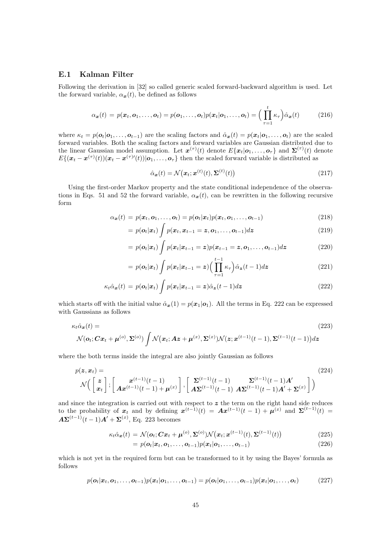#### E.1 Kalman Filter

Following the derivation in [32] so called generic scaled forward-backward algorithm is used. Let the forward variable,  $\alpha_x(t)$ , be defined as follows

$$
\alpha_{\boldsymbol{x}}(t) = p(\boldsymbol{x}_t, \boldsymbol{o}_1, \dots, \boldsymbol{o}_t) = p(\boldsymbol{o}_1, \dots, \boldsymbol{o}_t) p(\boldsymbol{x}_t | \boldsymbol{o}_1, \dots, \boldsymbol{o}_t) = \Big(\prod_{\tau=1}^t \kappa_{\tau}\Big) \hat{\alpha}_{\boldsymbol{x}}(t) \tag{216}
$$

where  $\kappa_t = p(\boldsymbol{o}_t | \boldsymbol{o}_1, \dots, \boldsymbol{o}_{t-1})$  are the scaling factors and  $\hat{\alpha}_x(t) = p(x_t | \boldsymbol{o}_1, \dots, \boldsymbol{o}_t)$  are the scaled forward variables. Both the scaling factors and forward variables are Gaussian distributed due to the linear Gaussian model assumption. Let  $\mathbf{x}^{(\tau)}(t)$  denote  $E\{\mathbf{x}_t|\mathbf{o}_1,\ldots,\mathbf{o}_\tau\}$  and  $\mathbf{\Sigma}^{(\tau)}(t)$  denote  $E\{(\bm{x}_t-\bm{x}^{(\tau)}(t))(\bm{x}_t-\bm{x}^{(\tau)}(t))|\bm{o}_1,\ldots,\bm{o}_\tau\}$  then the scaled forward variable is distributed as

$$
\hat{\alpha}_{\boldsymbol{x}}(t) = \mathcal{N}\big(\boldsymbol{x}_t; \boldsymbol{x}^{(t)}(t), \boldsymbol{\Sigma}^{(t)}(t)\big) \tag{217}
$$

Using the first-order Markov property and the state conditional independence of the observations in Eqs. 51 and 52 the forward variable,  $\alpha_x(t)$ , can be rewritten in the following recursive form

$$
\alpha_{\boldsymbol{x}}(t) = p(\boldsymbol{x}_t, \boldsymbol{o}_1, \dots, \boldsymbol{o}_t) = p(\boldsymbol{o}_t | \boldsymbol{x}_t) p(\boldsymbol{x}_t, \boldsymbol{o}_1, \dots, \boldsymbol{o}_{t-1})
$$
\n(218)

$$
= p(\boldsymbol{o}_t|\boldsymbol{x}_t) \int p(\boldsymbol{x}_t, \boldsymbol{x}_{t-1} = \boldsymbol{z}, \boldsymbol{o}_1, \dots, \boldsymbol{o}_{t-1}) d\boldsymbol{z}
$$
\n(219)

$$
= p(\boldsymbol{o}_t|\boldsymbol{x}_t) \int p(\boldsymbol{x}_t|\boldsymbol{x}_{t-1}=\boldsymbol{z}) p(\boldsymbol{x}_{t-1}=\boldsymbol{z},\boldsymbol{o}_1,\ldots,\boldsymbol{o}_{t-1}) d\boldsymbol{z}
$$
(220)

$$
= p(\boldsymbol{o}_t|\boldsymbol{x}_t) \int p(\boldsymbol{x}_t|\boldsymbol{x}_{t-1} = \boldsymbol{z}) \Big(\prod_{\tau=1}^{t-1} \kappa_\tau\Big) \hat{\alpha}_{\boldsymbol{z}}(t-1) d\boldsymbol{z} \tag{221}
$$

$$
\kappa_t \hat{\alpha}_{\mathbf{x}}(t) = p(\mathbf{o}_t|\mathbf{x}_t) \int p(\mathbf{x}_t|\mathbf{x}_{t-1} = \mathbf{z}) \hat{\alpha}_{\mathbf{z}}(t-1) d\mathbf{z}
$$
\n(222)

which starts off with the initial value  $\hat{\alpha}_x(1) = p(x_1|\mathbf{o}_1)$ . All the terms in Eq. 222 can be expressed with Gaussians as follows

$$
\kappa_t \hat{\alpha}_{\boldsymbol{x}}(t) = \qquad (223)
$$
\n
$$
\mathcal{N}(\boldsymbol{o}_t; \boldsymbol{C}\boldsymbol{x}_t + \boldsymbol{\mu}^{(o)}, \boldsymbol{\Sigma}^{(o)}) \int \mathcal{N}(\boldsymbol{x}_t; \boldsymbol{A}\boldsymbol{z} + \boldsymbol{\mu}^{(x)}, \boldsymbol{\Sigma}^{(x)}) \mathcal{N}(\boldsymbol{z}; \boldsymbol{x}^{(t-1)}(t-1), \boldsymbol{\Sigma}^{(t-1)}(t-1)) \, d\boldsymbol{z}
$$

where the both terms inside the integral are also jointly Gaussian as follows

$$
p(\mathbf{z}, \mathbf{x}_t) = \mathcal{N}\left(\begin{bmatrix} \mathbf{z} \\ \mathbf{x}_t \end{bmatrix}; \begin{bmatrix} \mathbf{x}^{(t-1)}(t-1) \\ \mathbf{A}\mathbf{x}^{(t-1)}(t-1) + \mathbf{\mu}^{(x)} \end{bmatrix}, \begin{bmatrix} \mathbf{\Sigma}^{(t-1)}(t-1) & \mathbf{\Sigma}^{(t-1)}(t-1) \mathbf{A}' \\ \mathbf{A}\mathbf{\Sigma}^{(t-1)}(t-1) & \mathbf{A}\mathbf{\Sigma}^{(t-1)}(t-1) \mathbf{A}' + \mathbf{\Sigma}^{(x)} \end{bmatrix}\right)
$$
(224)

and since the integration is carried out with respect to  $z$  the term on the right hand side reduces to the probability of  $x_t$  and by defining  $x^{(t-1)}(t) = Ax^{(t-1)}(t-1) + \mu^{(x)}$  and  $\Sigma^{(t-1)}(t) =$  $A\Sigma^{(t-1)}(t-1)A' + \Sigma^{(x)}$ , Eq. 223 becomes

$$
\kappa_t \hat{\alpha}_{\boldsymbol{x}}(t) = \mathcal{N}(\boldsymbol{o}_t; \boldsymbol{C}\boldsymbol{x}_t + \boldsymbol{\mu}^{(o)}, \boldsymbol{\Sigma}^{(o)}) \mathcal{N}(\boldsymbol{x}_t; \boldsymbol{x}^{(t-1)}(t), \boldsymbol{\Sigma}^{(t-1)}(t))
$$
(225)

$$
= p(\boldsymbol{o}_t|\boldsymbol{x}_t, \boldsymbol{o}_1, \dots, \boldsymbol{o}_{t-1})p(\boldsymbol{x}_t|\boldsymbol{o}_1, \dots, \boldsymbol{o}_{t-1})
$$
\n(226)

which is not yet in the required form but can be transformed to it by using the Bayes' formula as follows

$$
p(\boldsymbol{o}_t|\boldsymbol{x}_t,\boldsymbol{o}_1,\ldots,\boldsymbol{o}_{t-1})p(\boldsymbol{x}_t|\boldsymbol{o}_1,\ldots,\boldsymbol{o}_{t-1})=p(\boldsymbol{o}_t|\boldsymbol{o}_1,\ldots,\boldsymbol{o}_{t-1})p(\boldsymbol{x}_t|\boldsymbol{o}_1,\ldots,\boldsymbol{o}_t)
$$
(227)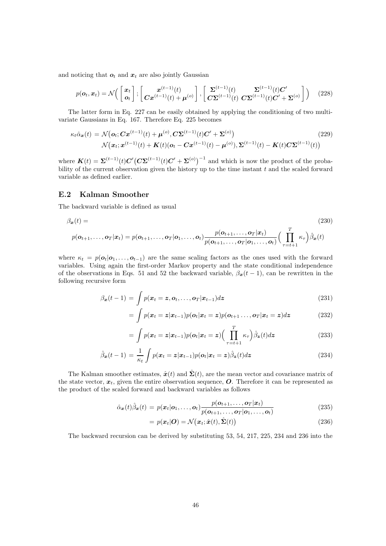and noticing that  $o_t$  and  $x_t$  are also jointly Gaussian

$$
p(\boldsymbol{o}_t, \boldsymbol{x}_t) = \mathcal{N}\Big(\begin{bmatrix} \boldsymbol{x}_t \\ \boldsymbol{o}_t \end{bmatrix}; \begin{bmatrix} \boldsymbol{x}^{(t-1)}(t) \\ \boldsymbol{Cx}^{(t-1)}(t) + \boldsymbol{\mu}^{(o)} \end{bmatrix}, \begin{bmatrix} \boldsymbol{\Sigma}^{(t-1)}(t) & \boldsymbol{\Sigma}^{(t-1)}(t)\boldsymbol{C}' \\ \boldsymbol{C}\boldsymbol{\Sigma}^{(t-1)}(t) & \boldsymbol{C}\boldsymbol{\Sigma}^{(t-1)}(t)\boldsymbol{C}' + \boldsymbol{\Sigma}^{(o)} \end{bmatrix}\Big)
$$
(228)

The latter form in Eq. 227 can be easily obtained by applying the conditioning of two multivariate Gaussians in Eq. 167. Therefore Eq. 225 becomes

$$
\kappa_t \hat{\alpha}_{\mathbf{x}}(t) = \mathcal{N}(\mathbf{o}_t; \mathbf{C} \mathbf{x}^{(t-1)}(t) + \boldsymbol{\mu}^{(o)}, \mathbf{C} \mathbf{\Sigma}^{(t-1)}(t) \mathbf{C}' + \mathbf{\Sigma}^{(o)})
$$
(229)  

$$
\mathcal{N}(\mathbf{x}_t; \mathbf{x}^{(t-1)}(t) + \mathbf{K}(t)(\mathbf{o}_t - \mathbf{C} \mathbf{x}^{(t-1)}(t) - \boldsymbol{\mu}^{(o)}), \mathbf{\Sigma}^{(t-1)}(t) - \mathbf{K}(t) \mathbf{C} \mathbf{\Sigma}^{(t-1)}(t))
$$

where  $\mathbf{K}(t) = \mathbf{\Sigma}^{(t-1)}(t) \mathbf{C}' (\mathbf{C} \mathbf{\Sigma}^{(t-1)}(t) \mathbf{C}' + \mathbf{\Sigma}^{(o)})^{-1}$  and which is now the product of the probability of the current observation given the history up to the time instant t and the scaled forward variable as defined earlier.

#### E.2 Kalman Smoother

The backward variable is defined as usual

$$
\beta_{\boldsymbol{x}}(t) = (230)
$$
\n
$$
p(\boldsymbol{o}_{t+1}, \dots, \boldsymbol{o}_T | \boldsymbol{x}_t) = p(\boldsymbol{o}_{t+1}, \dots, \boldsymbol{o}_T | \boldsymbol{o}_1, \dots, \boldsymbol{o}_t) \frac{p(\boldsymbol{o}_{t+1}, \dots, \boldsymbol{o}_T | \boldsymbol{x}_t)}{p(\boldsymbol{o}_{t+1}, \dots, \boldsymbol{o}_T | \boldsymbol{o}_1, \dots, \boldsymbol{o}_t)} \Big( \prod_{\tau=t+1}^T \kappa_{\tau} \Big) \hat{\beta}_{\boldsymbol{x}}(t)
$$

where  $\kappa_t = p(\mathbf{o}_t | \mathbf{o}_1, \dots, \mathbf{o}_{t-1})$  are the same scaling factors as the ones used with the forward variables. Using again the first-order Markov property and the state conditional independence of the observations in Eqs. 51 and 52 the backward variable,  $\beta_x(t-1)$ , can be rewritten in the following recursive form

$$
\beta_{\boldsymbol{x}}(t-1) = \int p(\boldsymbol{x}_t = \boldsymbol{z}, \boldsymbol{o}_t, \dots, \boldsymbol{o}_T | \boldsymbol{x}_{t-1}) d\boldsymbol{z}
$$
\n(231)

$$
= \int p(\boldsymbol{x}_t = \boldsymbol{z}|\boldsymbol{x}_{t-1}) p(\boldsymbol{o}_t|\boldsymbol{x}_t = \boldsymbol{z}) p(\boldsymbol{o}_{t+1} \dots, \boldsymbol{o}_T|\boldsymbol{x}_t = \boldsymbol{z}) d\boldsymbol{z}
$$
(232)

$$
= \int p(\boldsymbol{x}_t = \boldsymbol{z} | \boldsymbol{x}_{t-1}) p(\boldsymbol{o}_t | \boldsymbol{x}_t = \boldsymbol{z}) \Big( \prod_{\tau=t+1}^T \kappa_\tau \Big) \hat{\beta}_{\boldsymbol{z}}(t) d \boldsymbol{z} \tag{233}
$$

$$
\hat{\beta}_{\boldsymbol{x}}(t-1) = \frac{1}{\kappa_t} \int p(\boldsymbol{x}_t = \boldsymbol{z} | \boldsymbol{x}_{t-1}) p(\boldsymbol{o}_t | \boldsymbol{x}_t = \boldsymbol{z}) \hat{\beta}_{\boldsymbol{z}}(t) d\boldsymbol{z}
$$
\n(234)

The Kalman smoother estimates,  $\hat{\mathbf{x}}(t)$  and  $\hat{\mathbf{\Sigma}}(t)$ , are the mean vector and covariance matrix of the state vector,  $x_t$ , given the entire observation sequence, O. Therefore it can be represented as the product of the scaled forward and backward variables as follows

$$
\hat{\alpha}_{\boldsymbol{x}}(t)\hat{\beta}_{\boldsymbol{x}}(t) = p(\boldsymbol{x}_t|\boldsymbol{o}_1,\ldots,\boldsymbol{o}_t) \frac{p(\boldsymbol{o}_{t+1},\ldots,\boldsymbol{o}_T|\boldsymbol{x}_t)}{p(\boldsymbol{o}_{t+1},\ldots,\boldsymbol{o}_T|\boldsymbol{o}_1,\ldots,\boldsymbol{o}_t)} \tag{235}
$$

$$
= p(\boldsymbol{x}_t|\boldsymbol{O}) = \mathcal{N}(\boldsymbol{x}_t; \hat{\boldsymbol{x}}(t), \hat{\boldsymbol{\Sigma}}(t))
$$
\n(236)

The backward recursion can be derived by substituting 53, 54, 217, 225, 234 and 236 into the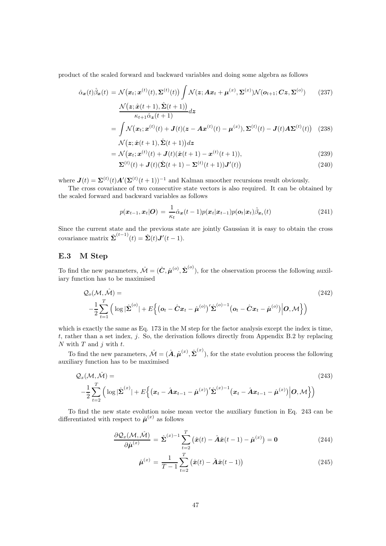product of the scaled forward and backward variables and doing some algebra as follows

$$
\hat{\alpha}_{\boldsymbol{x}}(t)\hat{\beta}_{\boldsymbol{x}}(t) = \mathcal{N}(\boldsymbol{x}_t; \boldsymbol{x}^{(t)}(t), \boldsymbol{\Sigma}^{(t)}(t)) \int \mathcal{N}(\boldsymbol{z}; \boldsymbol{A}\boldsymbol{x}_t + \boldsymbol{\mu}^{(x)}, \boldsymbol{\Sigma}^{(x)}) \mathcal{N}(\boldsymbol{o}_{t+1}; \boldsymbol{C}\boldsymbol{z}, \boldsymbol{\Sigma}^{(o)}) \tag{237}
$$
\n
$$
\mathcal{N}(\boldsymbol{z}; \hat{\boldsymbol{x}}(t+1), \hat{\boldsymbol{\Sigma}}(t+1))
$$

$$
\frac{\mathcal{N}(z;\hat{x}(t+1),\hat{\Sigma}(t+1))}{\kappa_{t+1}\hat{\alpha}_{z}(t+1)}dz
$$
\n
$$
= \int \mathcal{N}(x_{t};x^{(t)}(t) + J(t)(z - Ax^{(t)}(t) - \mu^{(x)}), \Sigma^{(t)}(t) - J(t)A\Sigma^{(t)}(t)) \quad (238)
$$

$$
\mathcal{N} \big(\boldsymbol{z}; \hat{\boldsymbol{x}}(t+1), \hat{\boldsymbol{\Sigma}}(t+1) \big) d \boldsymbol{z}
$$

$$
= \mathcal{N}(\boldsymbol{x}_t; \boldsymbol{x}^{(t)}(t) + \boldsymbol{J}(t)(\hat{\boldsymbol{x}}(t+1)) - \boldsymbol{x}^{(t)}(t+1)),
$$
\n(239)

$$
\Sigma^{(t)}(t) + \mathbf{J}(t)(\hat{\Sigma}(t+1) - \Sigma^{(t)}(t+1))\mathbf{J}'(t)
$$
\n(240)

where  $J(t) = \Sigma^{(t)}(t)A'(\Sigma^{(t)}(t+1))^{-1}$  and Kalman smoother recursions result obviously.

The cross covariance of two consecutive state vectors is also required. It can be obtained by the scaled forward and backward variables as follows

$$
p(\boldsymbol{x}_{t-1}, \boldsymbol{x}_t | \boldsymbol{O}) = \frac{1}{\kappa_t} \hat{\alpha}_{\boldsymbol{x}}(t-1) p(\boldsymbol{x}_t | \boldsymbol{x}_{t-1}) p(\boldsymbol{o}_t | \boldsymbol{x}_t) \hat{\beta}_{\boldsymbol{x}_t}(t)
$$
(241)

Since the current state and the previous state are jointly Gaussian it is easy to obtain the cross covariance matrix  $\hat{\Sigma}^{(t-1)}(t) = \hat{\Sigma}(t) \mathbf{J}'(t-1)$ .

#### E.3 M Step

To find the new parameters,  $\hat{\mathcal{M}} = (\hat{\mathbf{C}}, \hat{\boldsymbol{\mu}}^{(o)}, \hat{\boldsymbol{\Sigma}}^{(o)})$ , for the observation process the following auxiliary function has to be maximised

$$
Q_o(\mathcal{M}, \hat{\mathcal{M}}) =
$$
\n
$$
-\frac{1}{2} \sum_{t=1}^T \left( \log |\hat{\Sigma}^{(o)}| + E \left\{ (\boldsymbol{o}_t - \hat{\boldsymbol{C}} \boldsymbol{x}_t - \hat{\boldsymbol{\mu}}^{(o)})' \hat{\Sigma}^{(o)-1} (\boldsymbol{o}_t - \hat{\boldsymbol{C}} \boldsymbol{x}_t - \hat{\boldsymbol{\mu}}^{(o)}) \middle| \boldsymbol{O}, \mathcal{M} \right\} \right)
$$
\n(242)

which is exactly the same as Eq. 173 in the M step for the factor analysis except the index is time,  $t$ , rather than a set index,  $j$ . So, the derivation follows directly from Appendix B.2 by replacing N with  $T$  and  $j$  with  $t$ .

To find the new parameters,  $\hat{\mathcal{M}} = (\hat{\mathbf{A}}, \hat{\boldsymbol{\mu}}^{(x)}, \hat{\boldsymbol{\Sigma}}^{(x)})$ , for the state evolution process the following auxiliary function has to be maximised

$$
Q_x(\mathcal{M}, \hat{\mathcal{M}}) =
$$
\n
$$
-\frac{1}{2} \sum_{t=2}^T \left( \log |\hat{\Sigma}^{(x)}| + E \left\{ \left( \boldsymbol{x}_t - \hat{\boldsymbol{A}} \boldsymbol{x}_{t-1} - \hat{\boldsymbol{\mu}}^{(x)} \right)^{\prime} \hat{\Sigma}^{(x)-1} \left( \boldsymbol{x}_t - \hat{\boldsymbol{A}} \boldsymbol{x}_{t-1} - \hat{\boldsymbol{\mu}}^{(x)} \right) \middle| \boldsymbol{O}, \mathcal{M} \right\} \right)
$$
\n(243)

To find the new state evolution noise mean vector the auxiliary function in Eq. 243 can be differentiated with respect to  $\hat{\boldsymbol{\mu}}^{(x)}$  as follows

$$
\frac{\partial \mathcal{Q}_x(\mathcal{M}, \hat{\mathcal{M}})}{\partial \hat{\boldsymbol{\mu}}^{(x)}} = \hat{\boldsymbol{\Sigma}}^{(x)-1} \sum_{t=2}^T (\hat{\boldsymbol{x}}(t) - \hat{\boldsymbol{A}} \hat{\boldsymbol{x}}(t-1) - \hat{\boldsymbol{\mu}}^{(x)}) = \mathbf{0}
$$
(244)

$$
\hat{\mu}^{(x)} = \frac{1}{T-1} \sum_{t=2}^{T} (\hat{x}(t) - \hat{A}\hat{x}(t-1))
$$
\n(245)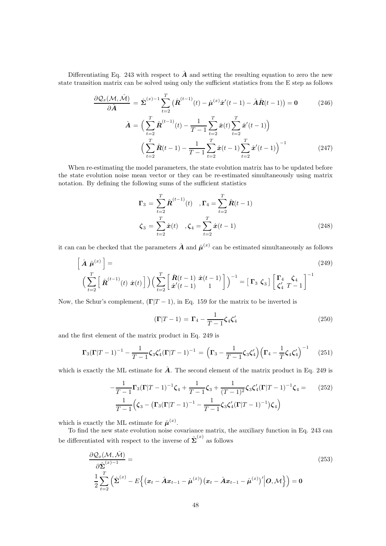Differentiating Eq. 243 with respect to  $\hat{\boldsymbol{A}}$  and setting the resulting equation to zero the new state transition matrix can be solved using only the sufficient statistics from the E step as follows

$$
\frac{\partial \mathcal{Q}_x(\mathcal{M}, \hat{\mathcal{M}})}{\partial \hat{A}} = \hat{\Sigma}^{(x)-1} \sum_{t=2}^T (\hat{\mathbf{R}}^{(t-1)}(t) - \hat{\boldsymbol{\mu}}^{(x)} \hat{\mathbf{x}}'(t-1) - \hat{\mathbf{A}} \hat{\mathbf{R}}(t-1)) = \mathbf{0} \tag{246}
$$
\n
$$
\hat{\mathbf{A}} = \Big(\sum_{t=2}^T \hat{\mathbf{R}}^{(t-1)}(t) - \frac{1}{T-1} \sum_{t=2}^T \hat{\mathbf{x}}(t) \sum_{t=2}^T \hat{\mathbf{x}}'(t-1) \Big)
$$
\n
$$
\Big(\sum_{t=2}^T \hat{\mathbf{R}}(t-1) - \frac{1}{T-1} \sum_{t=2}^T \hat{\mathbf{x}}(t-1) \sum_{t=2}^T \hat{\mathbf{x}}'(t-1) \Big)^{-1} \tag{247}
$$

When re-estimating the model parameters, the state evolution matrix has to be updated before the state evolution noise mean vector or they can be re-estimated simultaneously using matrix notation. By defining the following sums of the sufficient statistics

 $T-1$ 

$$
\Gamma_3 = \sum_{t=2}^T \hat{\mathbf{R}}^{(t-1)}(t) , \Gamma_4 = \sum_{t=2}^T \hat{\mathbf{R}}(t-1)
$$
  

$$
\zeta_3 = \sum_{t=2}^T \hat{\mathbf{x}}(t) , \zeta_4 = \sum_{t=2}^T \hat{\mathbf{x}}(t-1)
$$
 (248)

it can can be checked that the parameters  $\hat{A}$  and  $\hat{\mu}^{(x)}$  can be estimated simultaneously as follows

$$
\left[\hat{\mathbf{A}}\hat{\boldsymbol{\mu}}^{(x)}\right] = \left(\sum_{t=2}^{T} \left[\hat{\mathbf{R}}^{(t-1)}(t)\hat{\mathbf{x}}(t)\right]\right) \left(\sum_{t=2}^{T} \left[\hat{\mathbf{R}}^{(t-1)}(t-1)\hat{\mathbf{x}}(t-1)\right]\right)^{-1} = \left[\Gamma_3 \zeta_3\right] \left[\begin{matrix} \Gamma_4 & \zeta_4 \\ \zeta_4' & T-1 \end{matrix}\right]^{-1}
$$
\n(249)

Now, the Schur's complement,  $(\Gamma|T-1)$ , in Eq. 159 for the matrix to be inverted is

$$
(\Gamma|T-1) = \Gamma_4 - \frac{1}{T-1}\zeta_4 \zeta_4'
$$
\n(250)

and the first element of the matrix product in Eq. 249 is

$$
\Gamma_3(\Gamma|T-1)^{-1} - \frac{1}{T-1}\zeta_3\zeta_4'(\Gamma|T-1)^{-1} = \left(\Gamma_3 - \frac{1}{T-1}\zeta_3\zeta_4'\right)\left(\Gamma_4 - \frac{1}{T}\zeta_4\zeta_4'\right)^{-1} \tag{251}
$$

which is exactly the ML estimate for  $\hat{A}$ . The second element of the matrix product in Eq. 249 is

$$
-\frac{1}{T-1}\Gamma_3(\Gamma|T-1)^{-1}\zeta_4 + \frac{1}{T-1}\zeta_3 + \frac{1}{(T-1)^2}\zeta_3\zeta_4'(\Gamma|T-1)^{-1}\zeta_4 = (252)
$$

$$
\frac{1}{T-1}\Big(\zeta_3 - \left(\Gamma_3(\Gamma|T-1)^{-1} - \frac{1}{T-1}\zeta_3\zeta_4'(\Gamma|T-1)^{-1}\right)\zeta_4\Big)
$$

which is exactly the ML estimate for  $\hat{\boldsymbol{\mu}}^{(x)}$ .

To find the new state evolution noise covariance matrix, the auxiliary function in Eq. 243 can be differentiated with respect to the inverse of  $\hat{\Sigma}^{(x)}$  as follows

$$
\frac{\partial \mathcal{Q}_x(\mathcal{M}, \hat{\mathcal{M}})}{\partial \hat{\Sigma}^{(x)-1}} = \qquad (253)
$$
\n
$$
\frac{1}{2} \sum_{t=2}^T \left( \hat{\Sigma}^{(x)} - E \left\{ \left( \boldsymbol{x}_t - \hat{\boldsymbol{A}} \boldsymbol{x}_{t-1} - \hat{\boldsymbol{\mu}}^{(x)} \right) \left( \boldsymbol{x}_t - \hat{\boldsymbol{A}} \boldsymbol{x}_{t-1} - \hat{\boldsymbol{\mu}}^{(x)} \right)' \middle| \boldsymbol{O}, \mathcal{M} \right\} \right) = \mathbf{0}
$$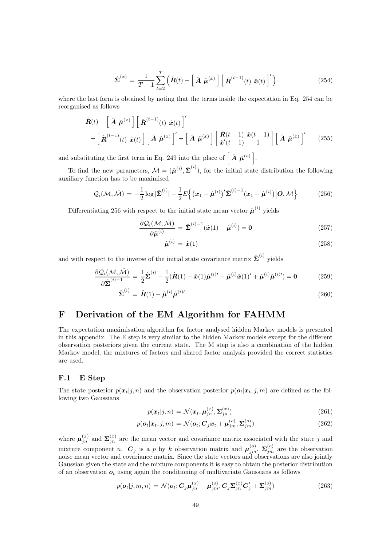$$
\hat{\Sigma}^{(x)} = \frac{1}{T-1} \sum_{t=2}^{T} \left( \hat{\boldsymbol{R}}(t) - \left[ \hat{\boldsymbol{A}} \hat{\boldsymbol{\mu}}^{(x)} \right] \left[ \hat{\boldsymbol{R}}^{(t-1)}(t) \hat{\boldsymbol{x}}(t) \right]' \right)
$$
(254)

where the last form is obtained by noting that the terms inside the expectation in Eq. 254 can be reorganised as follows

$$
\hat{\boldsymbol{R}}(t) - \left[\hat{\boldsymbol{A}}\hat{\boldsymbol{\mu}}^{(x)}\right] \left[\hat{\boldsymbol{R}}^{(t-1)}(t)\hat{\boldsymbol{x}}(t)\right]'
$$
\n
$$
- \left[\hat{\boldsymbol{R}}^{(t-1)}(t)\hat{\boldsymbol{x}}(t)\right] \left[\hat{\boldsymbol{A}}\hat{\boldsymbol{\mu}}^{(x)}\right]' + \left[\hat{\boldsymbol{A}}\hat{\boldsymbol{\mu}}^{(x)}\right] \left[\hat{\boldsymbol{x}}^{(t-1)}(t-1)\hat{\boldsymbol{x}}(t-1)\right] \left[\hat{\boldsymbol{A}}\hat{\boldsymbol{\mu}}^{(x)}\right]'
$$
\n(255)

and substituting the first term in Eq. 249 into the place of  $\left[ \hat{A} \hat{\mu}^{(o)} \right]$ .

To find the new parameters,  $\hat{\mathcal{M}} = (\hat{\boldsymbol{\mu}}^{(i)}, \hat{\boldsymbol{\Sigma}}^{(i)})$ , for the initial state distribution the following auxiliary function has to be maximised

$$
\mathcal{Q}_i(\mathcal{M},\hat{\mathcal{M}}) = -\frac{1}{2}\log|\hat{\boldsymbol{\Sigma}}^{(i)}| - \frac{1}{2}E\left\{(\boldsymbol{x}_1 - \hat{\boldsymbol{\mu}}^{(i)})'\hat{\boldsymbol{\Sigma}}^{(i)-1}(\boldsymbol{x}_1 - \hat{\boldsymbol{\mu}}^{(i)})\Big|\boldsymbol{O},\mathcal{M}\right\}
$$
(256)

Differentiating 256 with respect to the initial state mean vector  $\hat{\boldsymbol{\mu}}^{(i)}$  yields

$$
\frac{\partial \mathcal{Q}_i(\mathcal{M}, \hat{\mathcal{M}})}{\partial \hat{\mu}^{(i)}} = \hat{\Sigma}^{(i)-1}(\hat{x}(1) - \hat{\mu}^{(i)}) = \mathbf{0}
$$
\n(257)

$$
\hat{\boldsymbol{\mu}}^{(i)} = \hat{\boldsymbol{x}}(1) \tag{258}
$$

and with respect to the inverse of the initial state covariance matrix  $\hat{\Sigma}^{(i)}$  yields

$$
\frac{\partial \mathcal{Q}_i(\mathcal{M}, \hat{\mathcal{M}})}{\partial \hat{\Sigma}^{(i)-1}} = \frac{1}{2} \hat{\Sigma}^{(i)} - \frac{1}{2} (\hat{\mathbf{R}}(1) - \hat{\mathbf{x}}(1) \hat{\boldsymbol{\mu}}^{(i)\prime} - \hat{\boldsymbol{\mu}}^{(i)} \hat{\mathbf{x}}(1) \hat{\boldsymbol{\mu}}^{(i)\prime}) + \hat{\boldsymbol{\mu}}^{(i)} \hat{\boldsymbol{\mu}}^{(i)\prime}) = \mathbf{0}
$$
(259)

$$
\hat{\Sigma}^{(i)} = \hat{R}(1) - \hat{\mu}^{(i)} \hat{\mu}^{(i)\prime}
$$
\n(260)

## F Derivation of the EM Algorithm for FAHMM

The expectation maximisation algorithm for factor analysed hidden Markov models is presented in this appendix. The E step is very similar to the hidden Markov models except for the different observation posteriors given the current state. The M step is also a combination of the hidden Markov model, the mixtures of factors and shared factor analysis provided the correct statistics are used.

#### F.1 E Step

The state posterior  $p(x_t|j, n)$  and the observation posterior  $p(o_t|x_t, j, m)$  are defined as the following two Gaussians

$$
p(\boldsymbol{x}_t|j,n) = \mathcal{N}(\boldsymbol{x}_t; \boldsymbol{\mu}_{jn}^{(\boldsymbol{x})}, \boldsymbol{\Sigma}_{jn}^{(\boldsymbol{x})})
$$
\n(261)

$$
p(\boldsymbol{o}_t|\boldsymbol{x}_t, j, m) = \mathcal{N}(\boldsymbol{o}_t; \boldsymbol{C}_j\boldsymbol{x}_t + \boldsymbol{\mu}_{jm}^{(o)}, \boldsymbol{\Sigma}_{jm}^{(o)})
$$
(262)

where  $\mu_{jn}^{(x)}$  and  $\Sigma_{jn}^{(x)}$  are the mean vector and covariance matrix associated with the state j and mixture component n.  $C_j$  is a p by k observation matrix and  $\mu_{jm}^{(o)}$ ,  $\Sigma_{jm}^{(o)}$  are the observation noise mean vector and covariance matrix. Since the state vectors and observations are also jointly Gaussian given the state and the mixture components it is easy to obtain the posterior distribution of an observation  $o_t$  using again the conditioning of multivariate Gaussians as follows

$$
p(\boldsymbol{o}_t|j,m,n) = \mathcal{N}(\boldsymbol{o}_t; \boldsymbol{C}_j \boldsymbol{\mu}_{jn}^{(x)} + \boldsymbol{\mu}_{jm}^{(o)}, \boldsymbol{C}_j \boldsymbol{\Sigma}_{jn}^{(x)} \boldsymbol{C}_j' + \boldsymbol{\Sigma}_{jm}^{(o)})
$$
(263)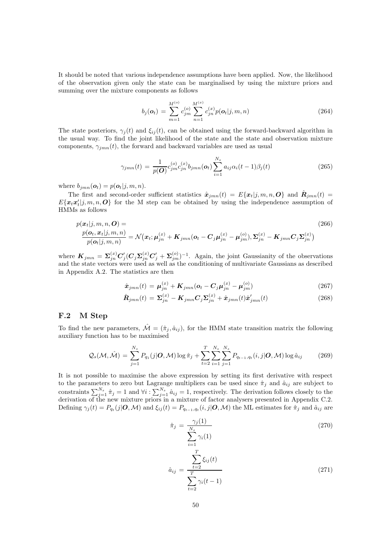It should be noted that various independence assumptions have been applied. Now, the likelihood of the observation given only the state can be marginalised by using the mixture priors and summing over the mixture components as follows

$$
b_j(\boldsymbol{o}_t) = \sum_{m=1}^{M^{(o)}} c_{jm}^{(o)} \sum_{n=1}^{M^{(x)}} c_{jn}^{(x)} p(\boldsymbol{o}_t | j, m, n)
$$
(264)

The state posteriors,  $\gamma_j(t)$  and  $\xi_{ij}(t)$ , can be obtained using the forward-backward algorithm in the usual way. To find the joint likelihood of the state and the state and observation mixture components,  $\gamma_{jmn}(t)$ , the forward and backward variables are used as usual

$$
\gamma_{jmn}(t) = \frac{1}{p(\mathbf{O})} c_{jm}^{(o)} c_{jn}^{(x)} b_{jmn}(\mathbf{o}_t) \sum_{i=1}^{N_s} a_{ij} \alpha_i (t-1) \beta_j(t)
$$
(265)

where  $b_{jmn}(\boldsymbol{o}_t) = p(\boldsymbol{o}_t|j, m, n)$ .

The first and second-order sufficient statistics  $\hat{x}_{jmn}(t) = E\{x_t|j,m,n,O\}$  and  $\hat{R}_{jmn}(t) =$  $E\{\mathbf{x}_t\mathbf{x}_t'|j, m, n, \mathbf{O}\}\)$  for the M step can be obtained by using the independence assumption of HMMs as follows

$$
p(\mathbf{x}_t|j, m, n, \mathbf{O}) =
$$
\n
$$
\frac{p(\mathbf{o}_t, \mathbf{x}_t|j, m, n)}{p(\mathbf{o}_t|j, m, n)} = \mathcal{N}(\mathbf{x}_t; \boldsymbol{\mu}_{jn}^{(x)} + \mathbf{K}_{jmn}(\mathbf{o}_t - \mathbf{C}_j\boldsymbol{\mu}_{jn}^{(x)} - \boldsymbol{\mu}_{jm}^{(o)}), \boldsymbol{\Sigma}_{jn}^{(x)} - \mathbf{K}_{jmn}\mathbf{C}_j\boldsymbol{\Sigma}_{jn}^{(x)})
$$
\n(266)

where  $K_{jmn} = \sum_{jn}^{(x)} C'_j (C_j \Sigma_{jn}^{(x)} C'_j + \Sigma_{jm}^{(o)})^{-1}$ . Again, the joint Gaussianity of the observations and the state vectors were used as well as the conditioning of multivariate Gaussians as described in Appendix A.2. The statistics are then

$$
\hat{\boldsymbol{x}}_{jmn}(t) = \boldsymbol{\mu}_{jn}^{(x)} + \boldsymbol{K}_{jmn}(\boldsymbol{o}_t - \boldsymbol{C}_j\boldsymbol{\mu}_{jn}^{(x)} - \boldsymbol{\mu}_{jm}^{(o)})
$$
\n(267)

$$
\hat{\boldsymbol{R}}_{jmn}(t) = \boldsymbol{\Sigma}_{jn}^{(x)} - \boldsymbol{K}_{jmn} \boldsymbol{C}_j \boldsymbol{\Sigma}_{jn}^{(x)} + \hat{\boldsymbol{x}}_{jmn}(t) \hat{\boldsymbol{x}}'_{jmn}(t)
$$
(268)

#### F.2 M Step

To find the new parameters,  $\hat{\mathcal{M}} = (\hat{\pi}_j, \hat{a}_{ij})$ , for the HMM state transition matrix the following auxiliary function has to be maximised

$$
Q_s(\mathcal{M}, \hat{\mathcal{M}}) = \sum_{j=1}^{N_s} P_{q_1}(j|\mathbf{O}, \mathcal{M}) \log \hat{\pi}_j + \sum_{t=2}^T \sum_{i=1}^{N_s} \sum_{j=1}^{N_s} P_{q_{t-1}, q_t}(i, j|\mathbf{O}, \mathcal{M}) \log \hat{a}_{ij}
$$
(269)

It is not possible to maximise the above expression by setting its first derivative with respect to the parameters to zero but Lagrange multipliers can be used since  $\hat{\pi}_j$  and  $\hat{a}_{ij}$  are subject to constraints  $\sum_{j=1}^{N_s} \hat{\pi}_j = 1$  and  $\forall i : \sum_{j=1}^{N_s} \hat{a}_{ij} = 1$ , respectively. The derivation follows closely to the derivation of the new mixture priors in a mixture of factor analysers presented in Appendix C.2. Defining  $\gamma_j(t) = P_{q_t}(j|\mathbf{O}, \mathcal{M})$  and  $\xi_{ij}(t) = P_{q_{t-1}, q_t}(i, j|\mathbf{O}, \mathcal{M})$  the ML estimates for  $\hat{\pi}_j$  and  $\hat{a}_{ij}$  are

$$
\hat{\pi}_j = \frac{\gamma_j(1)}{\sum_{i=1}^{N_s} \gamma_i(1)}\tag{270}
$$

$$
\hat{a}_{ij} = \frac{\sum_{t=2}^{T} \xi_{ij}(t)}{\sum_{t=2}^{T} \gamma_i(t-1)}
$$
\n(271)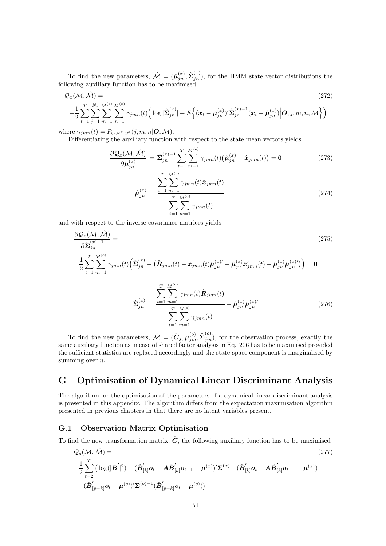To find the new parameters,  $\hat{\mathcal{M}} = (\hat{\boldsymbol{\mu}}_{jn}^{(x)}, \hat{\boldsymbol{\Sigma}}_{jn}^{(x)})$  $j_n^{(\infty)}$ , for the HMM state vector distributions the following auxiliary function has to be maximised

$$
Q_x(\mathcal{M}, \hat{\mathcal{M}}) = (272)
$$
\n
$$
-\frac{1}{2} \sum_{t=1}^T \sum_{j=1}^{N_s} \sum_{m=1}^{M^{(c)}} \sum_{n=1}^{M^{(x)}} \gamma_{jmn}(t) \Big( \log |\hat{\Sigma}_{jn}^{(x)}| + E \Big\{ (\boldsymbol{x}_t - \hat{\boldsymbol{\mu}}_{jn}^{(x)})' \hat{\Sigma}_{jn}^{(x)-1} (\boldsymbol{x}_t - \hat{\boldsymbol{\mu}}_{jn}^{(x)}) \Big| \boldsymbol{O}, j, m, n, \mathcal{M} \Big\} \Big)
$$
\n(272)

where  $\gamma_{jmn}(t) = P_{q_t,\omega^o,\omega^x}(j,m,n|\boldsymbol{O},\mathcal{M}).$ 

Differentiating the auxiliary function with respect to the state mean vectors yields

$$
\frac{\partial \mathcal{Q}_x(\mathcal{M}, \hat{\mathcal{M}})}{\partial \hat{\boldsymbol{\mu}}_{jn}^{(x)}} = \hat{\boldsymbol{\Sigma}}_{jn}^{(x)-1} \sum_{t=1}^T \sum_{m=1}^{M^{(c)}} \gamma_{jmn}(t) \big(\hat{\boldsymbol{\mu}}_{jn}^{(x)} - \hat{\boldsymbol{x}}_{jmn}(t)\big) = \mathbf{0}
$$
\n(273)

$$
\hat{\mu}_{jn}^{(x)} = \frac{\sum_{t=1}^{T} \sum_{m=1}^{N} \gamma_{jmn}(t)\hat{\boldsymbol{x}}_{jmn}(t)}{\sum_{t=1}^{T} \sum_{m=1}^{M^{(o)}} \gamma_{jmn}(t)}
$$
\n(274)

and with respect to the inverse covariance matrices yields

$$
\frac{\partial \mathcal{Q}_{x}(\mathcal{M}, \hat{\mathcal{M}})}{\partial \hat{\Sigma}_{jn}^{(x)-1}} =
$$
\n
$$
\frac{1}{2} \sum_{t=1}^{T} \sum_{m=1}^{M^{(o)}} \gamma_{jmn}(t) \left( \hat{\Sigma}_{jn}^{(x)} - (\hat{\mathbf{R}}_{jmn}(t) - \hat{\mathbf{x}}_{jmn}(t)) \hat{\mu}_{jn}^{(x)} - \hat{\mu}_{jn}^{(x)} \hat{\mathbf{x}}_{jmn}^{(x)}(t) + \hat{\mu}_{jn}^{(x)} \hat{\mu}_{jn}^{(x)} \right) = \mathbf{0}
$$
\n
$$
\hat{\Sigma}_{jn}^{(x)} = \frac{\sum_{t=1}^{T} \sum_{m=1}^{M^{(o)}} \gamma_{jmn}(t) \hat{\mathbf{R}}_{jmn}(t)}{\sum_{t=1}^{T} \sum_{m=1}^{M^{(o)}} \gamma_{jmn}(t)} - \hat{\mu}_{jn}^{(x)} \hat{\mu}_{jn}^{(x)'} \tag{276}
$$

To find the new parameters,  $\hat{\mathcal{M}} = (\hat{\mathbf{C}}_j, \hat{\boldsymbol{\mu}}_{jm}^{(o)}, \hat{\boldsymbol{\Sigma}}_{jm}^{(o)})$ , for the observation process, exactly the same auxiliary function as in case of shared factor analysis in Eq. 206 has to be maximised provided the sufficient statistics are replaced accordingly and the state-space component is marginalised by summing over  $n$ .

## G Optimisation of Dynamical Linear Discriminant Analysis

The algorithm for the optimisation of the parameters of a dynamical linear discriminant analysis is presented in this appendix. The algorithm differs from the expectation maximisation algorithm presented in previous chapters in that there are no latent variables present.

#### G.1 Observation Matrix Optimisation

To find the new transformation matrix,  $\hat{C}$ , the following auxiliary function has to be maximised

$$
Q_o(\mathcal{M}, \hat{\mathcal{M}}) = (277)
$$
\n
$$
\frac{1}{2} \sum_{t=2}^{T} \left( \log(|\hat{\mathbf{B}}'|^2) - (\hat{\mathbf{B}}'_{[k]}\mathbf{o}_t - \mathbf{A}\hat{\mathbf{B}}'_{[k]}\mathbf{o}_{t-1} - \boldsymbol{\mu}^{(x)})'\mathbf{\Sigma}^{(x)-1}(\hat{\mathbf{B}}'_{[k]}\mathbf{o}_t - \mathbf{A}\hat{\mathbf{B}}'_{[k]}\mathbf{o}_{t-1} - \boldsymbol{\mu}^{(x)}) - (\hat{\mathbf{B}}'_{[p-k]}\mathbf{o}_t - \boldsymbol{\mu}^{(o)})'\mathbf{\Sigma}^{(o)-1}(\hat{\mathbf{B}}'_{[p-k]}\mathbf{o}_t - \boldsymbol{\mu}^{(o)})\right)
$$
\n(277)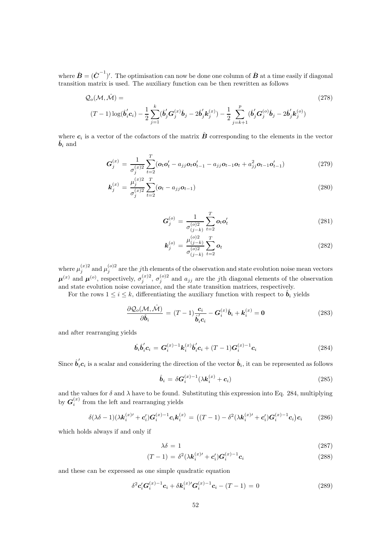where  $\hat{\bm{B}} = (\hat{\bm{C}}^{-1})'$ . The optimisation can now be done one column of  $\hat{\bm{B}}$  at a time easily if diagonal transition matrix is used. The auxiliary function can be then rewritten as follows

$$
Q_o(\mathcal{M}, \hat{\mathcal{M}}) = (278)
$$
  

$$
(T-1)\log(\hat{\boldsymbol{b}}_i' \boldsymbol{c}_i) - \frac{1}{2} \sum_{j=1}^k (\hat{\boldsymbol{b}}_j' \boldsymbol{G}_j^{(x)} \hat{\boldsymbol{b}}_j - 2\hat{\boldsymbol{b}}_j' \boldsymbol{k}_j^{(x)}) - \frac{1}{2} \sum_{j=k+1}^p (\hat{\boldsymbol{b}}_j' \boldsymbol{G}_j^{(o)} \hat{\boldsymbol{b}}_j - 2\hat{\boldsymbol{b}}_j' \boldsymbol{k}_j^{(o)})
$$
 (278)

where  $c_i$  is a vector of the cofactors of the matrix  $\hat{B}$  corresponding to the elements in the vector  $\boldsymbol{b}_i$  and

$$
G_j^{(x)} = \frac{1}{\sigma_j^{(x)2}} \sum_{t=2}^T (\boldsymbol{o}_t \boldsymbol{o}_t' - a_{jj} \boldsymbol{o}_t \boldsymbol{o}_{t-1}' - a_{jj} \boldsymbol{o}_{t-1} \boldsymbol{o}_t + a_{jj}^2 \boldsymbol{o}_{t-1} \boldsymbol{o}_{t-1}')
$$
(279)

$$
\mathbf{k}_{j}^{(x)} = \frac{\mu_{j}^{(x)2}}{\sigma_{j}^{(x)2}} \sum_{t=2}^{T} (\mathbf{o}_{t} - a_{jj} \mathbf{o}_{t-1})
$$
\n(280)

$$
G_j^{(o)} = \frac{1}{\sigma_{(j-k)}^{(o)2}} \sum_{t=2}^T o_t o_t'
$$
 (281)

$$
\mathbf{k}_{j}^{(o)} = \frac{\mu_{(j-k)}^{(o)2}}{\sigma_{(j-k)}^{(o)2}} \sum_{t=2}^{T} \mathbf{o}_{t}
$$
\n(282)

where  $\mu_j^{(x)2}$  and  $\mu_j^{(o)2}$  are the jth elements of the observation and state evolution noise mean vectors  $\boldsymbol{\mu}^{(x)}$  and  $\boldsymbol{\mu}^{(o)}$ , respectively,  $\sigma_i^{(x)2}$  $j^{(x)2},\ \sigma_j^{(o)2}$  $j_j^{(0)2}$  and  $a_{jj}$  are the j<sup>th</sup> diagonal elements of the observation and state evolution noise covariance, and the state transition matrices, respectively.

For the rows  $1 \leq i \leq k$ , differentiating the auxiliary function with respect to  $b_i$  yields

$$
\frac{\partial \mathcal{Q}_o(\mathcal{M}, \hat{\mathcal{M}})}{\partial \hat{\boldsymbol{b}}_i} = (T - 1) \frac{\boldsymbol{c}_i}{\hat{\boldsymbol{b}}_i' \boldsymbol{c}_i} - \boldsymbol{G}_i^{(x)} \hat{\boldsymbol{b}}_i + \boldsymbol{k}_i^{(x)} = \mathbf{0}
$$
(283)

and after rearranging yields

$$
\hat{b}_{i}\hat{b}_{i}'c_{i} = G_{i}^{(x)-1}k_{i}^{(x)}\hat{b}_{i}'c_{i} + (T-1)G_{i}^{(x)-1}c_{i}
$$
\n(284)

Since  $\hat{b}_i'c_i$  is a scalar and considering the direction of the vector  $\hat{b}_i$ , it can be represented as follows

$$
\hat{\boldsymbol{b}}_i = \delta \boldsymbol{G}_i^{(x)-1} (\lambda \boldsymbol{k}_i^{(x)} + \boldsymbol{c}_i)
$$
\n(285)

and the values for  $\delta$  and  $\lambda$  have to be found. Substituting this expression into Eq. 284, multiplying by  $\bm{G}_i^{(x)}$  $i^{(x)}$  from the left and rearranging yields

$$
\delta(\lambda \delta - 1)(\lambda \mathbf{k}_{i}^{(x)} + \mathbf{c}_{i}')\mathbf{G}_{i}^{(x)-1}\mathbf{c}_{i}\mathbf{k}_{i}^{(x)} = ((T - 1) - \delta^{2}(\lambda \mathbf{k}_{i}^{(x)} + \mathbf{c}_{i}')\mathbf{G}_{i}^{(x)-1}\mathbf{c}_{i})\mathbf{c}_{i}
$$
(286)

which holds always if and only if

$$
\lambda \delta = 1 \tag{287}
$$

$$
(T-1) = \delta^2(\lambda \mathbf{k}_i^{(x)\prime} + \mathbf{c}_i')\mathbf{G}_i^{(x)-1}\mathbf{c}_i
$$
\n(288)

and these can be expressed as one simple quadratic equation

$$
\delta^2 c_i' G_i^{(x)-1} c_i + \delta k_i^{(x)} G_i^{(x)-1} c_i - (T-1) = 0
$$
\n(289)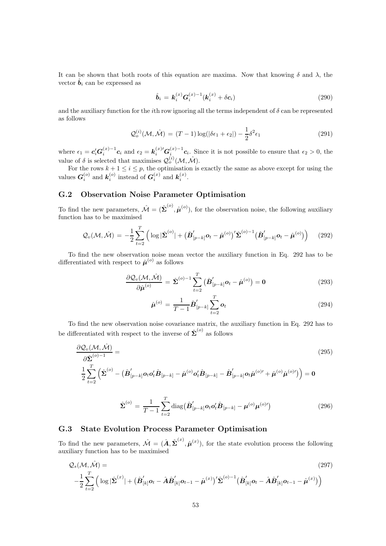It can be shown that both roots of this equation are maxima. Now that knowing  $\delta$  and  $\lambda$ , the vector  $\boldsymbol{b}_i$  can be expressed as

$$
\hat{b}_i = k_i^{(x)} G_i^{(x)-1} (k_i^{(x)} + \delta c_i)
$$
\n(290)

and the auxiliary function for the *i*th row ignoring all the terms independent of  $\delta$  can be represented as follows

$$
\mathcal{Q}_o^{(i)}(\mathcal{M}, \hat{\mathcal{M}}) = (T - 1)\log(|\delta \epsilon_1 + \epsilon_2|) - \frac{1}{2}\delta^2 \epsilon_1
$$
\n(291)

where  $\epsilon_1 = c_i' G_i^{(x)-1} c_i$  and  $\epsilon_2 = k_i^{(x)'} G_i^{(x)-1} c_i$ . Since it is not possible to ensure that  $\epsilon_2 > 0$ , the value of  $\delta$  is selected that maximises  $\mathcal{Q}^{(i)}_{o}(\mathcal{M}, \hat{\mathcal{M}})$ .

For the rows  $k + 1 \le i \le p$ , the optimisation is exactly the same as above except for using the values  $G_i^{(o)}$  $\binom{(o)}{i}$  and  $k_i^{(o)}$  $i_i^{(o)}$  instead of  $G_i^{(x)}$  $\binom{x}{i}$  and  $\boldsymbol{k}_i^{(x)}$  $\binom{x}{i}$ .

#### G.2 Observation Noise Parameter Optimisation

To find the new parameters,  $\hat{\mathcal{M}} = (\hat{\Sigma}^{(o)}, \hat{\mu}^{(o)})$ , for the observation noise, the following auxiliary function has to be maximised

$$
\mathcal{Q}_{v}(\mathcal{M},\hat{\mathcal{M}}) = -\frac{1}{2} \sum_{t=2}^{T} \left( \log |\hat{\boldsymbol{\Sigma}}^{(o)}| + (\hat{\boldsymbol{B}}'_{[p-k]} \boldsymbol{o}_t - \hat{\boldsymbol{\mu}}^{(o)})' \hat{\boldsymbol{\Sigma}}^{(o)-1} (\hat{\boldsymbol{B}}'_{[p-k]} \boldsymbol{o}_t - \hat{\boldsymbol{\mu}}^{(o)}) \right)
$$
(292)

To find the new observation noise mean vector the auxiliary function in Eq. 292 has to be differentiated with respect to  $\hat{\boldsymbol{\mu}}^{(o)}$  as follows

$$
\frac{\partial \mathcal{Q}_{v}(\mathcal{M},\hat{\mathcal{M}})}{\partial \hat{\boldsymbol{\mu}}^{(o)}} = \hat{\boldsymbol{\Sigma}}^{(o)-1} \sum_{t=2}^{T} (\hat{\boldsymbol{B}}'_{[p-k]} \boldsymbol{o}_t - \hat{\boldsymbol{\mu}}^{(o)}) = \mathbf{0}
$$
\n(293)

$$
\hat{\boldsymbol{\mu}}^{(o)} = \frac{1}{T-1} \hat{\boldsymbol{B}}'_{[p-k]} \sum_{t=2}^{T} \boldsymbol{o}_t
$$
\n(294)

To find the new observation noise covariance matrix, the auxiliary function in Eq. 292 has to be differentiated with respect to the inverse of  $\hat{\Sigma}^{(o)}$  as follows

$$
\frac{\partial \mathcal{Q}_{v}(\mathcal{M},\hat{\mathcal{M}})}{\partial \hat{\Sigma}^{(o)-1}} = \qquad (295)
$$
\n
$$
\frac{1}{2} \sum_{t=2}^{T} \left( \hat{\Sigma}^{(o)} - \left( \hat{\boldsymbol{B}}'_{[p-k]} \boldsymbol{o}_t \boldsymbol{o}_t' \hat{\boldsymbol{B}}_{[p-k]} - \hat{\boldsymbol{\mu}}^{(o)} \boldsymbol{o}_t' \hat{\boldsymbol{B}}_{[p-k]} - \hat{\boldsymbol{B}}'_{[p-k]} \boldsymbol{o}_t \hat{\boldsymbol{\mu}}^{(o)\prime} + \hat{\boldsymbol{\mu}}^{(o)} \hat{\boldsymbol{\mu}}^{(o)\prime} \right) \right) = \mathbf{0}
$$

$$
\hat{\Sigma}^{(o)} = \frac{1}{T-1} \sum_{t=2}^{T} \text{diag}(\hat{\boldsymbol{B}}'_{[p-k]} \boldsymbol{o}_t \boldsymbol{o}_t' \hat{\boldsymbol{B}}_{[p-k]} - \boldsymbol{\mu}^{(o)} \boldsymbol{\mu}^{(o) \prime})
$$
(296)

#### G.3 State Evolution Process Parameter Optimisation

To find the new parameters,  $\hat{\mathcal{M}} = (\hat{\mathbf{A}}, \hat{\boldsymbol{\Sigma}}^{(x)}, \hat{\boldsymbol{\mu}}^{(x)})$ , for the state evolution process the following auxiliary function has to be maximised

$$
Q_s(\mathcal{M}, \hat{\mathcal{M}}) = \qquad (297)
$$
\n
$$
-\frac{1}{2} \sum_{t=2}^T \left( \log |\hat{\Sigma}^{(x)}| + (\hat{B}_{[k]}' \mathbf{o}_t - \hat{A} \hat{B}_{[k]}' \mathbf{o}_{t-1} - \hat{\boldsymbol{\mu}}^{(x)})' \hat{\Sigma}^{(o)-1} (\hat{B}_{[k]}' \mathbf{o}_t - \hat{A} \hat{B}_{[k]}' \mathbf{o}_{t-1} - \hat{\boldsymbol{\mu}}^{(x)}) \right)
$$